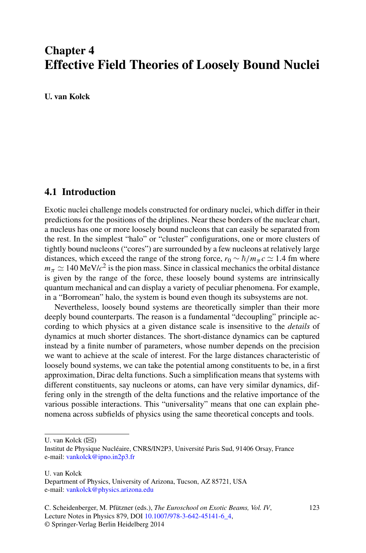# **Chapter 4 Effective Field Theories of Loosely Bound Nuclei**

**U. van Kolck**

## **4.1 Introduction**

Exotic nuclei challenge models constructed for ordinary nuclei, which differ in their predictions for the positions of the driplines. Near these borders of the nuclear chart, a nucleus has one or more loosely bound nucleons that can easily be separated from the rest. In the simplest "halo" or "cluster" configurations, one or more clusters of tightly bound nucleons ("cores") are surrounded by a few nucleons at relatively large distances, which exceed the range of the strong force,  $r_0 \sim \hbar/m_\pi c \simeq 1.4$  fm where  $m_\pi \simeq 140 \text{ MeV}/c^2$  is the pion mass. Since in classical mechanics the orbital distance is given by the range of the force, these loosely bound systems are intrinsically quantum mechanical and can display a variety of peculiar phenomena. For example, in a "Borromean" halo, the system is bound even though its subsystems are not.

Nevertheless, loosely bound systems are theoretically simpler than their more deeply bound counterparts. The reason is a fundamental "decoupling" principle according to which physics at a given distance scale is insensitive to the *details* of dynamics at much shorter distances. The short-distance dynamics can be captured instead by a finite number of parameters, whose number depends on the precision we want to achieve at the scale of interest. For the large distances characteristic of loosely bound systems, we can take the potential among constituents to be, in a first approximation, Dirac delta functions. Such a simplification means that systems with different constituents, say nucleons or atoms, can have very similar dynamics, differing only in the strength of the delta functions and the relative importance of the various possible interactions. This "universality" means that one can explain phenomena across subfields of physics using the same theoretical concepts and tools.

U. van Kolck  $(\boxtimes)$ 

U. van Kolck

Institut de Physique Nucléaire, CNRS/IN2P3, Université Paris Sud, 91406 Orsay, France e-mail: [vankolck@ipno.in2p3.fr](mailto:vankolck@ipno.in2p3.fr)

Department of Physics, University of Arizona, Tucson, AZ 85721, USA e-mail: [vankolck@physics.arizona.edu](mailto:vankolck@physics.arizona.edu)

C. Scheidenberger, M. Pfützner (eds.), *The Euroschool on Exotic Beams, Vol. IV*, Lecture Notes in Physics 879, DOI [10.1007/978-3-642-45141-6\\_4](http://dx.doi.org/10.1007/978-3-642-45141-6_4), © Springer-Verlag Berlin Heidelberg 2014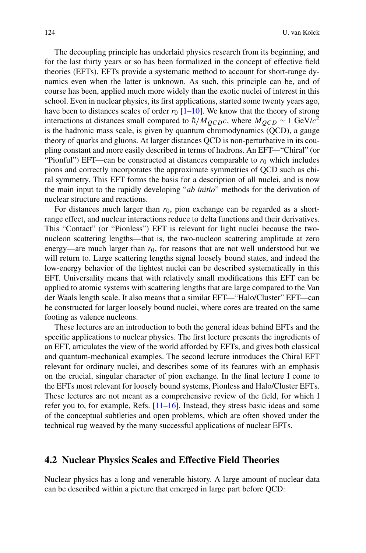The decoupling principle has underlaid physics research from its beginning, and for the last thirty years or so has been formalized in the concept of effective field theories (EFTs). EFTs provide a systematic method to account for short-range dynamics even when the latter is unknown. As such, this principle can be, and of course has been, applied much more widely than the exotic nuclei of interest in this school. Even in nuclear physics, its first applications, started some twenty years ago, have been to distances scales of order  $r_0$   $[1–10]$  $[1–10]$  $[1–10]$ . We know that the theory of strong interactions at distances small compared to  $\hbar/M_{QCD}c$ , where  $M_{QCD} \sim 1$  GeV/ $c^2$ is the hadronic mass scale, is given by quantum chromodynamics (QCD), a gauge theory of quarks and gluons. At larger distances QCD is non-perturbative in its coupling constant and more easily described in terms of hadrons. An EFT—"Chiral" (or "Pionful") EFT—can be constructed at distances comparable to  $r_0$  which includes pions and correctly incorporates the approximate symmetries of QCD such as chiral symmetry. This EFT forms the basis for a description of all nuclei, and is now the main input to the rapidly developing "*ab initio*" methods for the derivation of nuclear structure and reactions.

For distances much larger than  $r_0$ , pion exchange can be regarded as a shortrange effect, and nuclear interactions reduce to delta functions and their derivatives. This "Contact" (or "Pionless") EFT is relevant for light nuclei because the twonucleon scattering lengths—that is, the two-nucleon scattering amplitude at zero energy—are much larger than  $r_0$ , for reasons that are not well understood but we will return to. Large scattering lengths signal loosely bound states, and indeed the low-energy behavior of the lightest nuclei can be described systematically in this EFT. Universality means that with relatively small modifications this EFT can be applied to atomic systems with scattering lengths that are large compared to the Van der Waals length scale. It also means that a similar EFT—"Halo/Cluster" EFT—can be constructed for larger loosely bound nuclei, where cores are treated on the same footing as valence nucleons.

These lectures are an introduction to both the general ideas behind EFTs and the specific applications to nuclear physics. The first lecture presents the ingredients of an EFT, articulates the view of the world afforded by EFTs, and gives both classical and quantum-mechanical examples. The second lecture introduces the Chiral EFT relevant for ordinary nuclei, and describes some of its features with an emphasis on the crucial, singular character of pion exchange. In the final lecture I come to the EFTs most relevant for loosely bound systems, Pionless and Halo/Cluster EFTs. These lectures are not meant as a comprehensive review of the field, for which I refer you to, for example, Refs.  $[11–16]$  $[11–16]$  $[11–16]$ . Instead, they stress basic ideas and some of the conceptual subtleties and open problems, which are often shoved under the technical rug weaved by the many successful applications of nuclear EFTs.

### <span id="page-1-0"></span>**4.2 Nuclear Physics Scales and Effective Field Theories**

Nuclear physics has a long and venerable history. A large amount of nuclear data can be described within a picture that emerged in large part before QCD: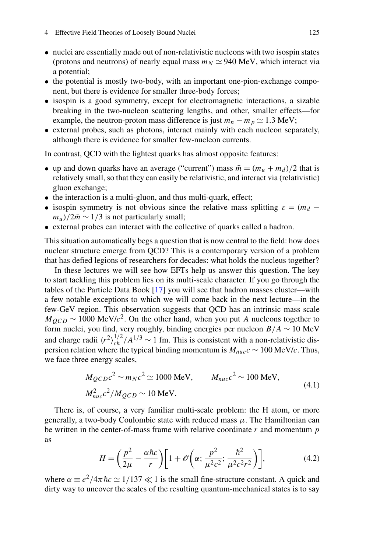- 4 Effective Field Theories of Loosely Bound Nuclei 125
- nuclei are essentially made out of non-relativistic nucleons with two isospin states (protons and neutrons) of nearly equal mass  $m_N \simeq 940$  MeV, which interact via a potential;
- the potential is mostly two-body, with an important one-pion-exchange component, but there is evidence for smaller three-body forces;
- isospin is a good symmetry, except for electromagnetic interactions, a sizable breaking in the two-nucleon scattering lengths, and other, smaller effects—for example, the neutron-proton mass difference is just  $m_n - m_p \simeq 1.3$  MeV;
- external probes, such as photons, interact mainly with each nucleon separately, although there is evidence for smaller few-nucleon currents.

In contrast, QCD with the lightest quarks has almost opposite features:

- up and down quarks have an average ("current") mass  $\bar{m} = (m_u + m_d)/2$  that is relatively small, so that they can easily be relativistic, and interact via (relativistic) gluon exchange;
- the interaction is a multi-gluon, and thus multi-quark, effect;
- isospin symmetry is not obvious since the relative mass splitting  $\varepsilon = (m_d (m_u)/2\bar{m} \sim 1/3$  is not particularly small;
- external probes can interact with the collective of quarks called a hadron.

This situation automatically begs a question that is now central to the field: how does nuclear structure emerge from QCD? This is a contemporary version of a problem that has defied legions of researchers for decades: what holds the nucleus together?

In these lectures we will see how EFTs help us answer this question. The key to start tackling this problem lies on its multi-scale character. If you go through the tables of the Particle Data Book [[17\]](#page-56-4) you will see that hadron masses cluster—with a few notable exceptions to which we will come back in the next lecture—in the few-GeV region. This observation suggests that QCD has an intrinsic mass scale  $M_{OCD} \sim 1000 \text{ MeV}/c^2$ . On the other hand, when you put *A* nucleons together to form nuclei, you find, very roughly, binding energies per nucleon *B/A* ∼ 10 MeV and charge radii  $\langle r^2 \rangle_{ch}^{1/2} / A^{1/3} \sim 1$  fm. This is consistent with a non-relativistic dispersion relation where the typical binding momentum is  $M_{nuc}c \sim 100 \text{ MeV}/c$ . Thus, we face three energy scales,

$$
M_{QCD}c^2 \sim m_N c^2 \simeq 1000 \text{ MeV}, \qquad M_{nuc}c^2 \sim 100 \text{ MeV},
$$
  

$$
M_{nuc}^2 c^2 / M_{QCD} \sim 10 \text{ MeV}.
$$
 (4.1)

There is, of course, a very familiar multi-scale problem: the H atom, or more generally, a two-body Coulombic state with reduced mass  $\mu$ . The Hamiltonian can be written in the center-of-mass frame with relative coordinate *r* and momentum *p* as

<span id="page-2-0"></span>
$$
H = \left(\frac{p^2}{2\mu} - \frac{\alpha\hbar c}{r}\right) \left[1 + \mathcal{O}\left(\alpha; \frac{p^2}{\mu^2 c^2}; \frac{\hbar^2}{\mu^2 c^2 r^2}\right)\right],\tag{4.2}
$$

where  $\alpha = e^2/4\pi \hbar c \simeq 1/137 \ll 1$  is the small fine-structure constant. A quick and dirty way to uncover the scales of the resulting quantum-mechanical states is to say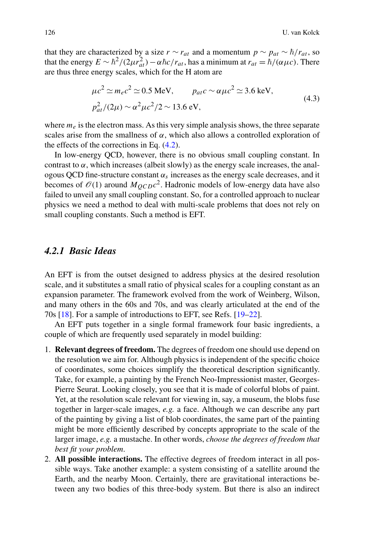that they are characterized by a size  $r \sim r_{at}$  and a momentum  $p \sim p_{at} \sim \hbar / r_{at}$ , so that the energy  $E \sim \hbar^2/(2\mu r_{at}^2) - \alpha \hbar c/r_{at}$ , has a minimum at  $r_{at} = \hbar/(\alpha \mu c)$ . There are thus three energy scales, which for the H atom are

$$
\mu c^2 \simeq m_e c^2 \simeq 0.5 \text{ MeV}, \qquad p_{at} c \sim \alpha \mu c^2 \simeq 3.6 \text{ keV},
$$
  
\n
$$
p_{at}^2 / (2\mu) \sim \alpha^2 \mu c^2 / 2 \sim 13.6 \text{ eV},
$$
\n(4.3)

where  $m_e$  is the electron mass. As this very simple analysis shows, the three separate scales arise from the smallness of  $\alpha$ , which also allows a controlled exploration of the effects of the corrections in Eq. [\(4.2\)](#page-2-0).

In low-energy QCD, however, there is no obvious small coupling constant. In contrast to  $\alpha$ , which increases (albeit slowly) as the energy scale increases, the analogous QCD fine-structure constant *αs* increases as the energy scale decreases, and it becomes of  $\mathcal{O}(1)$  around  $M_{OCD}c^2$ . Hadronic models of low-energy data have also failed to unveil any small coupling constant. So, for a controlled approach to nuclear physics we need a method to deal with multi-scale problems that does not rely on small coupling constants. Such a method is EFT.

### *4.2.1 Basic Ideas*

An EFT is from the outset designed to address physics at the desired resolution scale, and it substitutes a small ratio of physical scales for a coupling constant as an expansion parameter. The framework evolved from the work of Weinberg, Wilson, and many others in the 60s and 70s, and was clearly articulated at the end of the 70s [\[18](#page-56-5)]. For a sample of introductions to EFT, see Refs. [\[19](#page-56-6)[–22](#page-56-7)].

An EFT puts together in a single formal framework four basic ingredients, a couple of which are frequently used separately in model building:

- 1. **Relevant degrees of freedom.** The degrees of freedom one should use depend on the resolution we aim for. Although physics is independent of the specific choice of coordinates, some choices simplify the theoretical description significantly. Take, for example, a painting by the French Neo-Impressionist master, Georges-Pierre Seurat. Looking closely, you see that it is made of colorful blobs of paint. Yet, at the resolution scale relevant for viewing in, say, a museum, the blobs fuse together in larger-scale images, *e.g.* a face. Although we can describe any part of the painting by giving a list of blob coordinates, the same part of the painting might be more efficiently described by concepts appropriate to the scale of the larger image, *e.g.* a mustache. In other words, *choose the degrees of freedom that best fit your problem*.
- 2. **All possible interactions.** The effective degrees of freedom interact in all possible ways. Take another example: a system consisting of a satellite around the Earth, and the nearby Moon. Certainly, there are gravitational interactions between any two bodies of this three-body system. But there is also an indirect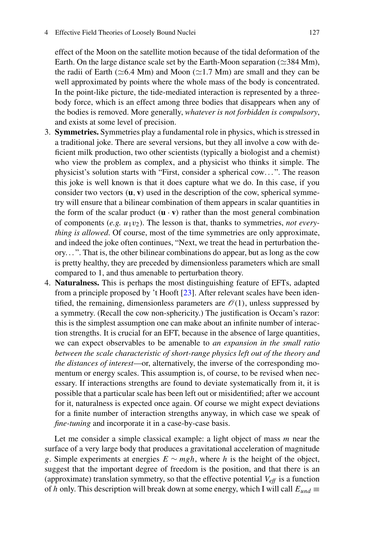effect of the Moon on the satellite motion because of the tidal deformation of the Earth. On the large distance scale set by the Earth-Moon separation ( $\simeq$ 384 Mm), the radii of Earth ( $\approx$ 6.4 Mm) and Moon ( $\approx$ 1.7 Mm) are small and they can be well approximated by points where the whole mass of the body is concentrated. In the point-like picture, the tide-mediated interaction is represented by a threebody force, which is an effect among three bodies that disappears when any of the bodies is removed. More generally, *whatever is not forbidden is compulsory*, and exists at some level of precision.

- 3. **Symmetries.** Symmetries play a fundamental role in physics, which is stressed in a traditional joke. There are several versions, but they all involve a cow with deficient milk production, two other scientists (typically a biologist and a chemist) who view the problem as complex, and a physicist who thinks it simple. The physicist's solution starts with "First, consider a spherical cow. . . ". The reason this joke is well known is that it does capture what we do. In this case, if you consider two vectors *(***u***,* **v***)* used in the description of the cow, spherical symmetry will ensure that a bilinear combination of them appears in scalar quantities in the form of the scalar product  $(\mathbf{u} \cdot \mathbf{v})$  rather than the most general combination of components (*e.g. u*1*v*2). The lesson is that, thanks to symmetries, *not everything is allowed*. Of course, most of the time symmetries are only approximate, and indeed the joke often continues, "Next, we treat the head in perturbation theory. . . ". That is, the other bilinear combinations do appear, but as long as the cow is pretty healthy, they are preceded by dimensionless parameters which are small compared to 1, and thus amenable to perturbation theory.
- 4. **Naturalness.** This is perhaps the most distinguishing feature of EFTs, adapted from a principle proposed by 't Hooft [\[23](#page-56-8)]. After relevant scales have been identified, the remaining, dimensionless parameters are  $\mathcal{O}(1)$ , unless suppressed by a symmetry. (Recall the cow non-sphericity.) The justification is Occam's razor: this is the simplest assumption one can make about an infinite number of interaction strengths. It is crucial for an EFT, because in the absence of large quantities, we can expect observables to be amenable to *an expansion in the small ratio between the scale characteristic of short-range physics left out of the theory and the distances of interest*—or, alternatively, the inverse of the corresponding momentum or energy scales. This assumption is, of course, to be revised when necessary. If interactions strengths are found to deviate systematically from it, it is possible that a particular scale has been left out or misidentified; after we account for it, naturalness is expected once again. Of course we might expect deviations for a finite number of interaction strengths anyway, in which case we speak of *fine-tuning* and incorporate it in a case-by-case basis.

Let me consider a simple classical example: a light object of mass *m* near the surface of a very large body that produces a gravitational acceleration of magnitude *g*. Simple experiments at energies  $E \sim mgh$ , where *h* is the height of the object, suggest that the important degree of freedom is the position, and that there is an (approximate) translation symmetry, so that the effective potential  $V_{\text{eff}}$  is a function of *h* only. This description will break down at some energy, which I will call  $E_{und} \equiv$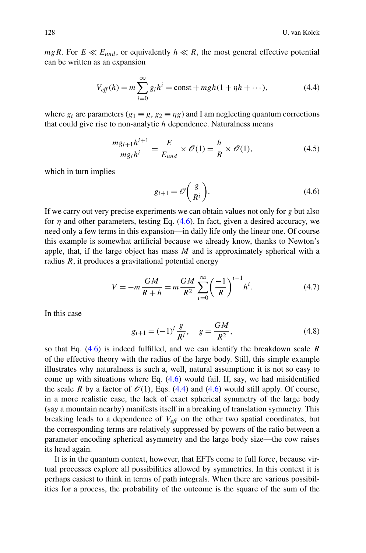$mgR$ . For  $E \ll E_{und}$ , or equivalently  $h \ll R$ , the most general effective potential can be written as an expansion

<span id="page-5-1"></span>
$$
V_{\text{eff}}(h) = m \sum_{i=0}^{\infty} g_i h^i = \text{const} + mgh(1 + \eta h + \cdots), \tag{4.4}
$$

where  $g_i$  are parameters ( $g_1 \equiv g$ ,  $g_2 \equiv \eta g$ ) and I am neglecting quantum corrections that could give rise to non-analytic *h* dependence. Naturalness means

$$
\frac{mg_{i+1}h^{i+1}}{mg_ih^i} = \frac{E}{E_{und}} \times \mathcal{O}(1) = \frac{h}{R} \times \mathcal{O}(1),\tag{4.5}
$$

which in turn implies

<span id="page-5-0"></span>
$$
g_{i+1} = \mathcal{O}\left(\frac{g}{R^i}\right). \tag{4.6}
$$

If we carry out very precise experiments we can obtain values not only for *g* but also for  $\eta$  and other parameters, testing Eq.  $(4.6)$  $(4.6)$  $(4.6)$ . In fact, given a desired accuracy, we need only a few terms in this expansion—in daily life only the linear one. Of course this example is somewhat artificial because we already know, thanks to Newton's apple, that, if the large object has mass *M* and is approximately spherical with a radius *R*, it produces a gravitational potential energy

$$
V = -m\frac{GM}{R+h} = m\frac{GM}{R^2}\sum_{i=0}^{\infty} \left(\frac{-1}{R}\right)^{i-1}h^i.
$$
 (4.7)

In this case

$$
g_{i+1} = (-1)^i \frac{g}{R^i}, \quad g = \frac{GM}{R^2}, \tag{4.8}
$$

so that Eq. ([4.6](#page-5-0)) is indeed fulfilled, and we can identify the breakdown scale *R* of the effective theory with the radius of the large body. Still, this simple example illustrates why naturalness is such a, well, natural assumption: it is not so easy to come up with situations where Eq.  $(4.6)$  $(4.6)$  would fail. If, say, we had misidentified the scale *R* by a factor of  $\mathcal{O}(1)$ , Eqs. ([4.4\)](#page-5-1) and [\(4.6\)](#page-5-0) would still apply. Of course, in a more realistic case, the lack of exact spherical symmetry of the large body (say a mountain nearby) manifests itself in a breaking of translation symmetry. This breaking leads to a dependence of  $V_{\text{eff}}$  on the other two spatial coordinates, but the corresponding terms are relatively suppressed by powers of the ratio between a parameter encoding spherical asymmetry and the large body size—the cow raises its head again.

It is in the quantum context, however, that EFTs come to full force, because virtual processes explore all possibilities allowed by symmetries. In this context it is perhaps easiest to think in terms of path integrals. When there are various possibilities for a process, the probability of the outcome is the square of the sum of the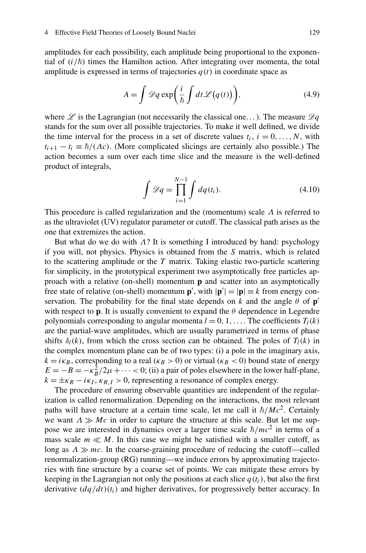amplitudes for each possibility, each amplitude being proportional to the exponential of  $(i/\hbar)$  times the Hamilton action. After integrating over momenta, the total amplitude is expressed in terms of trajectories  $q(t)$  in coordinate space as

<span id="page-6-0"></span>
$$
A = \int \mathcal{D}q \exp\bigg(\frac{i}{\hbar} \int dt \mathcal{L}(q(t))\bigg), \tag{4.9}
$$

where  $\mathscr L$  is the Lagrangian (not necessarily the classical one...). The measure  $\mathscr D q$ stands for the sum over all possible trajectories. To make it well defined, we divide the time interval for the process in a set of discrete values  $t_i$ ,  $i = 0, \ldots, N$ , with  $t_{i+1} - t_i \equiv \hbar/(\Lambda c)$ . (More complicated slicings are certainly also possible.) The action becomes a sum over each time slice and the measure is the well-defined product of integrals,

$$
\int \mathcal{D}q = \prod_{i=1}^{N-1} \int dq(t_i). \tag{4.10}
$$

This procedure is called regularization and the (momentum) scale *Λ* is referred to as the ultraviolet (UV) regulator parameter or cutoff. The classical path arises as the one that extremizes the action.

But what do we do with *Λ*? It is something I introduced by hand: psychology if you will, not physics. Physics is obtained from the *S* matrix, which is related to the scattering amplitude or the *T* matrix. Taking elastic two-particle scattering for simplicity, in the prototypical experiment two asymptotically free particles approach with a relative (on-shell) momentum **p** and scatter into an asymptotically free state of relative (on-shell) momentum  $\mathbf{p}'$ , with  $|\mathbf{p}'| = |\mathbf{p}| \equiv k$  from energy conservation. The probability for the final state depends on *k* and the angle  $\theta$  of **p**' with respect to **p**. It is usually convenient to expand the  $\theta$  dependence in Legendre polynomials corresponding to angular momenta  $l = 0, 1, \ldots$ . The coefficients  $T_l(k)$ are the partial-wave amplitudes, which are usually parametrized in terms of phase shifts  $\delta_l(k)$ , from which the cross section can be obtained. The poles of  $T_l(k)$  in the complex momentum plane can be of two types: (i) a pole in the imaginary axis,  $k = i\kappa_B$ , corresponding to a real ( $\kappa_B > 0$ ) or virtual ( $\kappa_B < 0$ ) bound state of energy  $E = -B = -\kappa_B^2/2\mu + \cdots < 0$ ; (ii) a pair of poles elsewhere in the lower half-plane,  $k = \pm \kappa_R - i\kappa_I$ ,  $\kappa_{R,I} > 0$ , representing a resonance of complex energy.

The procedure of ensuring observable quantities are independent of the regularization is called renormalization. Depending on the interactions, the most relevant paths will have structure at a certain time scale, let me call it  $\hbar/Mc^2$ . Certainly we want  $\Lambda \gg Mc$  in order to capture the structure at this scale. But let me suppose we are interested in dynamics over a larger time scale  $\hbar/mc^2$  in terms of a mass scale  $m \ll M$ . In this case we might be satisfied with a smaller cutoff, as long as  $\Lambda \gg mc$ . In the coarse-graining procedure of reducing the cutoff—called renormalization-group (RG) running—we induce errors by approximating trajectories with fine structure by a coarse set of points. We can mitigate these errors by keeping in the Lagrangian not only the positions at each slice  $q(t_i)$ , but also the first derivative *(dq/dt)(ti)* and higher derivatives, for progressively better accuracy. In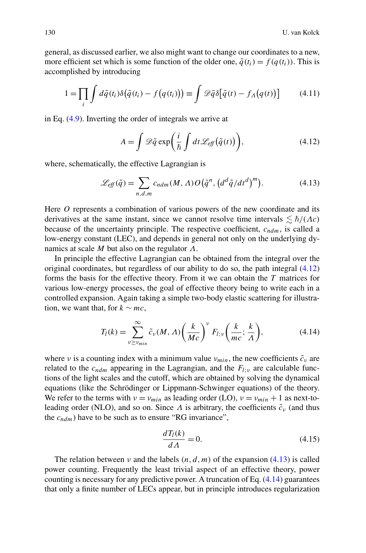general, as discussed earlier, we also might want to change our coordinates to a new, more efficient set which is some function of the older one,  $\tilde{q}(t_i) = f(q(t_i))$ . This is accomplished by introducing

$$
1 = \prod_{i} \int d\tilde{q}(t_i) \delta(\tilde{q}(t_i) - f(q(t_i))) \equiv \int \mathscr{D}\tilde{q} \delta[\tilde{q}(t) - f_A(q(t))]
$$
(4.11)

in Eq. [\(4.9\)](#page-6-0). Inverting the order of integrals we arrive at

<span id="page-7-1"></span><span id="page-7-0"></span>
$$
A = \int \mathscr{D}\tilde{q} \exp\bigg(\frac{i}{\hbar} \int dt \mathscr{L}_{\text{eff}}(\tilde{q}(t))\bigg), \tag{4.12}
$$

where, schematically, the effective Lagrangian is

$$
\mathcal{L}_{eff}(\tilde{q}) = \sum_{n,d,m} c_{ndm}(M,\Lambda) O(\tilde{q}^n, (d^d \tilde{q}/dt^d)^m).
$$
 (4.13)

Here *O* represents a combination of various powers of the new coordinate and its derivatives at the same instant, since we cannot resolve time intervals  $\leq \hbar/(\Lambda c)$ because of the uncertainty principle. The respective coefficient,  $c_{ndm}$ , is called a low-energy constant (LEC), and depends in general not only on the underlying dynamics at scale *M* but also on the regulator *Λ*.

In principle the effective Lagrangian can be obtained from the integral over the original coordinates, but regardless of our ability to do so, the path integral ([4.12](#page-7-0)) forms the basis for the effective theory. From it we can obtain the *T* matrices for various low-energy processes, the goal of effective theory being to write each in a controlled expansion. Again taking a simple two-body elastic scattering for illustration, we want that, for  $k \sim mc$ ,

<span id="page-7-2"></span>
$$
T_l(k) = \sum_{\nu \ge \nu_{min}}^{\infty} \tilde{c}_{\nu}(M, \Lambda) \left(\frac{k}{Mc}\right)^{\nu} F_{l; \nu}\left(\frac{k}{mc}; \frac{k}{\Lambda}\right), \tag{4.14}
$$

where *ν* is a counting index with a minimum value  $v_{min}$ , the new coefficients  $\tilde{c}_v$  are related to the  $c_{ndm}$  appearing in the Lagrangian, and the  $F_{l;v}$  are calculable functions of the light scales and the cutoff, which are obtained by solving the dynamical equations (like the Schrödinger or Lippmann-Schwinger equations) of the theory. We refer to the terms with  $v = v_{min}$  as leading order (LO),  $v = v_{min} + 1$  as next-toleading order (NLO), and so on. Since  $\Lambda$  is arbitrary, the coefficients  $\tilde{c}_v$  (and thus the  $c_{ndm}$ ) have to be such as to ensure "RG invariance",

$$
\frac{dT_l(k)}{d\Lambda} = 0.\tag{4.15}
$$

The relation between *ν* and the labels  $(n, d, m)$  of the expansion  $(4.13)$  $(4.13)$  is called power counting. Frequently the least trivial aspect of an effective theory, power counting is necessary for any predictive power. A truncation of Eq. [\(4.14\)](#page-7-2) guarantees that only a finite number of LECs appear, but in principle introduces regularization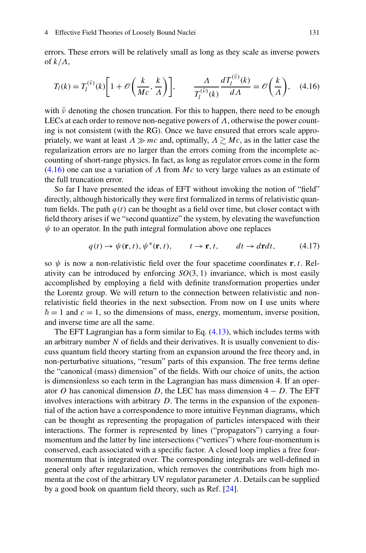errors. These errors will be relatively small as long as they scale as inverse powers of *k/Λ*,

<span id="page-8-0"></span>
$$
T_l(k) = T_l^{(\bar{\nu})}(k) \left[ 1 + \mathcal{O}\left(\frac{k}{Mc}, \frac{k}{\Lambda}\right) \right], \qquad \frac{\Lambda}{T_l^{(\bar{\nu})}(k)} \frac{dT_l^{(\bar{\nu})}(k)}{d\Lambda} = \mathcal{O}\left(\frac{k}{\Lambda}\right), \quad (4.16)
$$

with  $\bar{\nu}$  denoting the chosen truncation. For this to happen, there need to be enough LECs at each order to remove non-negative powers of *Λ*, otherwise the power counting is not consistent (with the RG). Once we have ensured that errors scale appropriately, we want at least  $\Lambda \gg mc$  and, optimally,  $\Lambda \gtrsim Mc$ , as in the latter case the regularization errors are no larger than the errors coming from the incomplete accounting of short-range physics. In fact, as long as regulator errors come in the form [\(4.16\)](#page-8-0) one can use a variation of *Λ* from *Mc* to very large values as an estimate of the full truncation error.

So far I have presented the ideas of EFT without invoking the notion of "field" directly, although historically they were first formalized in terms of relativistic quantum fields. The path  $q(t)$  can be thought as a field over time, but closer contact with field theory arises if we "second quantize" the system, by elevating the wavefunction  $\psi$  to an operator. In the path integral formulation above one replaces

$$
q(t) \to \psi(\mathbf{r}, t), \psi^*(\mathbf{r}, t), \qquad t \to \mathbf{r}, t, \qquad dt \to drdt, \tag{4.17}
$$

so  $\psi$  is now a non-relativistic field over the four spacetime coordinates **r**, *t*. Relativity can be introduced by enforcing *SO(*3*,* 1*)* invariance, which is most easily accomplished by employing a field with definite transformation properties under the Lorentz group. We will return to the connection between relativistic and nonrelativistic field theories in the next subsection. From now on I use units where  $\hbar = 1$  and  $c = 1$ , so the dimensions of mass, energy, momentum, inverse position, and inverse time are all the same.

The EFT Lagrangian has a form similar to Eq. [\(4.13\)](#page-7-1), which includes terms with an arbitrary number *N* of fields and their derivatives. It is usually convenient to discuss quantum field theory starting from an expansion around the free theory and, in non-perturbative situations, "resum" parts of this expansion. The free terms define the "canonical (mass) dimension" of the fields. With our choice of units, the action is dimensionless so each term in the Lagrangian has mass dimension 4. If an operator *O* has canonical dimension *D*, the LEC has mass dimension  $4 - D$ . The EFT involves interactions with arbitrary *D*. The terms in the expansion of the exponential of the action have a correspondence to more intuitive Feynman diagrams, which can be thought as representing the propagation of particles interspaced with their interactions. The former is represented by lines ("propagators") carrying a fourmomentum and the latter by line intersections ("vertices") where four-momentum is conserved, each associated with a specific factor. A closed loop implies a free fourmomentum that is integrated over. The corresponding integrals are well-defined in general only after regularization, which removes the contributions from high momenta at the cost of the arbitrary UV regulator parameter *Λ*. Details can be supplied by a good book on quantum field theory, such as Ref. [\[24\]](#page-56-9).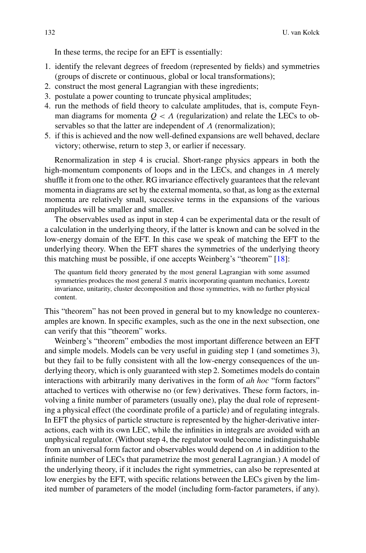In these terms, the recipe for an EFT is essentially:

- 1. identify the relevant degrees of freedom (represented by fields) and symmetries (groups of discrete or continuous, global or local transformations);
- 2. construct the most general Lagrangian with these ingredients;
- 3. postulate a power counting to truncate physical amplitudes;
- 4. run the methods of field theory to calculate amplitudes, that is, compute Feynman diagrams for momenta  $Q < \Lambda$  (regularization) and relate the LECs to observables so that the latter are independent of *Λ* (renormalization);
- 5. if this is achieved and the now well-defined expansions are well behaved, declare victory; otherwise, return to step 3, or earlier if necessary.

Renormalization in step 4 is crucial. Short-range physics appears in both the high-momentum components of loops and in the LECs, and changes in *Λ* merely shuffle it from one to the other. RG invariance effectively guarantees that the relevant momenta in diagrams are set by the external momenta, so that, as long as the external momenta are relatively small, successive terms in the expansions of the various amplitudes will be smaller and smaller.

The observables used as input in step 4 can be experimental data or the result of a calculation in the underlying theory, if the latter is known and can be solved in the low-energy domain of the EFT. In this case we speak of matching the EFT to the underlying theory. When the EFT shares the symmetries of the underlying theory this matching must be possible, if one accepts Weinberg's "theorem" [[18\]](#page-56-5):

The quantum field theory generated by the most general Lagrangian with some assumed symmetries produces the most general *S* matrix incorporating quantum mechanics, Lorentz invariance, unitarity, cluster decomposition and those symmetries, with no further physical content.

This "theorem" has not been proved in general but to my knowledge no counterexamples are known. In specific examples, such as the one in the next subsection, one can verify that this "theorem" works.

Weinberg's "theorem" embodies the most important difference between an EFT and simple models. Models can be very useful in guiding step 1 (and sometimes 3), but they fail to be fully consistent with all the low-energy consequences of the underlying theory, which is only guaranteed with step 2. Sometimes models do contain interactions with arbitrarily many derivatives in the form of *ah hoc* "form factors" attached to vertices with otherwise no (or few) derivatives. These form factors, involving a finite number of parameters (usually one), play the dual role of representing a physical effect (the coordinate profile of a particle) and of regulating integrals. In EFT the physics of particle structure is represented by the higher-derivative interactions, each with its own LEC, while the infinities in integrals are avoided with an unphysical regulator. (Without step 4, the regulator would become indistinguishable from an universal form factor and observables would depend on *Λ* in addition to the infinite number of LECs that parametrize the most general Lagrangian.) A model of the underlying theory, if it includes the right symmetries, can also be represented at low energies by the EFT, with specific relations between the LECs given by the limited number of parameters of the model (including form-factor parameters, if any).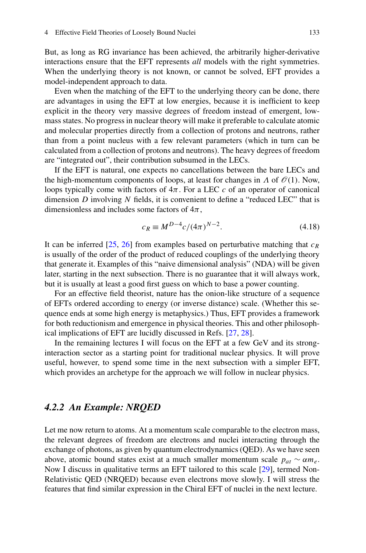But, as long as RG invariance has been achieved, the arbitrarily higher-derivative interactions ensure that the EFT represents *all* models with the right symmetries. When the underlying theory is not known, or cannot be solved, EFT provides a model-independent approach to data.

Even when the matching of the EFT to the underlying theory can be done, there are advantages in using the EFT at low energies, because it is inefficient to keep explicit in the theory very massive degrees of freedom instead of emergent, lowmass states. No progress in nuclear theory will make it preferable to calculate atomic and molecular properties directly from a collection of protons and neutrons, rather than from a point nucleus with a few relevant parameters (which in turn can be calculated from a collection of protons and neutrons). The heavy degrees of freedom are "integrated out", their contribution subsumed in the LECs.

If the EFT is natural, one expects no cancellations between the bare LECs and the high-momentum components of loops, at least for changes in  $\Lambda$  of  $\mathcal{O}(1)$ . Now, loops typically come with factors of  $4\pi$ . For a LEC *c* of an operator of canonical dimension *D* involving *N* fields, it is convenient to define a "reduced LEC" that is dimensionless and includes some factors of 4*π*,

<span id="page-10-0"></span>
$$
c_R \equiv M^{D-4} c / (4\pi)^{N-2}.
$$
\n(4.18)

It can be inferred  $[25, 26]$  $[25, 26]$  $[25, 26]$  $[25, 26]$  $[25, 26]$  from examples based on perturbative matching that  $c_R$ is usually of the order of the product of reduced couplings of the underlying theory that generate it. Examples of this "naive dimensional analysis" (NDA) will be given later, starting in the next subsection. There is no guarantee that it will always work, but it is usually at least a good first guess on which to base a power counting.

For an effective field theorist, nature has the onion-like structure of a sequence of EFTs ordered according to energy (or inverse distance) scale. (Whether this sequence ends at some high energy is metaphysics.) Thus, EFT provides a framework for both reductionism and emergence in physical theories. This and other philosophical implications of EFT are lucidly discussed in Refs. [[27,](#page-56-12) [28\]](#page-57-0).

<span id="page-10-1"></span>In the remaining lectures I will focus on the EFT at a few GeV and its stronginteraction sector as a starting point for traditional nuclear physics. It will prove useful, however, to spend some time in the next subsection with a simpler EFT, which provides an archetype for the approach we will follow in nuclear physics.

## *4.2.2 An Example: NRQED*

Let me now return to atoms. At a momentum scale comparable to the electron mass, the relevant degrees of freedom are electrons and nuclei interacting through the exchange of photons, as given by quantum electrodynamics (QED). As we have seen above, atomic bound states exist at a much smaller momentum scale  $p_{at} \sim \alpha m_e$ . Now I discuss in qualitative terms an EFT tailored to this scale [[29](#page-57-1)], termed Non-Relativistic QED (NRQED) because even electrons move slowly. I will stress the features that find similar expression in the Chiral EFT of nuclei in the next lecture.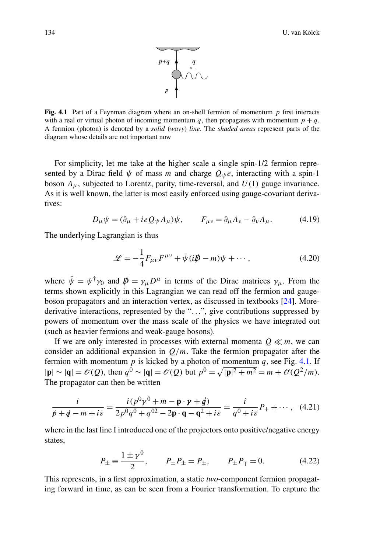

<span id="page-11-0"></span>**Fig. 4.1** Part of a Feynman diagram where an on-shell fermion of momentum *p* first interacts with a real or virtual photon of incoming momentum  $q$ , then propagates with momentum  $p + q$ . A fermion (photon) is denoted by a *solid* (*wavy*) *line*. The *shaded areas* represent parts of the diagram whose details are not important now

For simplicity, let me take at the higher scale a single spin-1/2 fermion represented by a Dirac field  $\psi$  of mass *m* and charge  $Q_{\psi}e$ , interacting with a spin-1 boson  $A_{\mu}$ , subjected to Lorentz, parity, time-reversal, and  $U(1)$  gauge invariance. As it is well known, the latter is most easily enforced using gauge-covariant derivatives:

$$
D_{\mu}\psi = (\partial_{\mu} + ieQ_{\psi}A_{\mu})\psi, \qquad F_{\mu\nu} = \partial_{\mu}A_{\nu} - \partial_{\nu}A_{\mu}.
$$
 (4.19)

The underlying Lagrangian is thus

<span id="page-11-1"></span>
$$
\mathcal{L} = -\frac{1}{4}F_{\mu\nu}F^{\mu\nu} + \bar{\psi}(i\rlap{\,/}D - m)\psi + \cdots, \qquad (4.20)
$$

where  $\bar{\psi} = \psi^{\dagger} \gamma_0$  and  $\bar{\psi} = \gamma_{\mu} D^{\mu}$  in terms of the Dirac matrices  $\gamma_{\mu}$ . From the terms shown explicitly in this Lagrangian we can read off the fermion and gaugeboson propagators and an interaction vertex, as discussed in textbooks [\[24\]](#page-56-9). Morederivative interactions, represented by the "*...*", give contributions suppressed by powers of momentum over the mass scale of the physics we have integrated out (such as heavier fermions and weak-gauge bosons).

If we are only interested in processes with external momenta  $Q \ll m$ , we can consider an additional expansion in  $Q/m$ . Take the fermion propagator after the fermion with momentum *p* is kicked by a photon of momentum *q*, see Fig. [4.1](#page-11-0). If  $|\mathbf{p}| \sim |\mathbf{q}| = \mathcal{O}(Q)$ , then  $q^0 \sim |\mathbf{q}| = \mathcal{O}(Q)$  but  $p^0 = \sqrt{|\mathbf{p}|^2 + m^2} = m + \mathcal{O}(Q^2/m)$ . The propagator can then be written

$$
\frac{i}{p+q-m+i\varepsilon} = \frac{i(p^0\gamma^0 + m - \mathbf{p}\cdot\mathbf{y} + \mathbf{q})}{2p^0q^0 + q^{02} - 2\mathbf{p}\cdot\mathbf{q} - \mathbf{q}^2 + i\varepsilon} = \frac{i}{q^0 + i\varepsilon}P_+ + \cdots, \quad (4.21)
$$

where in the last line I introduced one of the projectors onto positive/negative energy states,

$$
P_{\pm} \equiv \frac{1 \pm \gamma^0}{2}, \qquad P_{\pm} P_{\pm} = P_{\pm}, \qquad P_{\pm} P_{\mp} = 0. \tag{4.22}
$$

This represents, in a first approximation, a static *two*-component fermion propagating forward in time, as can be seen from a Fourier transformation. To capture the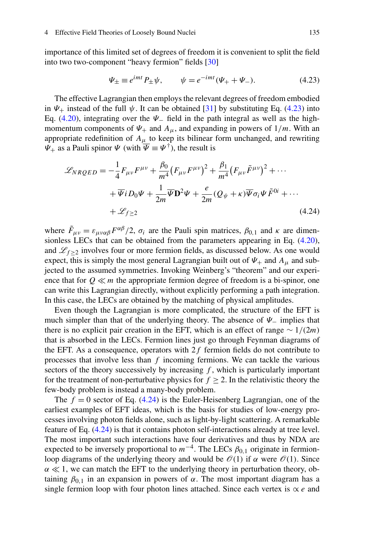importance of this limited set of degrees of freedom it is convenient to split the field into two two-component "heavy fermion" fields [\[30](#page-57-2)]

<span id="page-12-0"></span>
$$
\Psi_{\pm} \equiv e^{imt} P_{\pm} \psi, \qquad \psi = e^{-imt} (\Psi_{+} + \Psi_{-}). \tag{4.23}
$$

The effective Lagrangian then employs the relevant degrees of freedom embodied in  $\Psi_+$  instead of the full  $\psi$ . It can be obtained [[31\]](#page-57-3) by substituting Eq. [\(4.23\)](#page-12-0) into Eq. [\(4.20\)](#page-11-1), integrating over the  $\Psi$  field in the path integral as well as the highmomentum components of  $\Psi$ <sub>+</sub> and  $A$ <sub>μ</sub>, and expanding in powers of  $1/m$ . With an appropriate redefinition of  $A_\mu$  to keep its bilinear form unchanged, and rewriting *Ψ*<sub>+</sub> as a Pauli spinor *Ψ* (with  $\overline{\Psi} \equiv \Psi^{\dagger}$ ), the result is

<span id="page-12-1"></span>
$$
\mathcal{L}_{NRQED} = -\frac{1}{4}F_{\mu\nu}F^{\mu\nu} + \frac{\beta_0}{m^4}(F_{\mu\nu}F^{\mu\nu})^2 + \frac{\beta_1}{m^4}(F_{\mu\nu}\tilde{F}^{\mu\nu})^2 + \cdots + \overline{\Psi}iD_0\Psi + \frac{1}{2m}\overline{\Psi}\mathbf{D}^2\Psi + \frac{e}{2m}(\mathcal{Q}_\psi + \kappa)\overline{\Psi}\sigma_i\Psi\tilde{F}^{0i} + \cdots + \mathcal{L}_{f\geq 2}
$$
(4.24)

where  $\tilde{F}_{\mu\nu} = \varepsilon_{\mu\nu\alpha\beta} F^{\alpha\beta}/2$ ,  $\sigma_i$  are the Pauli spin matrices,  $\beta_{0,1}$  and  $\kappa$  are dimensionless LECs that can be obtained from the parameters appearing in Eq. [\(4.20\)](#page-11-1), and  $\mathcal{L}_{f>2}$  involves four or more fermion fields, as discussed below. As one would expect, this is simply the most general Lagrangian built out of  $\Psi$ <sub>+</sub> and  $A_\mu$  and subjected to the assumed symmetries. Invoking Weinberg's "theorem" and our experience that for  $Q \ll m$  the appropriate fermion degree of freedom is a bi-spinor, one can write this Lagrangian directly, without explicitly performing a path integration. In this case, the LECs are obtained by the matching of physical amplitudes.

Even though the Lagrangian is more complicated, the structure of the EFT is much simpler than that of the underlying theory. The absence of *Ψ*− implies that there is no explicit pair creation in the EFT, which is an effect of range ∼ 1*/(*2*m)* that is absorbed in the LECs. Fermion lines just go through Feynman diagrams of the EFT. As a consequence, operators with  $2f$  fermion fields do not contribute to processes that involve less than *f* incoming fermions. We can tackle the various sectors of the theory successively by increasing  $f$ , which is particularly important for the treatment of non-perturbative physics for  $f \geq 2$ . In the relativistic theory the few-body problem is instead a many-body problem.

The  $f = 0$  sector of Eq. [\(4.24](#page-12-1)) is the Euler-Heisenberg Lagrangian, one of the earliest examples of EFT ideas, which is the basis for studies of low-energy processes involving photon fields alone, such as light-by-light scattering. A remarkable feature of Eq. [\(4.24\)](#page-12-1) is that it contains photon self-interactions already at tree level. The most important such interactions have four derivatives and thus by NDA are expected to be inversely proportional to  $m^{-4}$ . The LECs  $\beta_{0,1}$  originate in fermionloop diagrams of the underlying theory and would be  $\mathcal{O}(1)$  if  $\alpha$  were  $\mathcal{O}(1)$ . Since  $\alpha \ll 1$ , we can match the EFT to the underlying theory in perturbation theory, obtaining  $\beta_{0,1}$  in an expansion in powers of  $\alpha$ . The most important diagram has a single fermion loop with four photon lines attached. Since each vertex is  $\alpha e$  and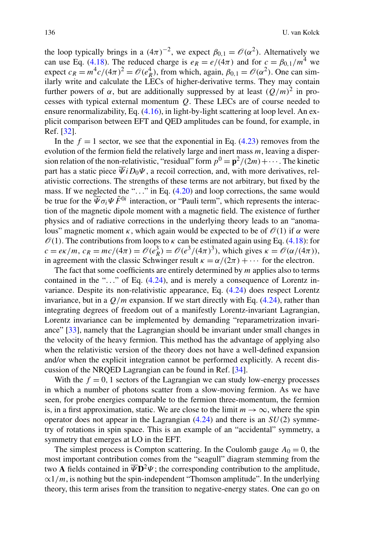the loop typically brings in a  $(4\pi)^{-2}$ , we expect  $\beta_{0,1} = \mathcal{O}(\alpha^2)$ . Alternatively we can use Eq. [\(4.18\)](#page-10-0). The reduced charge is  $e_R = e/(4\pi)$  and for  $c = \beta_{0,1}/m^4$  we expect  $c_R = m^4 c / (4\pi)^2 = \mathcal{O}(e_R^4)$ , from which, again,  $\beta_{0,1} = \mathcal{O}(\alpha^2)$ . One can similarly write and calculate the LECs of higher-derivative terms. They may contain further powers of *α*, but are additionally suppressed by at least *(Q/m)*<sup>2</sup> in processes with typical external momentum *Q*. These LECs are of course needed to ensure renormalizability, Eq.  $(4.16)$  $(4.16)$  $(4.16)$ , in light-by-light scattering at loop level. An explicit comparison between EFT and QED amplitudes can be found, for example, in Ref. [\[32](#page-57-4)].

In the  $f = 1$  sector, we see that the exponential in Eq.  $(4.23)$  $(4.23)$  removes from the evolution of the fermion field the relatively large and inert mass *m*, leaving a dispersion relation of the non-relativistic, "residual" form  $p^0 = \mathbf{p}^2/(2m) + \cdots$ . The kinetic part has a static piece  $\overline{\Psi}iD_0\Psi$ , a recoil correction, and, with more derivatives, relativistic corrections. The strengths of these terms are not arbitrary, but fixed by the mass. If we neglected the "*...*" in Eq. ([4.20](#page-11-1)) and loop corrections, the same would be true for the  $\overline{\Psi} \sigma_i \Psi \tilde{F}^{0i}$  interaction, or "Pauli term", which represents the interaction of the magnetic dipole moment with a magnetic field. The existence of further physics and of radiative corrections in the underlying theory leads to an "anomalous" magnetic moment *κ*, which again would be expected to be of  $\mathcal{O}(1)$  if  $\alpha$  were  $\mathcal{O}(1)$ . The contributions from loops to *κ* can be estimated again using Eq. [\(4.18\)](#page-10-0): for  $c = e\kappa/m$ ,  $c_R = mc/(4\pi) = \mathcal{O}(e_R^3) = \mathcal{O}(e^3/(4\pi)^3)$ , which gives  $\kappa = \mathcal{O}(\alpha/(4\pi))$ , in agreement with the classic Schwinger result  $\kappa = \alpha/(2\pi) + \cdots$  for the electron.

The fact that some coefficients are entirely determined by *m* applies also to terms contained in the "*...*" of Eq. [\(4.24\)](#page-12-1), and is merely a consequence of Lorentz invariance. Despite its non-relativistic appearance, Eq. [\(4.24\)](#page-12-1) does respect Lorentz invariance, but in a  $Q/m$  expansion. If we start directly with Eq.  $(4.24)$  $(4.24)$  $(4.24)$ , rather than integrating degrees of freedom out of a manifestly Lorentz-invariant Lagrangian, Lorentz invariance can be implemented by demanding "reparametrization invariance" [[33\]](#page-57-5), namely that the Lagrangian should be invariant under small changes in the velocity of the heavy fermion. This method has the advantage of applying also when the relativistic version of the theory does not have a well-defined expansion and/or when the explicit integration cannot be performed explicitly. A recent discussion of the NRQED Lagrangian can be found in Ref. [\[34](#page-57-6)].

With the  $f = 0$ , 1 sectors of the Lagrangian we can study low-energy processes in which a number of photons scatter from a slow-moving fermion. As we have seen, for probe energies comparable to the fermion three-momentum, the fermion is, in a first approximation, static. We are close to the limit  $m \to \infty$ , where the spin operator does not appear in the Lagrangian ([4.24](#page-12-1)) and there is an *SU(*2*)* symmetry of rotations in spin space. This is an example of an "accidental" symmetry, a symmetry that emerges at LO in the EFT.

The simplest process is Compton scattering. In the Coulomb gauge  $A_0 = 0$ , the most important contribution comes from the "seagull" diagram stemming from the two **A** fields contained in  $\overline{\Psi}D^2\Psi$ ; the corresponding contribution to the amplitude,  $\alpha$ 1/*m*, is nothing but the spin-independent "Thomson amplitude". In the underlying theory, this term arises from the transition to negative-energy states. One can go on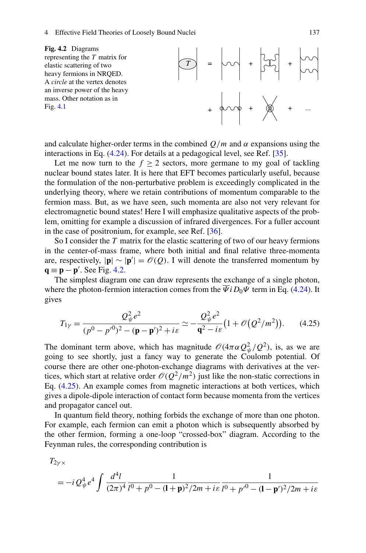<span id="page-14-0"></span>

and calculate higher-order terms in the combined  $Q/m$  and  $\alpha$  expansions using the interactions in Eq. [\(4.24\)](#page-12-1). For details at a pedagogical level, see Ref. [[35\]](#page-57-7).

Let me now turn to the  $f > 2$  sectors, more germane to my goal of tackling nuclear bound states later. It is here that EFT becomes particularly useful, because the formulation of the non-perturbative problem is exceedingly complicated in the underlying theory, where we retain contributions of momentum comparable to the fermion mass. But, as we have seen, such momenta are also not very relevant for electromagnetic bound states! Here I will emphasize qualitative aspects of the problem, omitting for example a discussion of infrared divergences. For a fuller account in the case of positronium, for example, see Ref. [[36\]](#page-57-8).

So I consider the *T* matrix for the elastic scattering of two of our heavy fermions in the center-of-mass frame, where both initial and final relative three-momenta are, respectively,  $|\mathbf{p}| \sim |\mathbf{p}'| = \mathcal{O}(Q)$ . I will denote the transferred momentum by  $\mathbf{q} \equiv \mathbf{p} - \mathbf{p}'$ . See Fig. [4.2](#page-14-0).

The simplest diagram one can draw represents the exchange of a single photon, where the photon-fermion interaction comes from the  $\overline{\Psi}iD_0\Psi$  term in Eq. ([4.24](#page-12-1)). It gives

<span id="page-14-1"></span>
$$
T_{1\gamma} = \frac{Q_{\psi}^2 e^2}{(p^0 - p'^0)^2 - (\mathbf{p} - \mathbf{p}')^2 + i\varepsilon} \simeq -\frac{Q_{\psi}^2 e^2}{\mathbf{q}^2 - i\varepsilon} \left(1 + \mathcal{O}\left(Q^2/m^2\right)\right). \tag{4.25}
$$

The dominant term above, which has magnitude  $\mathcal{O}(4\pi\alpha Q_{\psi}^2/Q^2)$ , is, as we are going to see shortly, just a fancy way to generate the Coulomb potential. Of course there are other one-photon-exchange diagrams with derivatives at the vertices, which start at relative order  $\mathcal{O}(Q^2/m^2)$  just like the non-static corrections in Eq. ([4.25](#page-14-1)). An example comes from magnetic interactions at both vertices, which gives a dipole-dipole interaction of contact form because momenta from the vertices and propagator cancel out.

In quantum field theory, nothing forbids the exchange of more than one photon. For example, each fermion can emit a photon which is subsequently absorbed by the other fermion, forming a one-loop "crossed-box" diagram. According to the Feynman rules, the corresponding contribution is

$$
T_{2\gamma\times}
$$

$$
= -i Q_{\psi}^{4} e^{4} \int \frac{d^{4}l}{(2\pi)^{4}} \frac{1}{l^{0} + p^{0} - (l + \mathbf{p})^{2}/2m + i\varepsilon} \frac{1}{l^{0} + p'^{0} - (l - \mathbf{p}')^{2}/2m + i\varepsilon}
$$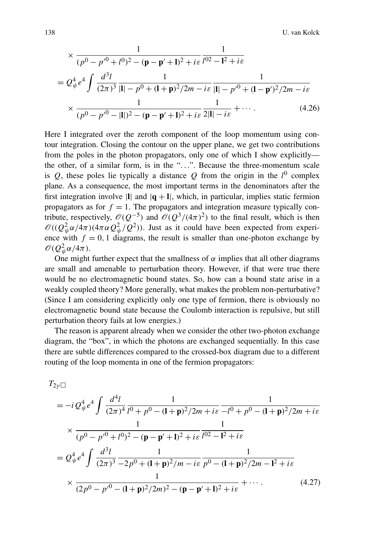<span id="page-15-0"></span>
$$
\times \frac{1}{(p^0 - p'^0 + l^0)^2 - (\mathbf{p} - \mathbf{p}' + \mathbf{l})^2 + i\varepsilon} \frac{1}{l^{02} - l^2 + i\varepsilon}
$$
  
=  $Q_{\psi}^4 e^4 \int \frac{d^3l}{(2\pi)^3} \frac{1}{|\mathbf{l}| - p^0 + (\mathbf{l} + \mathbf{p})^2 / 2m - i\varepsilon} \frac{1}{|\mathbf{l}| - p'^0 + (\mathbf{l} - \mathbf{p}')^2 / 2m - i\varepsilon}$   

$$
\times \frac{1}{(p^0 - p'^0 - |\mathbf{l}|)^2 - (\mathbf{p} - \mathbf{p}' + \mathbf{l})^2 + i\varepsilon} \frac{1}{2|\mathbf{l}| - i\varepsilon} + \cdots
$$
 (4.26)

Here I integrated over the zeroth component of the loop momentum using contour integration. Closing the contour on the upper plane, we get two contributions from the poles in the photon propagators, only one of which I show explicitly the other, of a similar form, is in the "*...*". Because the three-momentum scale is  $Q$ , these poles lie typically a distance  $Q$  from the origin in the  $l^0$  complex plane. As a consequence, the most important terms in the denominators after the first integration involve  $|\mathbf{l}|$  and  $|\mathbf{q} + \mathbf{l}|$ , which, in particular, implies static fermion propagators as for  $f = 1$ . The propagators and integration measure typically contribute, respectively,  $\mathcal{O}(Q^{-5})$  and  $\mathcal{O}(Q^3/(4\pi)^2)$  to the final result, which is then  $\mathcal{O}((Q_{\psi}^2 \alpha/4\pi)(4\pi \alpha Q_{\psi}^2/Q^2))$ . Just as it could have been expected from experience with  $f = 0, 1$  diagrams, the result is smaller than one-photon exchange by  $\mathscr{O}(Q^2_{\psi}\alpha/4\pi)$ .

One might further expect that the smallness of  $\alpha$  implies that all other diagrams are small and amenable to perturbation theory. However, if that were true there would be no electromagnetic bound states. So, how can a bound state arise in a weakly coupled theory? More generally, what makes the problem non-perturbative? (Since I am considering explicitly only one type of fermion, there is obviously no electromagnetic bound state because the Coulomb interaction is repulsive, but still perturbation theory fails at low energies.)

The reason is apparent already when we consider the other two-photon exchange diagram, the "box", in which the photons are exchanged sequentially. In this case there are subtle differences compared to the crossed-box diagram due to a different routing of the loop momenta in one of the fermion propagators:

 $T_{2\gamma}$ 

<span id="page-15-1"></span>
$$
= -i Q_{\psi}^{4} e^{4} \int \frac{d^{4}l}{(2\pi)^{4}} \frac{1}{l^{0} + p^{0} - (1 + p)^{2}/2m + i\epsilon} \frac{1}{-l^{0} + p^{0} - (1 + p)^{2}/2m + i\epsilon}
$$
  
\n
$$
\times \frac{1}{(p^{0} - p'^{0} + l^{0})^{2} - (\mathbf{p} - \mathbf{p}' + \mathbf{l})^{2} + i\epsilon} \frac{1}{l^{02} - l^{2} + i\epsilon}
$$
  
\n
$$
= Q_{\psi}^{4} e^{4} \int \frac{d^{3}l}{(2\pi)^{3}} \frac{1}{-2p^{0} + (1 + p)^{2}/m - i\epsilon} \frac{1}{p^{0} - (1 + p)^{2}/2m - l^{2} + i\epsilon}
$$
  
\n
$$
\times \frac{1}{(2p^{0} - p'^{0} - (1 + p)^{2}/2m)^{2} - (\mathbf{p} - \mathbf{p}' + \mathbf{l})^{2} + i\epsilon} + \cdots
$$
(4.27)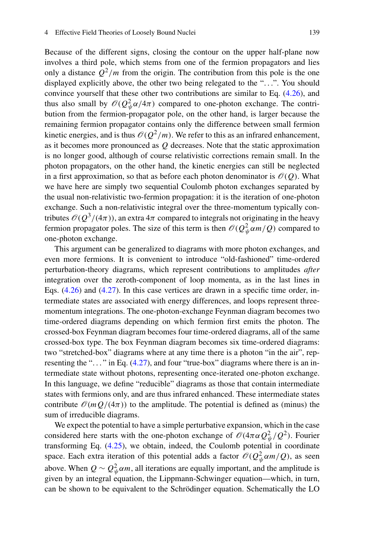Because of the different signs, closing the contour on the upper half-plane now involves a third pole, which stems from one of the fermion propagators and lies only a distance  $Q^2/m$  from the origin. The contribution from this pole is the one displayed explicitly above, the other two being relegated to the "*...*". You should convince yourself that these other two contributions are similar to Eq. ([4.26](#page-15-0)), and thus also small by  $\mathcal{O}(Q^2_{\psi} \alpha/4\pi)$  compared to one-photon exchange. The contribution from the fermion-propagator pole, on the other hand, is larger because the remaining fermion propagator contains only the difference between small fermion kinetic energies, and is thus  $\mathcal{O}(Q^2/m)$ . We refer to this as an infrared enhancement, as it becomes more pronounced as *Q* decreases. Note that the static approximation is no longer good, although of course relativistic corrections remain small. In the photon propagators, on the other hand, the kinetic energies can still be neglected in a first approximation, so that as before each photon denominator is  $\mathcal{O}(Q)$ . What we have here are simply two sequential Coulomb photon exchanges separated by the usual non-relativistic two-fermion propagation: it is the iteration of one-photon exchange. Such a non-relativistic integral over the three-momentum typically contributes  $\mathcal{O}(Q^3/(4\pi))$ , an extra  $4\pi$  compared to integrals not originating in the heavy fermion propagator poles. The size of this term is then  $\mathcal{O}(Q^2_{\psi} \alpha m/Q)$  compared to one-photon exchange.

This argument can be generalized to diagrams with more photon exchanges, and even more fermions. It is convenient to introduce "old-fashioned" time-ordered perturbation-theory diagrams, which represent contributions to amplitudes *after* integration over the zeroth-component of loop momenta, as in the last lines in Eqs. ([4.26](#page-15-0)) and [\(4.27\)](#page-15-1). In this case vertices are drawn in a specific time order, intermediate states are associated with energy differences, and loops represent threemomentum integrations. The one-photon-exchange Feynman diagram becomes two time-ordered diagrams depending on which fermion first emits the photon. The crossed-box Feynman diagram becomes four time-ordered diagrams, all of the same crossed-box type. The box Feynman diagram becomes six time-ordered diagrams: two "stretched-box" diagrams where at any time there is a photon "in the air", rep-resenting the "..." in Eq. [\(4.27](#page-15-1)), and four "true-box" diagrams where there is an intermediate state without photons, representing once-iterated one-photon exchange. In this language, we define "reducible" diagrams as those that contain intermediate states with fermions only, and are thus infrared enhanced. These intermediate states contribute  $\mathcal{O}(mQ/(4\pi))$  to the amplitude. The potential is defined as (minus) the sum of irreducible diagrams.

We expect the potential to have a simple perturbative expansion, which in the case considered here starts with the one-photon exchange of  $\mathcal{O}(4\pi\alpha Q^2_{\psi}/Q^2)$ . Fourier transforming Eq.  $(4.25)$  $(4.25)$  $(4.25)$ , we obtain, indeed, the Coulomb potential in coordinate space. Each extra iteration of this potential adds a factor  $\mathcal{O}(Q^2_{\psi}\alpha m/Q)$ , as seen above. When  $Q \sim Q_{\psi}^2 \alpha m$ , all iterations are equally important, and the amplitude is given by an integral equation, the Lippmann-Schwinger equation—which, in turn, can be shown to be equivalent to the Schrödinger equation. Schematically the LO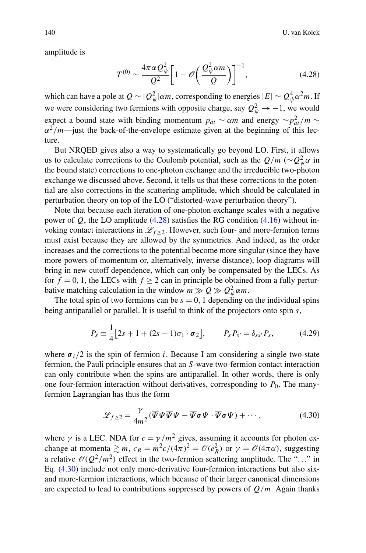amplitude is

<span id="page-17-0"></span>
$$
T^{(0)} \sim \frac{4\pi\alpha Q_{\psi}^2}{Q^2} \left[ 1 - \mathcal{O}\left(\frac{Q_{\psi}^2 \alpha m}{Q}\right) \right]^{-1},\tag{4.28}
$$

which can have a pole at  $Q \sim |Q^2_{\psi}|$  (*am* , corresponding to energies  $|E| \sim Q^4_{\psi} \alpha^2 m$  . If we were considering two fermions with opposite charge, say  $Q^2_{\psi} \to -1$ , we would expect a bound state with binding momentum  $p_{at} \sim \alpha m$  and energy  $\sim p_{at}^2/m \sim$  $\alpha^2/m$ —just the back-of-the-envelope estimate given at the beginning of this lecture.

But NRQED gives also a way to systematically go beyond LO. First, it allows us to calculate corrections to the Coulomb potential, such as the  $Q/m$  (∼ $Q^2_{\psi} \alpha$  in the bound state) corrections to one-photon exchange and the irreducible two-photon exchange we discussed above. Second, it tells us that these corrections to the potential are also corrections in the scattering amplitude, which should be calculated in perturbation theory on top of the LO ("distorted-wave perturbation theory").

Note that because each iteration of one-photon exchange scales with a negative power of  $Q$ , the LO amplitude  $(4.28)$  $(4.28)$  $(4.28)$  satisfies the RG condition  $(4.16)$  without invoking contact interactions in  $\mathcal{L}_{f>2}$ . However, such four- and more-fermion terms must exist because they are allowed by the symmetries. And indeed, as the order increases and the corrections to the potential become more singular (since they have more powers of momentum or, alternatively, inverse distance), loop diagrams will bring in new cutoff dependence, which can only be compensated by the LECs. As for  $f = 0$ , 1, the LECs with  $f \ge 2$  can in principle be obtained from a fully perturbative matching calculation in the window  $m \gg Q \gg Q_{\psi}^2 \alpha m$ .

The total spin of two fermions can be  $s = 0$ , 1 depending on the individual spins being antiparallel or parallel. It is useful to think of the projectors onto spin *s*,

<span id="page-17-2"></span><span id="page-17-1"></span>
$$
P_s \equiv \frac{1}{4} [2s + 1 + (2s - 1)\sigma_1 \cdot \sigma_2], \qquad P_s P_{s'} = \delta_{ss'} P_s, \tag{4.29}
$$

where  $\sigma_i/2$  is the spin of fermion *i*. Because I am considering a single two-state fermion, the Pauli principle ensures that an *S*-wave two-fermion contact interaction can only contribute when the spins are antiparallel. In other words, there is only one four-fermion interaction without derivatives, corresponding to  $P_0$ . The manyfermion Lagrangian has thus the form

$$
\mathcal{L}_{f\geq2} = \frac{\gamma}{4m^2} (\overline{\Psi}\Psi\overline{\Psi}\Psi - \overline{\Psi}\sigma\Psi \cdot \overline{\Psi}\sigma\Psi) + \cdots, \qquad (4.30)
$$

where  $\gamma$  is a LEC. NDA for  $c = \gamma/m^2$  gives, assuming it accounts for photon exchange at momenta  $\gtrsim m$ ,  $c_R = m^2 c / (4\pi)^2 = \mathcal{O}(e_R^2)$  or  $\gamma = \mathcal{O}(4\pi\alpha)$ , suggesting a relative  $\mathcal{O}(Q^2/m^2)$  effect in the two-fermion scattering amplitude. The "..." in Eq. ([4.30](#page-17-1)) include not only more-derivative four-fermion interactions but also sixand more-fermion interactions, which because of their larger canonical dimensions are expected to lead to contributions suppressed by powers of *Q/m*. Again thanks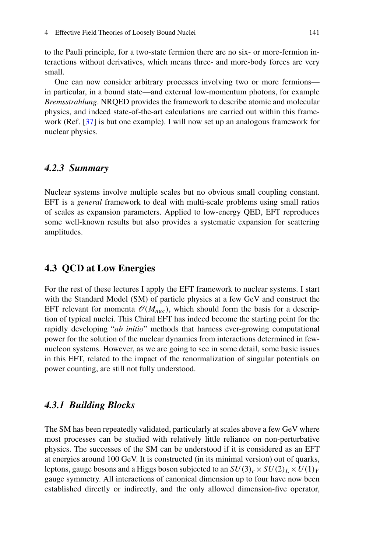to the Pauli principle, for a two-state fermion there are no six- or more-fermion interactions without derivatives, which means three- and more-body forces are very small.

One can now consider arbitrary processes involving two or more fermions in particular, in a bound state—and external low-momentum photons, for example *Bremsstrahlung*. NRQED provides the framework to describe atomic and molecular physics, and indeed state-of-the-art calculations are carried out within this framework (Ref. [\[37\]](#page-57-9) is but one example). I will now set up an analogous framework for nuclear physics.

## *4.2.3 Summary*

Nuclear systems involve multiple scales but no obvious small coupling constant. EFT is a *general* framework to deal with multi-scale problems using small ratios of scales as expansion parameters. Applied to low-energy QED, EFT reproduces some well-known results but also provides a systematic expansion for scattering amplitudes.

## **4.3 QCD at Low Energies**

For the rest of these lectures I apply the EFT framework to nuclear systems. I start with the Standard Model (SM) of particle physics at a few GeV and construct the EFT relevant for momenta  $\mathcal{O}(M_{nuc})$ , which should form the basis for a description of typical nuclei. This Chiral EFT has indeed become the starting point for the rapidly developing "*ab initio*" methods that harness ever-growing computational power for the solution of the nuclear dynamics from interactions determined in fewnucleon systems. However, as we are going to see in some detail, some basic issues in this EFT, related to the impact of the renormalization of singular potentials on power counting, are still not fully understood.

## *4.3.1 Building Blocks*

The SM has been repeatedly validated, particularly at scales above a few GeV where most processes can be studied with relatively little reliance on non-perturbative physics. The successes of the SM can be understood if it is considered as an EFT at energies around 100 GeV. It is constructed (in its minimal version) out of quarks, leptons, gauge bosons and a Higgs boson subjected to an  $SU(3)_c \times SU(2)_L \times U(1)_Y$ gauge symmetry. All interactions of canonical dimension up to four have now been established directly or indirectly, and the only allowed dimension-five operator,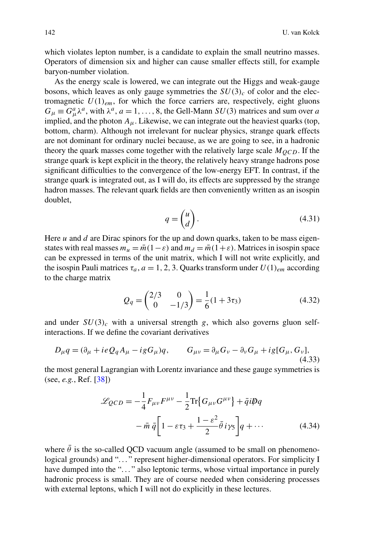which violates lepton number, is a candidate to explain the small neutrino masses. Operators of dimension six and higher can cause smaller effects still, for example baryon-number violation.

As the energy scale is lowered, we can integrate out the Higgs and weak-gauge bosons, which leaves as only gauge symmetries the  $SU(3)_c$  of color and the electromagnetic  $U(1)_{em}$ , for which the force carriers are, respectively, eight gluons  $G_{\mu} \equiv G_{\mu}^{a} \lambda^{a}$ , with  $\lambda^{a}$ ,  $a = 1, ..., 8$ , the Gell-Mann *SU(3)* matrices and sum over *a* implied, and the photon  $A_\mu$ . Likewise, we can integrate out the heaviest quarks (top, bottom, charm). Although not irrelevant for nuclear physics, strange quark effects are not dominant for ordinary nuclei because, as we are going to see, in a hadronic theory the quark masses come together with the relatively large scale  $M_{OCD}$ . If the strange quark is kept explicit in the theory, the relatively heavy strange hadrons pose significant difficulties to the convergence of the low-energy EFT. In contrast, if the strange quark is integrated out, as I will do, its effects are suppressed by the strange hadron masses. The relevant quark fields are then conveniently written as an isospin doublet,

$$
q = \begin{pmatrix} u \\ d \end{pmatrix}.
$$
 (4.31)

Here *u* and *d* are Dirac spinors for the up and down quarks, taken to be mass eigenstates with real masses  $m_u = \bar{m}(1-\varepsilon)$  and  $m_d = \bar{m}(1+\varepsilon)$ . Matrices in isospin space can be expressed in terms of the unit matrix, which I will not write explicitly, and the isospin Pauli matrices  $\tau_a$ ,  $a = 1, 2, 3$ . Quarks transform under  $U(1)_{em}$  according to the charge matrix

<span id="page-19-0"></span>
$$
Q_q = \begin{pmatrix} 2/3 & 0 \\ 0 & -1/3 \end{pmatrix} = \frac{1}{6} (1 + 3\tau_3)
$$
 (4.32)

and under  $SU(3)_c$  with a universal strength *g*, which also governs gluon selfinteractions. If we define the covariant derivatives

$$
D_{\mu}q = (\partial_{\mu} + ieQ_q A_{\mu} - igG_{\mu})q, \qquad G_{\mu\nu} = \partial_{\mu}G_{\nu} - \partial_{\nu}G_{\mu} + ig[G_{\mu}, G_{\nu}],
$$
\n(4.33)

the most general Lagrangian with Lorentz invariance and these gauge symmetries is (see, *e.g.*, Ref. [[38\]](#page-57-10))

$$
\mathcal{L}_{QCD} = -\frac{1}{4} F_{\mu\nu} F^{\mu\nu} - \frac{1}{2} \text{Tr} \{ G_{\mu\nu} G^{\mu\nu} \} + \bar{q} i \bar{\nu} q
$$

$$
- \bar{m} \bar{q} \left[ 1 - \varepsilon \tau_3 + \frac{1 - \varepsilon^2}{2} \bar{\theta} i \gamma_5 \right] q + \cdots \tag{4.34}
$$

where  $\theta$  is the so-called QCD vacuum angle (assumed to be small on phenomenological grounds) and "..." represent higher-dimensional operators. For simplicity I have dumped into the "..." also leptonic terms, whose virtual importance in purely hadronic process is small. They are of course needed when considering processes with external leptons, which I will not do explicitly in these lectures.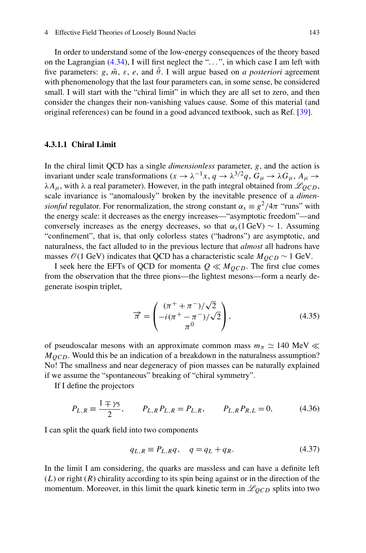In order to understand some of the low-energy consequences of the theory based on the Lagrangian  $(4.34)$  $(4.34)$  $(4.34)$ , I will first neglect the "...", in which case I am left with five parameters:  $g, \bar{m}, \varepsilon, e$ , and  $\bar{\theta}$ . I will argue based on *a posteriori* agreement with phenomenology that the last four parameters can, in some sense, be considered small. I will start with the "chiral limit" in which they are all set to zero, and then consider the changes their non-vanishing values cause. Some of this material (and original references) can be found in a good advanced textbook, such as Ref. [\[39](#page-57-11)].

### **4.3.1.1 Chiral Limit**

In the chiral limit QCD has a single *dimensionless* parameter, *g*, and the action is invariant under scale transformations ( $x \to \lambda^{-1}x$ ,  $q \to \lambda^{3/2}q$ ,  $G_{\mu} \to \lambda G_{\mu}$ ,  $A_{\mu} \to$  $\lambda A_\mu$ , with  $\lambda$  a real parameter). However, in the path integral obtained from  $\mathcal{L}_{OCD}$ , scale invariance is "anomalously" broken by the inevitable presence of a *dimensionful* regulator. For renormalization, the strong constant  $\alpha_s \equiv g^2/4\pi$  "runs" with the energy scale: it decreases as the energy increases—"asymptotic freedom"—and conversely increases as the energy decreases, so that  $\alpha_s(1 \text{ GeV}) \sim 1$ . Assuming "confinement", that is, that only colorless states ("hadrons") are asymptotic, and naturalness, the fact alluded to in the previous lecture that *almost* all hadrons have masses  $\mathcal{O}(1 \text{ GeV})$  indicates that QCD has a characteristic scale  $M_{QCD}$  ∼ 1 GeV.

I seek here the EFTs of QCD for momenta  $Q \ll M_{QCD}$ . The first clue comes from the observation that the three pions—the lightest mesons—form a nearly degenerate isospin triplet,

$$
\overrightarrow{\pi} = \begin{pmatrix} (\pi^+ + \pi^-)/\sqrt{2} \\ -i(\pi^+ - \pi^-)/\sqrt{2} \\ \pi^0 \end{pmatrix},
$$
(4.35)

of pseudoscalar mesons with an approximate common mass  $m_\pi \simeq 140 \text{ MeV} \ll$  $M_{QCD}$ . Would this be an indication of a breakdown in the naturalness assumption? No! The smallness and near degeneracy of pion masses can be naturally explained if we assume the "spontaneous" breaking of "chiral symmetry".

If I define the projectors

$$
P_{L,R} \equiv \frac{1 \mp \gamma_5}{2}, \qquad P_{L,R} P_{L,R} = P_{L,R}, \qquad P_{L,R} P_{R,L} = 0,\tag{4.36}
$$

I can split the quark field into two components

$$
q_{L,R} \equiv P_{L,R}q, \quad q = q_L + q_R. \tag{4.37}
$$

In the limit I am considering, the quarks are massless and can have a definite left (*L*) or right (*R*) chirality according to its spin being against or in the direction of the momentum. Moreover, in this limit the quark kinetic term in  $\mathcal{L}_{QCD}$  splits into two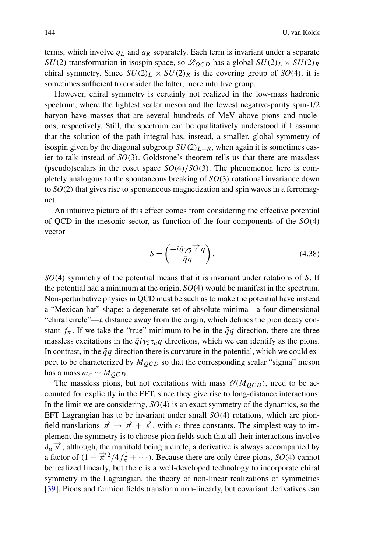terms, which involve *qL* and *qR* separately. Each term is invariant under a separate *SU(2)* transformation in isospin space, so  $\mathcal{L}_{QCD}$  has a global  $SU(2)_L \times SU(2)_R$ chiral symmetry. Since  $SU(2)_L \times SU(2)_R$  is the covering group of  $SO(4)$ , it is sometimes sufficient to consider the latter, more intuitive group.

However, chiral symmetry is certainly not realized in the low-mass hadronic spectrum, where the lightest scalar meson and the lowest negative-parity spin-1/2 baryon have masses that are several hundreds of MeV above pions and nucleons, respectively. Still, the spectrum can be qualitatively understood if I assume that the solution of the path integral has, instead, a smaller, global symmetry of isospin given by the diagonal subgroup  $SU(2)_{L+R}$ , when again it is sometimes easier to talk instead of *SO(*3*)*. Goldstone's theorem tells us that there are massless (pseudo)scalars in the coset space  $SO(4)/SO(3)$ . The phenomenon here is completely analogous to the spontaneous breaking of *SO(*3*)* rotational invariance down to *SO(*2*)* that gives rise to spontaneous magnetization and spin waves in a ferromagnet.

An intuitive picture of this effect comes from considering the effective potential of QCD in the mesonic sector, as function of the four components of the *SO(*4*)* vector

<span id="page-21-0"></span>
$$
S = \begin{pmatrix} -i\,\bar{q}\,\gamma_5 \,\overrightarrow{\tau}\,q \\ \bar{q}\,q \end{pmatrix} . \tag{4.38}
$$

*SO(*4*)* symmetry of the potential means that it is invariant under rotations of *S*. If the potential had a minimum at the origin, *SO(*4*)* would be manifest in the spectrum. Non-perturbative physics in QCD must be such as to make the potential have instead a "Mexican hat" shape: a degenerate set of absolute minima—a four-dimensional "chiral circle"—a distance away from the origin, which defines the pion decay constant  $f_{\pi}$ . If we take the "true" minimum to be in the  $\bar{q}q$  direction, there are three massless excitations in the  $\bar{q}$ *i*  $\gamma$ <sup>5</sup> $\tau$ <sub>*a*</sub> $q$ </sub> directions, which we can identify as the pions. In contrast, in the  $\bar{q}q$  direction there is curvature in the potential, which we could expect to be characterized by  $M_{QCD}$  so that the corresponding scalar "sigma" meson has a mass  $m_{\sigma} \sim M_{QCD}$ .

The massless pions, but not excitations with mass  $\mathcal{O}(M_{OCD})$ , need to be accounted for explicitly in the EFT, since they give rise to long-distance interactions. In the limit we are considering, *SO(*4*)* is an exact symmetry of the dynamics, so the EFT Lagrangian has to be invariant under small *SO(*4*)* rotations, which are pionfield translations  $\vec{\pi} \rightarrow \vec{\pi} + \vec{\epsilon}$ , with  $\varepsilon_i$  three constants. The simplest way to implement the symmetry is to choose pion fields such that all their interactions involve  $\frac{1}{\partial \mu}$   $\vec{\pi}$ , although, the manifold being a circle, a derivative is always accompanied by a factor of  $(1 - \overrightarrow{\pi}^2/4f_{\pi}^2 + \cdots)$ . Because there are only three pions, *SO*(4) cannot be realized linearly, but there is a well-developed technology to incorporate chiral symmetry in the Lagrangian, the theory of non-linear realizations of symmetries [\[39](#page-57-11)]. Pions and fermion fields transform non-linearly, but covariant derivatives can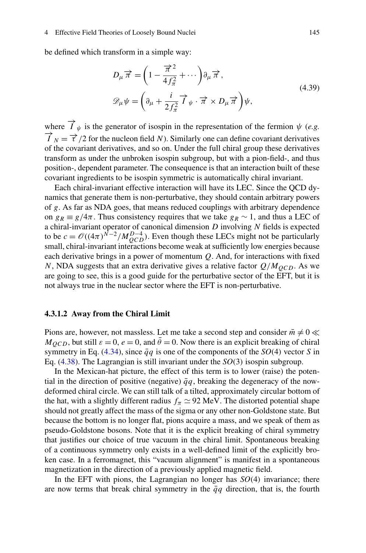be defined which transform in a simple way:

<span id="page-22-0"></span>
$$
D_{\mu}\overrightarrow{\pi} = \left(1 - \frac{\overrightarrow{\pi}^2}{4f_{\pi}^2} + \cdots\right)\partial_{\mu}\overrightarrow{\pi},
$$
  

$$
\mathscr{D}_{\mu}\psi = \left(\partial_{\mu} + \frac{i}{2f_{\pi}^2}\overrightarrow{I}_{\psi}\cdot\overrightarrow{\pi} \times D_{\mu}\overrightarrow{\pi}\right)\psi,
$$
 (4.39)

where  $\overrightarrow{I}_{\psi}$  is the generator of isospin in the representation of the fermion  $\psi$  (e.g.  $\overrightarrow{I}_{N} = \overrightarrow{\tau}/2$  for the nucleon field N). Similarly one can define covariant derivatives of the covariant derivatives, and so on. Under the full chiral group these derivatives transform as under the unbroken isospin subgroup, but with a pion-field-, and thus position-, dependent parameter. The consequence is that an interaction built of these covariant ingredients to be isospin symmetric is automatically chiral invariant.

Each chiral-invariant effective interaction will have its LEC. Since the QCD dynamics that generate them is non-perturbative, they should contain arbitrary powers of *g*. As far as NDA goes, that means reduced couplings with arbitrary dependence on  $g_R \equiv g/4\pi$ . Thus consistency requires that we take  $g_R \sim 1$ , and thus a LEC of a chiral-invariant operator of canonical dimension *D* involving *N* fields is expected to be  $c = \mathcal{O}((4\pi)^{\tilde{N}-2}/M_{QCD}^{D-4})$ . Even though these LECs might not be particularly small, chiral-invariant interactions become weak at sufficiently low energies because each derivative brings in a power of momentum *Q*. And, for interactions with fixed *N*, NDA suggests that an extra derivative gives a relative factor  $Q/M_{QCD}$ . As we are going to see, this is a good guide for the perturbative sector of the EFT, but it is not always true in the nuclear sector where the EFT is non-perturbative.

#### **4.3.1.2 Away from the Chiral Limit**

Pions are, however, not massless. Let me take a second step and consider  $\bar{m} \neq 0 \ll 1$  $M_{QCD}$ , but still  $\varepsilon = 0$ ,  $e = 0$ , and  $\bar{\theta} = 0$ . Now there is an explicit breaking of chiral symmetry in Eq. [\(4.34\)](#page-19-0), since  $\bar{q}q$  is one of the components of the *SO*(4) vector *S* in Eq. [\(4.38\)](#page-21-0). The Lagrangian is still invariant under the *SO(*3*)* isospin subgroup.

In the Mexican-hat picture, the effect of this term is to lower (raise) the potential in the direction of positive (negative)  $\bar{q}q$ , breaking the degeneracy of the nowdeformed chiral circle. We can still talk of a tilted, approximately circular bottom of the hat, with a slightly different radius  $f_\pi \simeq 92 \text{ MeV}$ . The distorted potential shape should not greatly affect the mass of the sigma or any other non-Goldstone state. But because the bottom is no longer flat, pions acquire a mass, and we speak of them as pseudo-Goldstone bosons. Note that it is the explicit breaking of chiral symmetry that justifies our choice of true vacuum in the chiral limit. Spontaneous breaking of a continuous symmetry only exists in a well-defined limit of the explicitly broken case. In a ferromagnet, this "vacuum alignment" is manifest in a spontaneous magnetization in the direction of a previously applied magnetic field.

In the EFT with pions, the Lagrangian no longer has *SO(*4*)* invariance; there are now terms that break chiral symmetry in the  $\bar{q}q$  direction, that is, the fourth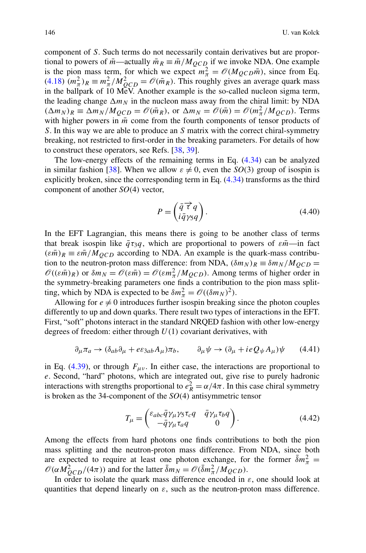component of *S*. Such terms do not necessarily contain derivatives but are proportional to powers of  $\bar{m}$ —actually  $\bar{m}_R \equiv \bar{m}/M_{OCD}$  if we invoke NDA. One example is the pion mass term, for which we expect  $m_{\pi}^2 = \mathcal{O}(M_{QCD}\bar{m})$ , since from Eq.  $(4.18)$   $(m_{\pi}^2)_R \equiv m_{\pi}^2 / M_{QCD}^2 = \mathcal{O}(\bar{m}_R)$ . This roughly gives an average quark mass in the ballpark of 10 MeV. Another example is the so-called nucleon sigma term, the leading change  $\Delta m_N$  in the nucleon mass away from the chiral limit: by NDA  $(\Delta m_N)_R \equiv \Delta m_N / M_{QCD} = \mathcal{O}(\bar{m}_R)$ , or  $\Delta m_N = \mathcal{O}(\bar{m}) = \mathcal{O}(m_\pi^2 / M_{QCD})$ . Terms with higher powers in  $\bar{m}$  come from the fourth components of tensor products of *S*. In this way we are able to produce an *S* matrix with the correct chiral-symmetry breaking, not restricted to first-order in the breaking parameters. For details of how to construct these operators, see Refs. [[38,](#page-57-10) [39\]](#page-57-11).

The low-energy effects of the remaining terms in Eq. ([4.34](#page-19-0)) can be analyzed in similar fashion [\[38](#page-57-10)]. When we allow  $\varepsilon \neq 0$ , even the *SO*(3) group of isospin is explicitly broken, since the corresponding term in Eq. [\(4.34\)](#page-19-0) transforms as the third component of another *SO(*4*)* vector,

<span id="page-23-0"></span>
$$
P = \begin{pmatrix} \bar{q} \ \overrightarrow{\tau} \ q \\ i \bar{q} \gamma s q \end{pmatrix} . \tag{4.40}
$$

In the EFT Lagrangian, this means there is going to be another class of terms that break isospin like  $\bar{q}\tau_3 q$ , which are proportional to powers of  $\varepsilon \bar{m}$ —in fact  $(\varepsilon \bar{m})_R \equiv \varepsilon \bar{m}/M_{OCD}$  according to NDA. An example is the quark-mass contribution to the neutron-proton mass difference: from NDA,  $(\delta m_N)_R \equiv \delta m_N / M_{QCD}$  $\mathcal{O}((\varepsilon \bar{m})_R)$  or  $\delta m_N = \mathcal{O}(\varepsilon \bar{m}) = \mathcal{O}(\varepsilon m_\pi^2 / M_{QCD})$ . Among terms of higher order in the symmetry-breaking parameters one finds a contribution to the pion mass splitting, which by NDA is expected to be  $\delta m_{\pi}^2 = \mathcal{O}((\delta m_N)^2)$ .

Allowing for  $e \neq 0$  introduces further isospin breaking since the photon couples differently to up and down quarks. There result two types of interactions in the EFT. First, "soft" photons interact in the standard NRQED fashion with other low-energy degrees of freedom: either through *U(*1*)* covariant derivatives, with

$$
\partial_{\mu}\pi_{a} \to (\delta_{ab}\partial_{\mu} + e\varepsilon_{3ab}A_{\mu})\pi_{b}, \qquad \partial_{\mu}\psi \to (\partial_{\mu} + ieQ_{\psi}A_{\mu})\psi \qquad (4.41)
$$

in Eq.  $(4.39)$  $(4.39)$  $(4.39)$ , or through  $F_{\mu\nu}$ . In either case, the interactions are proportional to *e*. Second, "hard" photons, which are integrated out, give rise to purely hadronic interactions with strengths proportional to  $e_R^2 = \alpha/4\pi$ . In this case chiral symmetry is broken as the 34-component of the *SO(*4*)* antisymmetric tensor

$$
T_{\mu} = \begin{pmatrix} \varepsilon_{abc} \bar{q} \gamma_{\mu} \gamma_5 \tau_c q & \bar{q} \gamma_{\mu} \tau_b q \\ -\bar{q} \gamma_{\mu} \tau_a q & 0 \end{pmatrix} . \tag{4.42}
$$

Among the effects from hard photons one finds contributions to both the pion mass splitting and the neutron-proton mass difference. From NDA, since both are expected to require at least one photon exchange, for the former  $\bar{\delta}m_{\pi}^2$  =  $\mathcal{O}(\alpha M_{QCD}^2/(4\pi))$  and for the latter  $\bar{\delta}m_N = \mathcal{O}(\bar{\delta}m_\pi^2/M_{QCD})$ .

In order to isolate the quark mass difference encoded in *ε*, one should look at quantities that depend linearly on  $\varepsilon$ , such as the neutron-proton mass difference.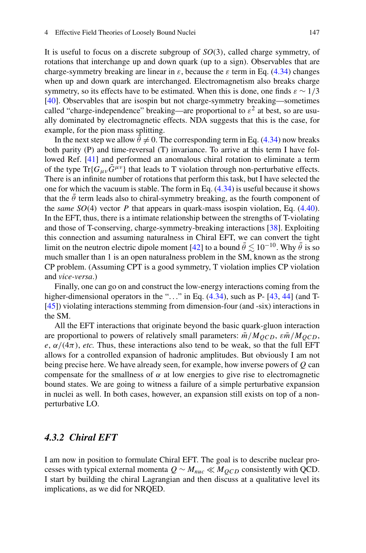It is useful to focus on a discrete subgroup of *SO(*3*)*, called charge symmetry, of rotations that interchange up and down quark (up to a sign). Observables that are charge-symmetry breaking are linear in  $\varepsilon$ , because the  $\varepsilon$  term in Eq. [\(4.34\)](#page-19-0) changes when up and down quark are interchanged. Electromagnetism also breaks charge symmetry, so its effects have to be estimated. When this is done, one finds  $\varepsilon \sim 1/3$ [\[40](#page-57-12)]. Observables that are isospin but not charge-symmetry breaking—sometimes called "charge-independence" breaking—are proportional to  $\varepsilon^2$  at best, so are usually dominated by electromagnetic effects. NDA suggests that this is the case, for example, for the pion mass splitting.

In the next step we allow  $\bar{\theta} \neq 0$ . The corresponding term in Eq. ([4.34](#page-19-0)) now breaks both parity (P) and time-reversal (T) invariance. To arrive at this term I have followed Ref. [\[41](#page-57-13)] and performed an anomalous chiral rotation to eliminate a term of the type  $\text{Tr}\{G_{\mu\nu}\tilde{G}^{\mu\nu}\}\$  that leads to T violation through non-perturbative effects. There is an infinite number of rotations that perform this task, but I have selected the one for which the vacuum is stable. The form in Eq.  $(4.34)$  $(4.34)$  $(4.34)$  is useful because it shows that the  $\bar{\theta}$  term leads also to chiral-symmetry breaking, as the fourth component of the *same SO*(4) vector *P* that appears in quark-mass isospin violation, Eq.  $(4.40)$ . In the EFT, thus, there is a intimate relationship between the strengths of T-violating and those of T-conserving, charge-symmetry-breaking interactions [\[38](#page-57-10)]. Exploiting this connection and assuming naturalness in Chiral EFT, we can convert the tight limit on the neutron electric dipole moment [[42\]](#page-57-14) to a bound  $\bar{\theta} \lesssim 10^{-10}$ . Why  $\bar{\theta}$  is so much smaller than 1 is an open naturalness problem in the SM, known as the strong CP problem. (Assuming CPT is a good symmetry, T violation implies CP violation and *vice-versa*.)

Finally, one can go on and construct the low-energy interactions coming from the higher-dimensional operators in the "..." in Eq. [\(4.34\)](#page-19-0), such as P- [\[43](#page-57-15), [44](#page-57-16)] (and T-[\[45](#page-57-17)]) violating interactions stemming from dimension-four (and -six) interactions in the SM.

All the EFT interactions that originate beyond the basic quark-gluon interaction are proportional to powers of relatively small parameters:  $\bar{m}/M_{QCD}$ ,  $\varepsilon \bar{m}/M_{QCD}$ ,  $e, \alpha/(4\pi)$ , *etc.* Thus, these interactions also tend to be weak, so that the full EFT allows for a controlled expansion of hadronic amplitudes. But obviously I am not being precise here. We have already seen, for example, how inverse powers of *Q* can compensate for the smallness of  $\alpha$  at low energies to give rise to electromagnetic bound states. We are going to witness a failure of a simple perturbative expansion in nuclei as well. In both cases, however, an expansion still exists on top of a nonperturbative LO.

## *4.3.2 Chiral EFT*

I am now in position to formulate Chiral EFT. The goal is to describe nuclear processes with typical external momenta  $Q \sim M_{nuc} \ll M_{QCD}$  consistently with QCD. I start by building the chiral Lagrangian and then discuss at a qualitative level its implications, as we did for NRQED.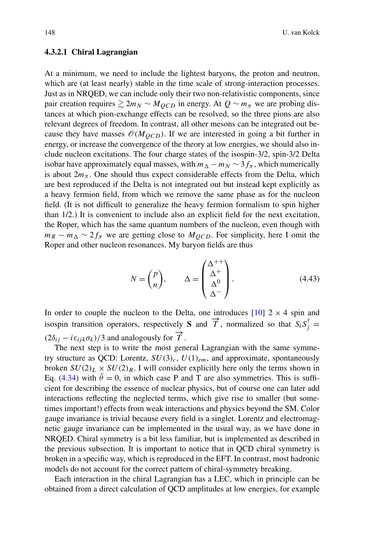#### **4.3.2.1 Chiral Lagrangian**

At a minimum, we need to include the lightest baryons, the proton and neutron, which are (at least nearly) stable in the time scale of strong-interaction processes. Just as in NRQED, we can include only their two non-relativistic components, since pair creation requires  $\geq 2m_N \sim M_{QCD}$  in energy. At  $Q \sim m_\pi$  we are probing distances at which pion-exchange effects can be resolved, so the three pions are also relevant degrees of freedom. In contrast, all other mesons can be integrated out because they have masses  $\mathcal{O}(M_{OCD})$ . If we are interested in going a bit further in energy, or increase the convergence of the theory at low energies, we should also include nucleon excitations. The four charge states of the isospin-3/2, spin-3/2 Delta isobar have approximately equal masses, with  $m_{\Delta} - m_N \sim 3 f_{\pi}$ , which numerically is about  $2m_\pi$ . One should thus expect considerable effects from the Delta, which are best reproduced if the Delta is not integrated out but instead kept explicitly as a heavy fermion field, from which we remove the same phase as for the nucleon field. (It is not difficult to generalize the heavy fermion formalism to spin higher than 1/2.) It is convenient to include also an explicit field for the next excitation, the Roper, which has the same quantum numbers of the nucleon, even though with  $m_R - m_\Delta \sim 2 f_\pi$  we are getting close to  $M_{OCD}$ . For simplicity, here I omit the Roper and other nucleon resonances. My baryon fields are thus

$$
N = \begin{pmatrix} p \\ n \end{pmatrix}, \qquad \Delta = \begin{pmatrix} \Delta^{++} \\ \Delta^+ \\ \Delta^0 \\ \Delta^- \end{pmatrix}.
$$
 (4.43)

In order to couple the nucleon to the Delta, one introduces  $[10]$  $[10]$  2  $\times$  4 spin and isospin transition operators, respectively **S** and  $\overrightarrow{T}$ , normalized so that  $S_i S_j^{\dagger} =$  $(2\delta_{ij} - i\varepsilon_{ijk}\sigma_k)/3$  and analogously for  $\overrightarrow{T}$ .

The next step is to write the most general Lagrangian with the same symmetry structure as QCD: Lorentz,  $SU(3)_c$ ,  $U(1)_{em}$ , and approximate, spontaneously broken  $SU(2)_L \times SU(2)_R$ . I will consider explicitly here only the terms shown in Eq. [\(4.34\)](#page-19-0) with  $\theta = 0$ , in which case P and T are also symmetries. This is sufficient for describing the essence of nuclear physics, but of course one can later add interactions reflecting the neglected terms, which give rise to smaller (but sometimes important!) effects from weak interactions and physics beyond the SM. Color gauge invariance is trivial because every field is a singlet. Lorentz and electromagnetic gauge invariance can be implemented in the usual way, as we have done in NRQED. Chiral symmetry is a bit less familiar, but is implemented as described in the previous subsection. It is important to notice that in QCD chiral symmetry is broken in a specific way, which is reproduced in the EFT. In contrast, most hadronic models do not account for the correct pattern of chiral-symmetry breaking.

Each interaction in the chiral Lagrangian has a LEC, which in principle can be obtained from a direct calculation of QCD amplitudes at low energies, for example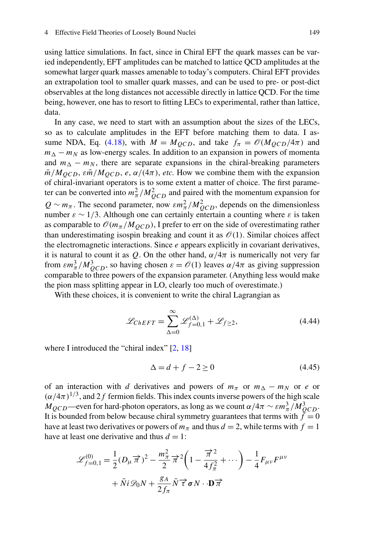using lattice simulations. In fact, since in Chiral EFT the quark masses can be varied independently, EFT amplitudes can be matched to lattice QCD amplitudes at the somewhat larger quark masses amenable to today's computers. Chiral EFT provides an extrapolation tool to smaller quark masses, and can be used to pre- or post-dict observables at the long distances not accessible directly in lattice QCD. For the time being, however, one has to resort to fitting LECs to experimental, rather than lattice, data.

In any case, we need to start with an assumption about the sizes of the LECs, so as to calculate amplitudes in the EFT before matching them to data. I as-sume NDA, Eq. ([4.18](#page-10-0)), with  $M = M_{QCD}$ , and take  $f_{\pi} = \mathcal{O}(M_{QCD}/4\pi)$  and  $m_{\Delta} - m_N$  as low-energy scales. In addition to an expansion in powers of momenta and  $m_{\Delta} - m_N$ , there are separate expansions in the chiral-breaking parameters  $\bar{m}/M_{QCD}$ ,  $\varepsilon \bar{m}/M_{QCD}$ , *e*,  $\alpha/(4\pi)$ , *etc.* How we combine them with the expansion of chiral-invariant operators is to some extent a matter of choice. The first parameter can be converted into  $m_{\pi}^2 / M_{QCD}^2$  and paired with the momentum expansion for  $Q \sim m_{\pi}$ . The second parameter, now  $\epsilon m_{\pi}^2 / M_{QCD}^2$ , depends on the dimensionless number *ε* ∼ 1*/*3. Although one can certainly entertain a counting where *ε* is taken as comparable to  $\mathcal{O}(m_\pi/M_{OCD})$ , I prefer to err on the side of overestimating rather than underestimating isospin breaking and count it as  $\mathcal{O}(1)$ . Similar choices affect the electromagnetic interactions. Since *e* appears explicitly in covariant derivatives, it is natural to count it as  $Q$ . On the other hand,  $\alpha/4\pi$  is numerically not very far from  $\epsilon m_{\pi}^3 / M_{QCD}^3$ , so having chosen  $\epsilon = \mathcal{O}(1)$  leaves  $\alpha / 4\pi$  as giving suppression comparable to three powers of the expansion parameter. (Anything less would make the pion mass splitting appear in LO, clearly too much of overestimate.)

With these choices, it is convenient to write the chiral Lagrangian as

$$
\mathcal{L}_{ChEFT} = \sum_{\Delta=0}^{\infty} \mathcal{L}_{f=0,1}^{(\Delta)} + \mathcal{L}_{f\geq 2},\tag{4.44}
$$

where I introduced the "chiral index" [\[2,](#page-56-13) [18\]](#page-56-5)

<span id="page-26-0"></span>
$$
\Delta = d + f - 2 \ge 0\tag{4.45}
$$

of an interaction with *d* derivatives and powers of  $m<sub>\pi</sub>$  or  $m<sub>\Delta</sub> - m<sub>N</sub>$  or *e* or  $(\alpha/4\pi)^{1/3}$ , and 2*f* fermion fields. This index counts inverse powers of the high scale *M*<sub>QCD</sub>—even for hard-photon operators, as long as we count  $\alpha/4\pi \sim \varepsilon m_{\pi}^3/M_{QCD}^3$ . It is bounded from below because chiral symmetry guarantees that terms with  $\tilde{f} = 0$ have at least two derivatives or powers of  $m<sub>\pi</sub>$  and thus  $d = 2$ , while terms with  $f = 1$ have at least one derivative and thus  $d = 1$ :

$$
\mathcal{L}_{f=0,1}^{(0)} = \frac{1}{2} (D_{\mu} \overrightarrow{\pi})^2 - \frac{m_{\pi}^2}{2} \overrightarrow{\pi}^2 \left( 1 - \frac{\overrightarrow{\pi}^2}{4 f_{\pi}^2} + \cdots \right) - \frac{1}{4} F_{\mu\nu} F^{\mu\nu} + \bar{N} i \mathcal{D}_0 N + \frac{g_A}{2 f_{\pi}} \bar{N} \overrightarrow{\tau} \sigma N \cdot \mathbf{D} \overrightarrow{\pi}
$$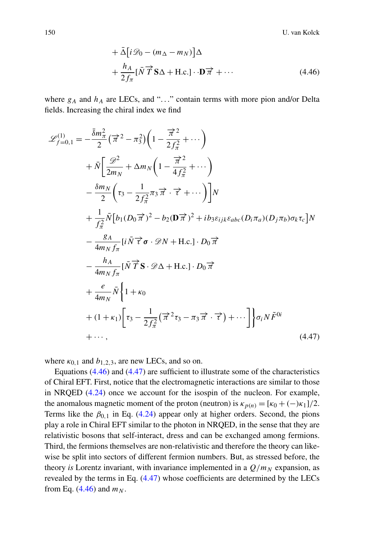150 U. van Kolck

<span id="page-27-0"></span>
$$
+\bar{\Delta} \left[ i \mathcal{D}_0 - (m_{\Delta} - m_N) \right] \Delta + \frac{h_A}{2 f_\pi} \left[ \bar{N} \overrightarrow{T} S \Delta + \text{H.c.} \right] \cdot \mathbf{D} \overrightarrow{\pi} + \cdots
$$
 (4.46)

where  $g_A$  and  $h_A$  are LECs, and "..." contain terms with more pion and/or Delta fields. Increasing the chiral index we find

$$
\mathcal{L}_{f=0,1}^{(1)} = -\frac{\bar{\delta}m_{\pi}^{2}}{2} \left(\vec{\pi}^{2} - \pi_{3}^{2}\right) \left(1 - \frac{\vec{\pi}^{2}}{2f_{\pi}^{2}} + \cdots\right) \n+ \bar{N}\left[\frac{\mathcal{D}^{2}}{2m_{N}} + \Delta m_{N}\left(1 - \frac{\vec{\pi}^{2}}{4f_{\pi}^{2}} + \cdots\right) \n- \frac{\delta m_{N}}{2} \left(\tau_{3} - \frac{1}{2f_{\pi}^{2}}\tau_{3}\vec{\pi} \cdot \vec{\tau} + \cdots\right)\right] N \n+ \frac{1}{f_{\pi}^{2}} \bar{N}\left[b_{1}(D_{0}\vec{\pi})^{2} - b_{2}(\mathbf{D}\vec{\pi})^{2} + ib_{3}\varepsilon_{ijk}\varepsilon_{abc}(D_{i}\pi_{a})(D_{j}\pi_{b})\sigma_{k}\tau_{c}\right] N \n- \frac{g_{A}}{4m_{N}f_{\pi}}\left[i\bar{N}\vec{\tau}\sigma \cdot \mathcal{D}N + \text{H.c.}\right] \cdot D_{0}\vec{\pi} \n- \frac{h_{A}}{4m_{N}f_{\pi}}\left[\bar{N}\vec{\tau}\mathbf{S} \cdot \mathcal{D}\Delta + \text{H.c.}\right] \cdot D_{0}\vec{\pi} \n+ \frac{e}{4m_{N}}\bar{N}\left\{1 + \kappa_{0} \n+ (1 + \kappa_{1})\left[\tau_{3} - \frac{1}{2f_{\pi}^{2}}\left(\vec{\pi}^{2}\tau_{3} - \pi_{3}\vec{\pi} \cdot \vec{\tau}\right) + \cdots\right]\right\} \sigma_{i}N\tilde{F}^{0i} \n+ \cdots, \tag{4.47}
$$

<span id="page-27-1"></span>where  $\kappa_{0,1}$  and  $b_{1,2,3}$ , are new LECs, and so on.

Equations [\(4.46\)](#page-27-0) and ([4.47](#page-27-1)) are sufficient to illustrate some of the characteristics of Chiral EFT. First, notice that the electromagnetic interactions are similar to those in NRQED ([4.24\)](#page-12-1) once we account for the isospin of the nucleon. For example, the anomalous magnetic moment of the proton (neutron) is  $\kappa_{p(n)} = [\kappa_0 + (-\kappa_1)/2]$ . Terms like the  $\beta_{0,1}$  in Eq. [\(4.24\)](#page-12-1) appear only at higher orders. Second, the pions play a role in Chiral EFT similar to the photon in NRQED, in the sense that they are relativistic bosons that self-interact, dress and can be exchanged among fermions. Third, the fermions themselves are non-relativistic and therefore the theory can likewise be split into sectors of different fermion numbers. But, as stressed before, the theory *is* Lorentz invariant, with invariance implemented in a  $Q/m_N$  expansion, as revealed by the terms in Eq. ([4.47\)](#page-27-1) whose coefficients are determined by the LECs from Eq.  $(4.46)$  $(4.46)$  and  $m<sub>N</sub>$ .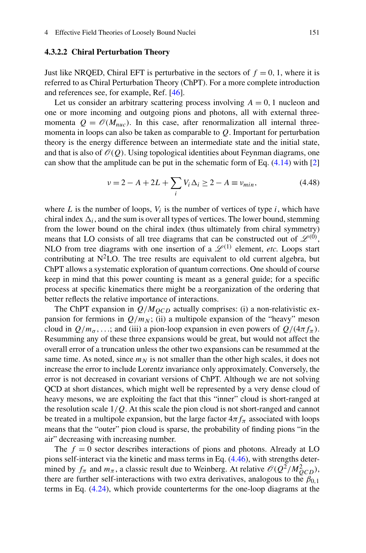#### **4.3.2.2 Chiral Perturbation Theory**

Just like NRQED, Chiral EFT is perturbative in the sectors of  $f = 0, 1$ , where it is referred to as Chiral Perturbation Theory (ChPT). For a more complete introduction and references see, for example, Ref. [\[46](#page-57-18)].

Let us consider an arbitrary scattering process involving  $A = 0, 1$  nucleon and one or more incoming and outgoing pions and photons, all with external threemomenta  $Q = \mathcal{O}(M_{nuc})$ . In this case, after renormalization all internal threemomenta in loops can also be taken as comparable to *Q*. Important for perturbation theory is the energy difference between an intermediate state and the initial state, and that is also of  $\mathcal{O}(Q)$ . Using topological identities about Feynman diagrams, one can show that the amplitude can be put in the schematic form of Eq.  $(4.14)$  with [\[2](#page-56-13)]

<span id="page-28-0"></span>
$$
\nu = 2 - A + 2L + \sum_{i} V_i \Delta_i \ge 2 - A \equiv \nu_{min},
$$
\n(4.48)

where *L* is the number of loops,  $V_i$  is the number of vertices of type *i*, which have chiral index  $\Delta_i$ , and the sum is over all types of vertices. The lower bound, stemming from the lower bound on the chiral index (thus ultimately from chiral symmetry) means that LO consists of all tree diagrams that can be constructed out of  $\mathcal{L}^{(0)}$ , NLO from tree diagrams with one insertion of a  $\mathcal{L}^{(1)}$  element, *etc*. Loops start contributing at  $N^2LO$ . The tree results are equivalent to old current algebra, but ChPT allows a systematic exploration of quantum corrections. One should of course keep in mind that this power counting is meant as a general guide; for a specific process at specific kinematics there might be a reorganization of the ordering that better reflects the relative importance of interactions.

The ChPT expansion in  $Q/M_{OCD}$  actually comprises: (i) a non-relativistic expansion for fermions in  $Q/m_N$ ; (ii) a multipole expansion of the "heavy" meson cloud in  $Q/m_{\sigma}$ ,...; and (iii) a pion-loop expansion in even powers of  $Q/(4\pi f_{\pi})$ . Resumming any of these three expansions would be great, but would not affect the overall error of a truncation unless the other two expansions can be resummed at the same time. As noted, since  $m_N$  is not smaller than the other high scales, it does not increase the error to include Lorentz invariance only approximately. Conversely, the error is not decreased in covariant versions of ChPT. Although we are not solving QCD at short distances, which might well be represented by a very dense cloud of heavy mesons, we are exploiting the fact that this "inner" cloud is short-ranged at the resolution scale 1*/Q*. At this scale the pion cloud is not short-ranged and cannot be treated in a multipole expansion, but the large factor  $4\pi f_{\pi}$  associated with loops means that the "outer" pion cloud is sparse, the probability of finding pions "in the air" decreasing with increasing number.

The  $f = 0$  sector describes interactions of pions and photons. Already at LO pions self-interact via the kinetic and mass terms in Eq. ([4.46](#page-27-0)), with strengths determined by  $f_{\pi}$  and  $m_{\pi}$ , a classic result due to Weinberg. At relative  $\mathcal{O}(Q^2/M_{QCD}^2)$ , there are further self-interactions with two extra derivatives, analogous to the  $\beta_{0,1}$ terms in Eq. ([4.24\)](#page-12-1), which provide counterterms for the one-loop diagrams at the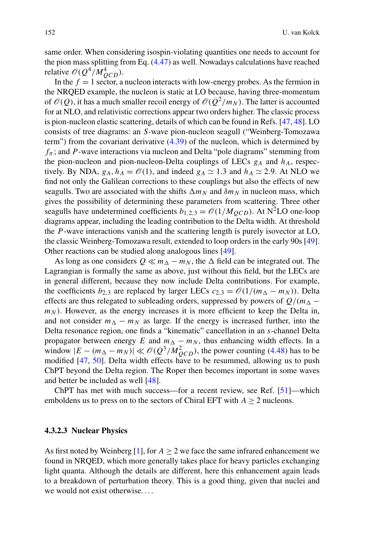same order. When considering isospin-violating quantities one needs to account for the pion mass splitting from Eq. [\(4.47\)](#page-27-1) as well. Nowadays calculations have reached relative  $\mathcal{O}(Q^4/M_{QCD}^4)$ .

In the  $f = 1$  sector, a nucleon interacts with low-energy probes. As the fermion in the NRQED example, the nucleon is static at LO because, having three-momentum of  $\mathcal{O}(Q)$ , it has a much smaller recoil energy of  $\mathcal{O}(Q^2/m_N)$ . The latter is accounted for at NLO, and relativistic corrections appear two orders higher. The classic process is pion-nucleon elastic scattering, details of which can be found in Refs. [\[47](#page-57-19), [48](#page-57-20)]. LO consists of tree diagrams: an *S*-wave pion-nucleon seagull ("Weinberg-Tomozawa term") from the covariant derivative [\(4.39\)](#page-22-0) of the nucleon, which is determined by *fπ* ; and *P* -wave interactions via nucleon and Delta "pole diagrams" stemming from the pion-nucleon and pion-nucleon-Delta couplings of LECs  $g_A$  and  $h_A$ , respectively. By NDA,  $g_A$ ,  $h_A = \mathcal{O}(1)$ , and indeed  $g_A \simeq 1.3$  and  $h_A \simeq 2.9$ . At NLO we find not only the Galilean corrections to these couplings but also the effects of new seagulls. Two are associated with the shifts  $\Delta m_N$  and  $\delta m_N$  in nucleon mass, which gives the possibility of determining these parameters from scattering. Three other seagulls have undetermined coefficients  $b_{1,2,3} = \mathcal{O}(1/M_{OCD})$ . At N<sup>2</sup>LO one-loop diagrams appear, including the leading contribution to the Delta width. At threshold the *P* -wave interactions vanish and the scattering length is purely isovector at LO, the classic Weinberg-Tomozawa result, extended to loop orders in the early 90s [[49\]](#page-57-21). Other reactions can be studied along analogous lines [\[49](#page-57-21)].

As long as one considers  $Q \ll m_{\Delta} - m_N$ , the  $\Delta$  field can be integrated out. The Lagrangian is formally the same as above, just without this field, but the LECs are in general different, because they now include Delta contributions. For example, the coefficients *b*<sub>2</sub>,3</sub> are replaced by larger LECs  $c_{2,3} = \mathcal{O}(1/(m_{\Delta} - m_N))$ . Delta effects are thus relegated to subleading orders, suppressed by powers of  $Q/(m_{\Delta}$  $m_N$ ). However, as the energy increases it is more efficient to keep the Delta in, and not consider  $m_{\Lambda} - m_N$  as large. If the energy is increased further, into the Delta resonance region, one finds a "kinematic" cancellation in an *s*-channel Delta propagator between energy *E* and  $m_A - m_N$ , thus enhancing width effects. In a window  $|E - (m_{\Delta} - m_N)| \ll \mathcal{O}(Q^3/M_{QCD}^2)$ , the power counting [\(4.48](#page-28-0)) has to be modified [[47,](#page-57-19) [50\]](#page-57-22). Delta width effects have to be resummed, allowing us to push ChPT beyond the Delta region. The Roper then becomes important in some waves and better be included as well [\[48](#page-57-20)].

ChPT has met with much success—for a recent review, see Ref. [[51\]](#page-57-23)—which emboldens us to press on to the sectors of Chiral EFT with *A* ≥ 2 nucleons.

#### **4.3.2.3 Nuclear Physics**

As first noted by Weinberg [\[1](#page-56-0)], for  $A \ge 2$  we face the same infrared enhancement we found in NRQED, which more generally takes place for heavy particles exchanging light quanta. Although the details are different, here this enhancement again leads to a breakdown of perturbation theory. This is a good thing, given that nuclei and we would not exist otherwise. . . .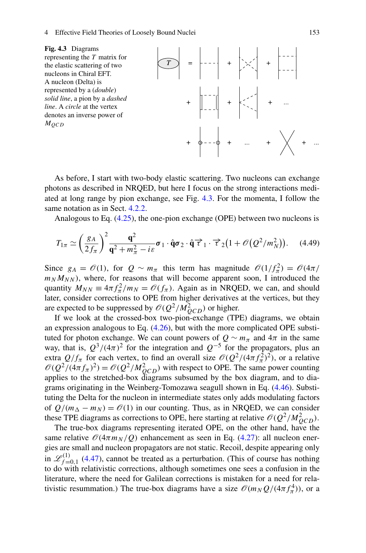<span id="page-30-0"></span>

As before, I start with two-body elastic scattering. Two nucleons can exchange photons as described in NRQED, but here I focus on the strong interactions mediated at long range by pion exchange, see Fig. [4.3](#page-30-0). For the momenta, I follow the same notation as in Sect. [4.2.2.](#page-10-1)

<span id="page-30-1"></span>Analogous to Eq. [\(4.25](#page-14-1)), the one-pion exchange (OPE) between two nucleons is

$$
T_{1\pi} \simeq \left(\frac{g_A}{2f_\pi}\right)^2 \frac{\mathbf{q}^2}{\mathbf{q}^2 + m_\pi^2 - i\varepsilon} \boldsymbol{\sigma}_1 \cdot \hat{\mathbf{q}} \boldsymbol{\sigma}_2 \cdot \hat{\mathbf{q}} \vec{\boldsymbol{\tau}}_1 \cdot \vec{\boldsymbol{\tau}}_2 \big(1 + \mathcal{O}\big(Q^2/m_N^2\big)\big). \tag{4.49}
$$

Since  $g_A = \mathcal{O}(1)$ , for  $Q \sim m_\pi$  this term has magnitude  $\mathcal{O}(1/f_\pi^2) = \mathcal{O}(4\pi)$  $m_N M_{NN}$ ), where, for reasons that will become apparent soon, I introduced the quantity  $M_{NN} \equiv 4\pi f_{\pi}^2/m_N = \mathcal{O}(f_{\pi})$ . Again as in NRQED, we can, and should later, consider corrections to OPE from higher derivatives at the vertices, but they are expected to be suppressed by  $\mathcal{O}(Q^2/M_{QCD}^2)$  or higher.

If we look at the crossed-box two-pion-exchange (TPE) diagrams, we obtain an expression analogous to Eq. [\(4.26\)](#page-15-0), but with the more complicated OPE substituted for photon exchange. We can count powers of  $Q \sim m_\pi$  and  $4\pi$  in the same way, that is,  $Q^3/(4\pi)^2$  for the integration and  $Q^{-5}$  for the propagators, plus an extra  $Q/f_\pi$  for each vertex, to find an overall size  $\mathcal{O}(Q^2/(4\pi f_\pi^2)^2)$ , or a relative  $\mathcal{O}(Q^2/(4\pi f_\pi)^2) = \mathcal{O}(Q^2/M_{QCD}^2)$  with respect to OPE. The same power counting applies to the stretched-box diagrams subsumed by the box diagram, and to diagrams originating in the Weinberg-Tomozawa seagull shown in Eq. [\(4.46\)](#page-27-0). Substituting the Delta for the nucleon in intermediate states only adds modulating factors of  $Q/(m_{\Delta} - m_N) = \mathcal{O}(1)$  in our counting. Thus, as in NRQED, we can consider these TPE diagrams as corrections to OPE, here starting at relative  $\mathcal{O}(Q^2/M_{QCD}^2)$ .

The true-box diagrams representing iterated OPE, on the other hand, have the same relative  $\mathcal{O}(4\pi m_N/\mathcal{O})$  enhancement as seen in Eq. ([4.27](#page-15-1)): all nucleon energies are small and nucleon propagators are not static. Recoil, despite appearing only in  $\mathcal{L}_{f=0,1}^{(1)}$  ([4.47](#page-27-1)), cannot be treated as a perturbation. (This of course has nothing to do with relativistic corrections, although sometimes one sees a confusion in the literature, where the need for Galilean corrections is mistaken for a need for relativistic resummation.) The true-box diagrams have a size  $\mathcal{O}(m_N Q/(4\pi f_\pi^4))$ , or a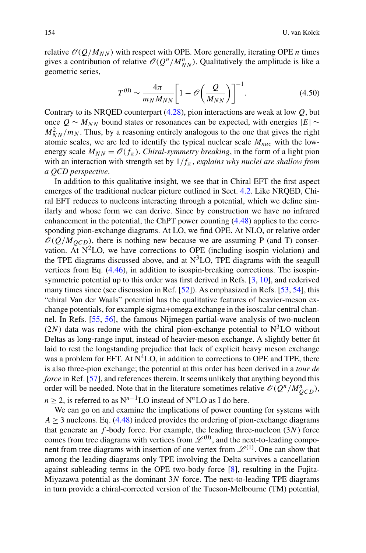relative  $\mathcal{O}(Q/M_{NN})$  with respect with OPE. More generally, iterating OPE *n* times gives a contribution of relative  $\mathcal{O}(Q^n/M_{NN}^n)$ . Qualitatively the amplitude is like a geometric series,

<span id="page-31-0"></span>
$$
T^{(0)} \sim \frac{4\pi}{m_N M_{NN}} \left[ 1 - \mathcal{O}\left(\frac{Q}{M_{NN}}\right) \right]^{-1}.
$$
 (4.50)

Contrary to its NRQED counterpart ([4.28](#page-17-0)), pion interactions are weak at low *Q*, but once  $Q \sim M_{NN}$  bound states or resonances can be expected, with energies  $|E|$  ∼  $M_{NN}^2/m_N$ . Thus, by a reasoning entirely analogous to the one that gives the right atomic scales, we are led to identify the typical nuclear scale  $M_{nuc}$  with the lowenergy scale  $M_{NN} = \mathcal{O}(f_\pi)$ . *Chiral-symmetry breaking*, in the form of a light pion with an interaction with strength set by 1*/fπ* , *explains why nuclei are shallow from a QCD perspective*.

In addition to this qualitative insight, we see that in Chiral EFT the first aspect emerges of the traditional nuclear picture outlined in Sect. [4.2](#page-1-0). Like NRQED, Chiral EFT reduces to nucleons interacting through a potential, which we define similarly and whose form we can derive. Since by construction we have no infrared enhancement in the potential, the ChPT power counting [\(4.48\)](#page-28-0) applies to the corresponding pion-exchange diagrams. At LO, we find OPE. At NLO, or relative order  $\mathcal{O}(Q/M_{QCD})$ , there is nothing new because we are assuming P (and T) conservation. At  $N^2LO$ , we have corrections to OPE (including isospin violation) and the TPE diagrams discussed above, and at  $N<sup>3</sup>LO$ , TPE diagrams with the seagull vertices from Eq. ([4.46](#page-27-0)), in addition to isospin-breaking corrections. The isospinsymmetric potential up to this order was first derived in Refs. [\[3](#page-56-14), [10](#page-56-1)], and rederived many times since (see discussion in Ref. [[52\]](#page-57-24)). As emphasized in Refs. [\[53](#page-57-25), [54](#page-57-26)], this "chiral Van der Waals" potential has the qualitative features of heavier-meson exchange potentials, for example sigma+omega exchange in the isoscalar central channel. In Refs. [[55,](#page-57-27) [56](#page-57-28)], the famous Nijmegen partial-wave analysis of two-nucleon  $(2N)$  data was redone with the chiral pion-exchange potential to  $N<sup>3</sup>LO$  without Deltas as long-range input, instead of heavier-meson exchange. A slightly better fit laid to rest the longstanding prejudice that lack of explicit heavy meson exchange was a problem for EFT. At  $N^4LO$ , in addition to corrections to OPE and TPE, there is also three-pion exchange; the potential at this order has been derived in a *tour de force* in Ref. [[57\]](#page-57-29), and references therein. It seems unlikely that anything beyond this order will be needed. Note that in the literature sometimes relative  $\mathcal{O}(Q^n/M_{QCD}^n)$ ,  $n > 2$ , is referred to as  $N^{n-1}$ LO instead of  $N^{n}$ LO as I do here.

We can go on and examine the implications of power counting for systems with  $A > 3$  nucleons. Eq.  $(4.48)$  indeed provides the ordering of pion-exchange diagrams that generate an *f* -body force. For example, the leading three-nucleon (3*N*) force comes from tree diagrams with vertices from  $\mathcal{L}^{(0)}$ , and the next-to-leading component from tree diagrams with insertion of one vertex from  $\mathscr{L}^{(1)}$ . One can show that among the leading diagrams only TPE involving the Delta survives a cancellation against subleading terms in the OPE two-body force [\[8](#page-56-15)], resulting in the Fujita-Miyazawa potential as the dominant 3*N* force. The next-to-leading TPE diagrams in turn provide a chiral-corrected version of the Tucson-Melbourne (TM) potential,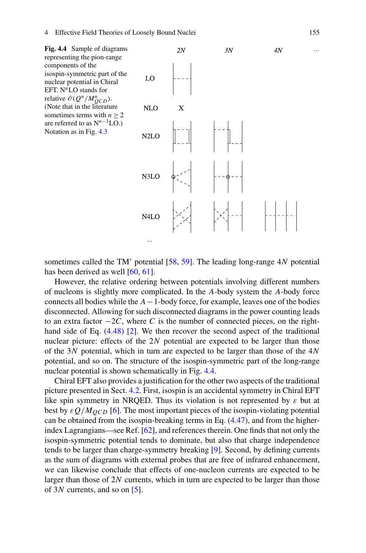<span id="page-32-0"></span>

sometimes called the TM' potential [\[58](#page-57-30), [59\]](#page-57-31). The leading long-range 4*N* potential has been derived as well [[60,](#page-57-32) [61\]](#page-57-33).

However, the relative ordering between potentials involving different numbers of nucleons is slightly more complicated. In the *A*-body system the *A*-body force connects all bodies while the *A*−1-body force, for example, leaves one of the bodies disconnected. Allowing for such disconnected diagrams in the power counting leads to an extra factor  $-2C$ , where *C* is the number of connected pieces, on the righthand side of Eq. ([4.48](#page-28-0)) [\[2](#page-56-13)]. We then recover the second aspect of the traditional nuclear picture: effects of the 2*N* potential are expected to be larger than those of the 3*N* potential, which in turn are expected to be larger than those of the 4*N* potential, and so on. The structure of the isospin-symmetric part of the long-range nuclear potential is shown schematically in Fig. [4.4.](#page-32-0)

Chiral EFT also provides a justification for the other two aspects of the traditional picture presented in Sect. [4.2](#page-1-0). First, isospin is an accidental symmetry in Chiral EFT like spin symmetry in NRQED. Thus its violation is not represented by *ε* but at best by  $\epsilon Q/M_{QCD}$  [[6\]](#page-56-16). The most important pieces of the isospin-violating potential can be obtained from the isospin-breaking terms in Eq.  $(4.47)$  $(4.47)$  $(4.47)$ , and from the higherindex Lagrangians—see Ref. [[62\]](#page-57-34), and references therein. One finds that not only the isospin-symmetric potential tends to dominate, but also that charge independence tends to be larger than charge-symmetry breaking [[9\]](#page-56-17). Second, by defining currents as the sum of diagrams with external probes that are free of infrared enhancement, we can likewise conclude that effects of one-nucleon currents are expected to be larger than those of 2*N* currents, which in turn are expected to be larger than those of 3*N* currents, and so on [[5\]](#page-56-18).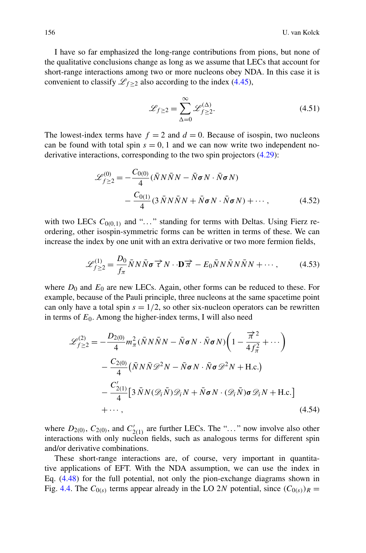I have so far emphasized the long-range contributions from pions, but none of the qualitative conclusions change as long as we assume that LECs that account for short-range interactions among two or more nucleons obey NDA. In this case it is convenient to classify  $\mathcal{L}_{f \geq 2}$  also according to the index [\(4.45\)](#page-26-0),

<span id="page-33-0"></span>
$$
\mathcal{L}_{f\geq 2} = \sum_{\Delta=0}^{\infty} \mathcal{L}_{f\geq 2}^{(\Delta)}.
$$
 (4.51)

The lowest-index terms have  $f = 2$  and  $d = 0$ . Because of isospin, two nucleons can be found with total spin  $s = 0, 1$  and we can now write two independent noderivative interactions, corresponding to the two spin projectors [\(4.29\)](#page-17-2):

$$
\mathcal{L}_{f\geq2}^{(0)} = -\frac{C_{0(0)}}{4} (\bar{N}N\bar{N}N - \bar{N}\sigma N \cdot \bar{N}\sigma N)
$$

$$
-\frac{C_{0(1)}}{4} (3\bar{N}N\bar{N}N + \bar{N}\sigma N \cdot \bar{N}\sigma N) + \cdots, \qquad (4.52)
$$

with two LECs  $C_{0(0,1)}$  and "..." standing for terms with Deltas. Using Fierz reordering, other isospin-symmetric forms can be written in terms of these. We can increase the index by one unit with an extra derivative or two more fermion fields,

$$
\mathcal{L}_{f\geq2}^{(1)} = \frac{D_0}{f_\pi} \bar{N} N \bar{N} \sigma \vec{\tau} N \cdot \mathbf{D} \vec{\pi} - E_0 \bar{N} N \bar{N} N \bar{N} N + \cdots, \qquad (4.53)
$$

where  $D_0$  and  $E_0$  are new LECs. Again, other forms can be reduced to these. For example, because of the Pauli principle, three nucleons at the same spacetime point can only have a total spin  $s = 1/2$ , so other six-nucleon operators can be rewritten in terms of *E*0. Among the higher-index terms, I will also need

<span id="page-33-1"></span>
$$
\mathcal{L}_{f\geq 2}^{(2)} = -\frac{D_{2(0)}}{4} m_{\pi}^2 (\bar{N}N\bar{N}N - \bar{N}\sigma N \cdot \bar{N}\sigma N) \left(1 - \frac{\vec{\pi}^2}{4f_{\pi}^2} + \cdots \right) \n- \frac{C_{2(0)}}{4} (\bar{N}N\bar{N}\mathcal{D}^2N - \bar{N}\sigma N \cdot \bar{N}\sigma \mathcal{D}^2N + \text{H.c.}) \n- \frac{C'_{2(1)}}{4} [3\bar{N}N(\mathcal{D}_i\bar{N})\mathcal{D}_iN + \bar{N}\sigma N \cdot (\mathcal{D}_i\bar{N})\sigma \mathcal{D}_iN + \text{H.c.}] \n+ \cdots, \qquad (4.54)
$$

where  $D_{2(0)}$ ,  $C_{2(0)}$ , and  $C'_{2(1)}$  are further LECs. The "..." now involve also other interactions with only nucleon fields, such as analogous terms for different spin and/or derivative combinations.

These short-range interactions are, of course, very important in quantitative applications of EFT. With the NDA assumption, we can use the index in Eq. ([4.48](#page-28-0)) for the full potential, not only the pion-exchange diagrams shown in Fig. [4.4.](#page-32-0) The  $C_{0(s)}$  terms appear already in the LO 2*N* potential, since  $(C_{0(s)})_R =$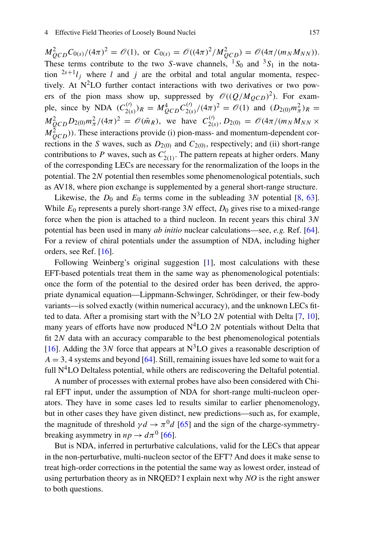$M_{QCD}^2 C_0(s)/(4\pi)^2 = \mathcal{O}(1)$ , or  $C_{0(s)} = \mathcal{O}((4\pi)^2/M_{QCD}^2) = \mathcal{O}(4\pi/(m_N M_{NN}))$ . These terms contribute to the two *S*-wave channels,  ${}^{1}S_{0}$  and  ${}^{3}S_{1}$  in the notation  $2s+1$ *l<sub>i</sub>* where *l* and *j* are the orbital and total angular momenta, respectively. At N2LO further contact interactions with two derivatives or two powers of the pion mass show up, suppressed by  $\mathcal{O}((Q/M_{QCD})^2)$ . For example, since by NDA  $(C_{2(s)}^{(t)})_R = M_{QCD}^4 C_{2(s)}^{(t)}/(4\pi)^2 = \mathcal{O}(1)$  and  $(D_{2(0)}m_\pi^2)_R =$  $M_{QCD}^2 D_{2(0)} m_{\pi}^2 / (4\pi)^2 = \mathcal{O}(\bar{m}_R)$ , we have  $C_{2(s)}^{(t)}$ ,  $D_{2(0)} = \mathcal{O}(4\pi / (m_N M_{NN} \times$  $M_{QCD}^2$ )). These interactions provide (i) pion-mass- and momentum-dependent corrections in the *S* waves, such as  $D_{2(0)}$  and  $C_{2(0)}$ , respectively; and (ii) short-range contributions to *P* waves, such as  $C'_{2(1)}$ . The pattern repeats at higher orders. Many of the corresponding LECs are necessary for the renormalization of the loops in the potential. The 2*N* potential then resembles some phenomenological potentials, such as AV18, where pion exchange is supplemented by a general short-range structure.

Likewise, the  $D_0$  and  $E_0$  terms come in the subleading 3*N* potential [\[8](#page-56-15), [63\]](#page-57-35). While  $E_0$  represents a purely short-range 3*N* effect,  $D_0$  gives rise to a mixed-range force when the pion is attached to a third nucleon. In recent years this chiral 3*N* potential has been used in many *ab initio* nuclear calculations—see, *e.g.* Ref. [[64\]](#page-57-36). For a review of chiral potentials under the assumption of NDA, including higher orders, see Ref. [[16\]](#page-56-3).

Following Weinberg's original suggestion [[1\]](#page-56-0), most calculations with these EFT-based potentials treat them in the same way as phenomenological potentials: once the form of the potential to the desired order has been derived, the appropriate dynamical equation—Lippmann-Schwinger, Schrödinger, or their few-body variants—is solved exactly (within numerical accuracy), and the unknown LECs fitted to data. After a promising start with the  $N<sup>3</sup>LO 2N$  potential with Delta [[7](#page-56-19), [10\]](#page-56-1), many years of efforts have now produced  $N<sup>4</sup>LO$  2*N* potentials without Delta that fit 2*N* data with an accuracy comparable to the best phenomenological potentials [\[16](#page-56-3)]. Adding the 3*N* force that appears at  $N<sup>3</sup>LO$  gives a reasonable description of  $A = 3$ , 4 systems and beyond [\[64](#page-57-36)]. Still, remaining issues have led some to wait for a full  $N<sup>4</sup>LO$  Deltaless potential, while others are rediscovering the Deltaful potential.

A number of processes with external probes have also been considered with Chiral EFT input, under the assumption of NDA for short-range multi-nucleon operators. They have in some cases led to results similar to earlier phenomenology, but in other cases they have given distinct, new predictions—such as, for example, the magnitude of threshold  $\gamma d \rightarrow \pi^0 d$  [\[65](#page-57-37)] and the sign of the charge-symmetrybreaking asymmetry in  $np \rightarrow d\pi^0$  [\[66](#page-57-38)].

But is NDA, inferred in perturbative calculations, valid for the LECs that appear in the non-perturbative, multi-nucleon sector of the EFT? And does it make sense to treat high-order corrections in the potential the same way as lowest order, instead of using perturbation theory as in NRQED? I explain next why *NO* is the right answer to both questions.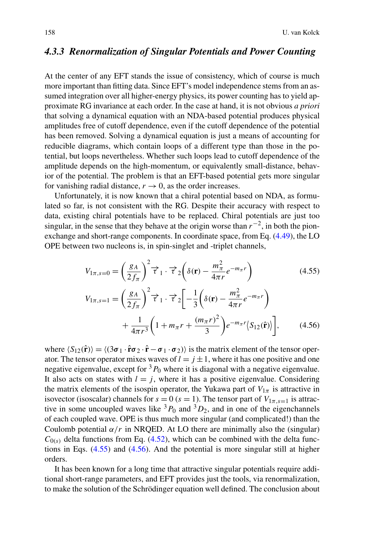## *4.3.3 Renormalization of Singular Potentials and Power Counting*

At the center of any EFT stands the issue of consistency, which of course is much more important than fitting data. Since EFT's model independence stems from an assumed integration over all higher-energy physics, its power counting has to yield approximate RG invariance at each order. In the case at hand, it is not obvious *a priori* that solving a dynamical equation with an NDA-based potential produces physical amplitudes free of cutoff dependence, even if the cutoff dependence of the potential has been removed. Solving a dynamical equation is just a means of accounting for reducible diagrams, which contain loops of a different type than those in the potential, but loops nevertheless. Whether such loops lead to cutoff dependence of the amplitude depends on the high-momentum, or equivalently small-distance, behavior of the potential. The problem is that an EFT-based potential gets more singular for vanishing radial distance,  $r \to 0$ , as the order increases.

Unfortunately, it is now known that a chiral potential based on NDA, as formulated so far, is not consistent with the RG. Despite their accuracy with respect to data, existing chiral potentials have to be replaced. Chiral potentials are just too singular, in the sense that they behave at the origin worse than *r*<sup>−</sup>2, in both the pionexchange and short-range components. In coordinate space, from Eq. [\(4.49\)](#page-30-1), the LO OPE between two nucleons is, in spin-singlet and -triplet channels,

<span id="page-35-1"></span><span id="page-35-0"></span>
$$
V_{1\pi, s=0} = \left(\frac{g_A}{2f_\pi}\right)^2 \vec{\tau}_1 \cdot \vec{\tau}_2 \left(\delta(\mathbf{r}) - \frac{m_\pi^2}{4\pi r} e^{-m_\pi r}\right)
$$
(4.55)  

$$
V_{1\pi, s=1} = \left(\frac{g_A}{2f_\pi}\right)^2 \vec{\tau}_1 \cdot \vec{\tau}_2 \left[-\frac{1}{3}\left(\delta(\mathbf{r}) - \frac{m_\pi^2}{4\pi r} e^{-m_\pi r}\right) + \frac{1}{4\pi r^3} \left(1 + m_\pi r + \frac{(m_\pi r)^2}{3}\right) e^{-m_\pi r} \langle S_{12}(\hat{\mathbf{r}}) \rangle\right],
$$
(4.56)

where  $\langle S_{12}(\hat{\bf r})\rangle = \langle (3\sigma_1 \cdot \hat{\bf r}\sigma_2 \cdot \hat{\bf r} - \sigma_1 \cdot \sigma_2) \rangle$  is the matrix element of the tensor operator. The tensor operator mixes waves of  $l = j \pm 1$ , where it has one positive and one negative eigenvalue, except for  ${}^{3}P_0$  where it is diagonal with a negative eigenvalue. It also acts on states with  $l = j$ , where it has a positive eigenvalue. Considering the matrix elements of the isospin operator, the Yukawa part of  $V_{1\pi}$  is attractive in isovector (isoscalar) channels for  $s = 0$  ( $s = 1$ ). The tensor part of  $V_{1\pi,s=1}$  is attractive in some uncoupled waves like  ${}^{3}P_0$  and  ${}^{3}D_2$ , and in one of the eigenchannels of each coupled wave. OPE is thus much more singular (and complicated!) than the Coulomb potential  $\alpha/r$  in NRQED. At LO there are minimally also the (singular)  $C_{0(s)}$  delta functions from Eq. ([4.52\)](#page-33-0), which can be combined with the delta functions in Eqs. ([4.55](#page-35-0)) and [\(4.56\)](#page-35-1). And the potential is more singular still at higher orders.

It has been known for a long time that attractive singular potentials require additional short-range parameters, and EFT provides just the tools, via renormalization, to make the solution of the Schrödinger equation well defined. The conclusion about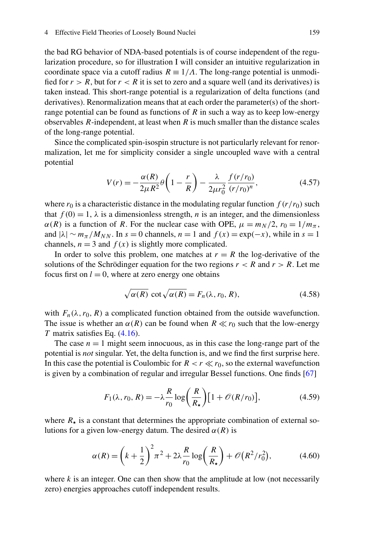the bad RG behavior of NDA-based potentials is of course independent of the regularization procedure, so for illustration I will consider an intuitive regularization in coordinate space via a cutoff radius  $R \equiv 1/\Lambda$ . The long-range potential is unmodified for  $r > R$ , but for  $r < R$  it is set to zero and a square well (and its derivatives) is taken instead. This short-range potential is a regularization of delta functions (and derivatives). Renormalization means that at each order the parameter(s) of the shortrange potential can be found as functions of *R* in such a way as to keep low-energy observables *R*-independent, at least when *R* is much smaller than the distance scales of the long-range potential.

Since the complicated spin-isospin structure is not particularly relevant for renormalization, let me for simplicity consider a single uncoupled wave with a central potential

<span id="page-36-0"></span>
$$
V(r) = -\frac{\alpha(R)}{2\mu R^2} \theta \left( 1 - \frac{r}{R} \right) - \frac{\lambda}{2\mu r_0^2} \frac{f(r/r_0)}{(r/r_0)^n},
$$
(4.57)

where  $r_0$  is a characteristic distance in the modulating regular function  $f(r/r_0)$  such that  $f(0) = 1$ ,  $\lambda$  is a dimensionless strength, *n* is an integer, and the dimensionless  $\alpha(R)$  is a function of *R*. For the nuclear case with OPE,  $\mu = m_N/2$ ,  $r_0 = 1/m_\pi$ , and  $|\lambda| \sim m_\pi / M_{NN}$ . In  $s = 0$  channels,  $n = 1$  and  $f(x) = \exp(-x)$ , while in  $s = 1$ channels,  $n = 3$  and  $f(x)$  is slightly more complicated.

In order to solve this problem, one matches at  $r = R$  the log-derivative of the solutions of the Schrödinger equation for the two regions  $r < R$  and  $r > R$ . Let me focus first on  $l = 0$ , where at zero energy one obtains

$$
\sqrt{\alpha(R)} \cot \sqrt{\alpha(R)} = F_n(\lambda, r_0, R), \qquad (4.58)
$$

with  $F_n(\lambda, r_0, R)$  a complicated function obtained from the outside wavefunction. The issue is whether an  $\alpha(R)$  can be found when  $R \ll r_0$  such that the low-energy *T* matrix satisfies Eq. ([4.16](#page-8-0)).

The case  $n = 1$  might seem innocuous, as in this case the long-range part of the potential is *not* singular. Yet, the delta function is, and we find the first surprise here. In this case the potential is Coulombic for  $R < r \ll r_0$ , so the external wavefunction is given by a combination of regular and irregular Bessel functions. One finds [[67\]](#page-57-39)

$$
F_1(\lambda, r_0, R) = -\lambda \frac{R}{r_0} \log \left( \frac{R}{R_\star} \right) \left[ 1 + \mathcal{O}(R/r_0) \right],\tag{4.59}
$$

where  $R_{\star}$  is a constant that determines the appropriate combination of external solutions for a given low-energy datum. The desired  $\alpha(R)$  is

$$
\alpha(R) = \left(k + \frac{1}{2}\right)^2 \pi^2 + 2\lambda \frac{R}{r_0} \log\left(\frac{R}{R_\star}\right) + \mathcal{O}\left(R^2/r_0^2\right),\tag{4.60}
$$

where  $k$  is an integer. One can then show that the amplitude at low (not necessarily zero) energies approaches cutoff independent results.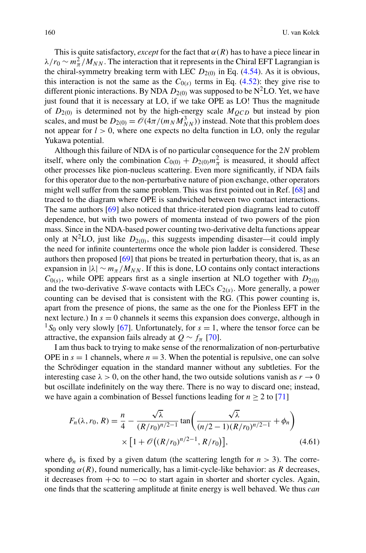This is quite satisfactory, *except* for the fact that  $\alpha(R)$  has to have a piece linear in  $\lambda/r_0 \sim m_{\pi}^2/M_{NN}$ . The interaction that it represents in the Chiral EFT Lagrangian is the chiral-symmetry breaking term with LEC  $D_{2(0)}$  in Eq. ([4.54](#page-33-1)). As it is obvious, this interaction is not the same as the  $C_{0(s)}$  terms in Eq. [\(4.52\)](#page-33-0): they give rise to different pionic interactions. By NDA  $D_{2(0)}$  was supposed to be N<sup>2</sup>LO. Yet, we have just found that it is necessary at LO, if we take OPE as LO! Thus the magnitude of  $D_{2(0)}$  is determined not by the high-energy scale  $M_{OCD}$  but instead by pion scales, and must be  $D_{2(0)} = \mathcal{O}(4\pi/(m_N M_{NN}^3))$  instead. Note that this problem does not appear for  $l > 0$ , where one expects no delta function in LO, only the regular Yukawa potential.

Although this failure of NDA is of no particular consequence for the 2*N* problem itself, where only the combination  $C_{0(0)} + D_{2(0)}m_{\pi}^2$  is measured, it should affect other processes like pion-nucleus scattering. Even more significantly, if NDA fails for this operator due to the non-perturbative nature of pion exchange, other operators might well suffer from the same problem. This was first pointed out in Ref. [[68\]](#page-57-40) and traced to the diagram where OPE is sandwiched between two contact interactions. The same authors [\[69](#page-57-41)] also noticed that thrice-iterated pion diagrams lead to cutoff dependence, but with two powers of momenta instead of two powers of the pion mass. Since in the NDA-based power counting two-derivative delta functions appear only at  $N^2LO$ , just like  $D_{2(0)}$ , this suggests impending disaster—it could imply the need for infinite counterterms once the whole pion ladder is considered. These authors then proposed [\[69](#page-57-41)] that pions be treated in perturbation theory, that is, as an expansion in  $|\lambda| \sim m_{\pi}/M_{NN}$ . If this is done, LO contains only contact interactions  $C_{0(s)}$ , while OPE appears first as a single insertion at NLO together with  $D_{2(0)}$ and the two-derivative *S*-wave contacts with LECs  $C_{2(s)}$ . More generally, a power counting can be devised that is consistent with the RG. (This power counting is, apart from the presence of pions, the same as the one for the Pionless EFT in the next lecture.) In  $s = 0$  channels it seems this expansion does converge, although in <sup>1</sup>S<sub>0</sub> only very slowly [[67\]](#page-57-39). Unfortunately, for  $s = 1$ , where the tensor force can be attractive, the expansion fails already at  $Q \sim f_{\pi}$  [\[70](#page-57-42)].

I am thus back to trying to make sense of the renormalization of non-perturbative OPE in  $s = 1$  channels, where  $n = 3$ . When the potential is repulsive, one can solve the Schrödinger equation in the standard manner without any subtleties. For the interesting case  $\lambda > 0$ , on the other hand, the two outside solutions vanish as  $r \to 0$ but oscillate indefinitely on the way there. There is no way to discard one; instead, we have again a combination of Bessel functions leading for  $n \geq 2$  to [\[71](#page-57-43)]

$$
F_n(\lambda, r_0, R) = \frac{n}{4} - \frac{\sqrt{\lambda}}{(R/r_0)^{n/2 - 1}} \tan\left(\frac{\sqrt{\lambda}}{(n/2 - 1)(R/r_0)^{n/2 - 1}} + \phi_n\right)
$$
  
 
$$
\times \left[1 + \mathcal{O}\left((R/r_0)^{n/2 - 1}, R/r_0\right)\right],
$$
 (4.61)

where  $\phi_n$  is fixed by a given datum (the scattering length for  $n > 3$ ). The corresponding  $\alpha(R)$ , found numerically, has a limit-cycle-like behavior: as *R* decreases, it decreases from  $+\infty$  to  $-\infty$  to start again in shorter and shorter cycles. Again, one finds that the scattering amplitude at finite energy is well behaved. We thus *can*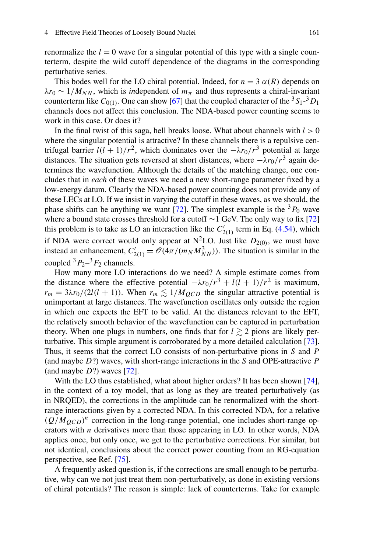renormalize the  $l = 0$  wave for a singular potential of this type with a single counterterm, despite the wild cutoff dependence of the diagrams in the corresponding perturbative series.

This bodes well for the LO chiral potential. Indeed, for  $n = 3 \alpha(R)$  depends on  $\lambda r_0 \sim 1/M_{NN}$ , which is *in*dependent of  $m_\pi$  and thus represents a chiral-invariant counterterm like  $C_{0(1)}$ . One can show [\[67](#page-57-39)] that the coupled character of the  $3S_1 - 3D_1$ channels does not affect this conclusion. The NDA-based power counting seems to work in this case. Or does it?

In the final twist of this saga, hell breaks loose. What about channels with  $l > 0$ where the singular potential is attractive? In these channels there is a repulsive centrifugal barrier  $l(l + 1)/r^2$ , which dominates over the  $-\lambda r_0/r^3$  potential at large distances. The situation gets reversed at short distances, where  $-\lambda r_0/r^3$  again determines the wavefunction. Although the details of the matching change, one concludes that in *each* of these waves we need a new short-range parameter fixed by a low-energy datum. Clearly the NDA-based power counting does not provide any of these LECs at LO. If we insist in varying the cutoff in these waves, as we should, the phase shifts can be anything we want [[72\]](#page-57-44). The simplest example is the  ${}^{3}P_0$  wave where a bound state crosses threshold for a cutoff ∼1 GeV. The only way to fix [\[72](#page-57-44)] this problem is to take as LO an interaction like the  $C'_{2(1)}$  term in Eq. [\(4.54\)](#page-33-1), which if NDA were correct would only appear at  $N^2LO$ . Just like  $D_{2(0)}$ , we must have instead an enhancement,  $C'_{2(1)} = \mathcal{O}(4\pi/(m_N M_{NN}^3))$ . The situation is similar in the coupled  ${}^3P_2-{}^3F_2$  channels.

How many more LO interactions do we need? A simple estimate comes from the distance where the effective potential  $-\lambda r_0/r^3 + l(l+1)/r^2$  is maximum,  $r_m = 3\lambda r_0/(2l(l+1))$ . When  $r_m \lesssim 1/M_{QCD}$  the singular attractive potential is unimportant at large distances. The wavefunction oscillates only outside the region in which one expects the EFT to be valid. At the distances relevant to the EFT, the relatively smooth behavior of the wavefunction can be captured in perturbation theory. When one plugs in numbers, one finds that for  $l \geq 2$  pions are likely perturbative. This simple argument is corroborated by a more detailed calculation [[73\]](#page-57-45). Thus, it seems that the correct LO consists of non-perturbative pions in *S* and *P* (and maybe *D*?) waves, with short-range interactions in the *S* and OPE-attractive *P* (and maybe *D*?) waves [\[72](#page-57-44)].

With the LO thus established, what about higher orders? It has been shown [[74\]](#page-57-46), in the context of a toy model, that as long as they are treated perturbatively (as in NRQED), the corrections in the amplitude can be renormalized with the shortrange interactions given by a corrected NDA. In this corrected NDA, for a relative  $(Q/M_{OCD})^n$  correction in the long-range potential, one includes short-range operators with *n* derivatives more than those appearing in LO. In other words, NDA applies once, but only once, we get to the perturbative corrections. For similar, but not identical, conclusions about the correct power counting from an RG-equation perspective, see Ref. [[75\]](#page-58-0).

A frequently asked question is, if the corrections are small enough to be perturbative, why can we not just treat them non-perturbatively, as done in existing versions of chiral potentials? The reason is simple: lack of counterterms. Take for example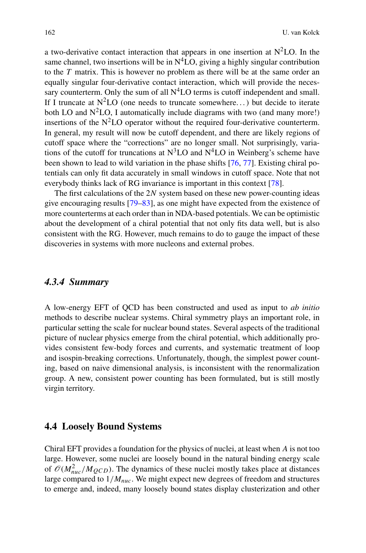a two-derivative contact interaction that appears in one insertion at  $N^2LO$ . In the same channel, two insertions will be in  $N<sup>4</sup>LO$ , giving a highly singular contribution to the *T* matrix. This is however no problem as there will be at the same order an equally singular four-derivative contact interaction, which will provide the necessary counterterm. Only the sum of all  $N<sup>4</sup>LO$  terms is cutoff independent and small. If I truncate at  $N^2LO$  (one needs to truncate somewhere...) but decide to iterate both LO and  $N^2$ LO, I automatically include diagrams with two (and many more!) insertions of the  $N^2LO$  operator without the required four-derivative counterterm. In general, my result will now be cutoff dependent, and there are likely regions of cutoff space where the "corrections" are no longer small. Not surprisingly, variations of the cutoff for truncations at  $N<sup>3</sup>LO$  and  $N<sup>4</sup>LO$  in Weinberg's scheme have been shown to lead to wild variation in the phase shifts [\[76](#page-58-1), [77](#page-58-2)]. Existing chiral potentials can only fit data accurately in small windows in cutoff space. Note that not everybody thinks lack of RG invariance is important in this context [[78\]](#page-58-3).

The first calculations of the 2*N* system based on these new power-counting ideas give encouraging results [\[79](#page-58-4)[–83](#page-58-5)], as one might have expected from the existence of more counterterms at each order than in NDA-based potentials. We can be optimistic about the development of a chiral potential that not only fits data well, but is also consistent with the RG. However, much remains to do to gauge the impact of these discoveries in systems with more nucleons and external probes.

### *4.3.4 Summary*

A low-energy EFT of QCD has been constructed and used as input to *ab initio* methods to describe nuclear systems. Chiral symmetry plays an important role, in particular setting the scale for nuclear bound states. Several aspects of the traditional picture of nuclear physics emerge from the chiral potential, which additionally provides consistent few-body forces and currents, and systematic treatment of loop and isospin-breaking corrections. Unfortunately, though, the simplest power counting, based on naive dimensional analysis, is inconsistent with the renormalization group. A new, consistent power counting has been formulated, but is still mostly virgin territory.

### **4.4 Loosely Bound Systems**

Chiral EFT provides a foundation for the physics of nuclei, at least when *A* is not too large. However, some nuclei are loosely bound in the natural binding energy scale of  $\mathcal{O}(M_{nuc}^2/M_{QCD})$ . The dynamics of these nuclei mostly takes place at distances large compared to 1*/Mnuc*. We might expect new degrees of freedom and structures to emerge and, indeed, many loosely bound states display clusterization and other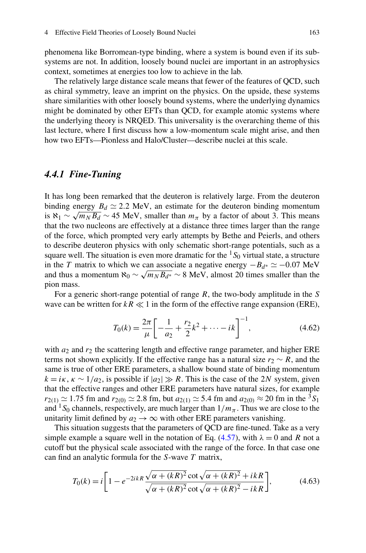phenomena like Borromean-type binding, where a system is bound even if its subsystems are not. In addition, loosely bound nuclei are important in an astrophysics context, sometimes at energies too low to achieve in the lab.

The relatively large distance scale means that fewer of the features of QCD, such as chiral symmetry, leave an imprint on the physics. On the upside, these systems share similarities with other loosely bound systems, where the underlying dynamics might be dominated by other EFTs than QCD, for example atomic systems where the underlying theory is NRQED. This universality is the overarching theme of this last lecture, where I first discuss how a low-momentum scale might arise, and then how two EFTs—Pionless and Halo/Cluster—describe nuclei at this scale.

## *4.4.1 Fine-Tuning*

It has long been remarked that the deuteron is relatively large. From the deuteron binding energy  $B_d \simeq 2.2$  MeV, an estimate for the deuteron binding momentum is  $\aleph_1 \sim \sqrt{m_N B_d} \sim 45$  MeV, smaller than  $m_\pi$  by a factor of about 3. This means that the two nucleons are effectively at a distance three times larger than the range of the force, which prompted very early attempts by Bethe and Peierls, and others to describe deuteron physics with only schematic short-range potentials, such as a square well. The situation is even more dramatic for the  ${}^{1}S_{0}$  virtual state, a structure in the *T* matrix to which we can associate a negative energy  $-B_{d^*} \simeq -0.07 \text{ MeV}$ and thus a momentum  $\aleph_0 \sim \sqrt{m_N B_d^*} \sim 8$  MeV, almost 20 times smaller than the pion mass.

For a generic short-range potential of range *R*, the two-body amplitude in the *S* wave can be written for  $kR \ll 1$  in the form of the effective range expansion (ERE),

<span id="page-40-1"></span><span id="page-40-0"></span>
$$
T_0(k) = \frac{2\pi}{\mu} \left[ -\frac{1}{a_2} + \frac{r_2}{2}k^2 + \dots - ik \right]^{-1},
$$
 (4.62)

with  $a_2$  and  $r_2$  the scattering length and effective range parameter, and higher ERE terms not shown explicitly. If the effective range has a natural size  $r_2 \sim R$ , and the same is true of other ERE parameters, a shallow bound state of binding momentum  $k = i\kappa$ ,  $\kappa \sim 1/a_2$ , is possible if  $|a_2| \gg R$ . This is the case of the 2*N* system, given that the effective ranges and other ERE parameters have natural sizes, for example  $r_{2(1)} \approx 1.75$  fm and  $r_{2(0)} \approx 2.8$  fm, but  $a_{2(1)} \approx 5.4$  fm and  $a_{2(0)} \approx 20$  fm in the <sup>3</sup>S<sub>1</sub> and <sup>1</sup>S<sub>0</sub> channels, respectively, are much larger than  $1/m_\pi$ . Thus we are close to the unitarity limit defined by  $a_2 \rightarrow \infty$  with other ERE parameters vanishing.

This situation suggests that the parameters of QCD are fine-tuned. Take as a very simple example a square well in the notation of Eq. [\(4.57\)](#page-36-0), with  $\lambda = 0$  and *R* not a cutoff but the physical scale associated with the range of the force. In that case one can find an analytic formula for the *S*-wave *T* matrix,

$$
T_0(k) = i \left[ 1 - e^{-2ikR} \frac{\sqrt{\alpha + (kR)^2} \cot \sqrt{\alpha + (kR)^2} + ikR}{\sqrt{\alpha + (kR)^2} \cot \sqrt{\alpha + (kR)^2} - ikR} \right],
$$
(4.63)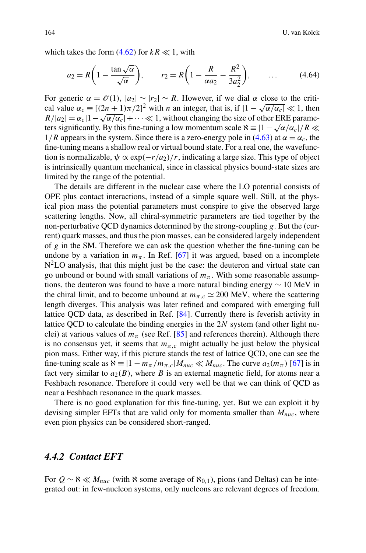which takes the form  $(4.62)$  for  $k \ll 1$ , with

$$
a_2 = R\left(1 - \frac{\tan\sqrt{\alpha}}{\sqrt{\alpha}}\right), \qquad r_2 = R\left(1 - \frac{R}{\alpha a_2} - \frac{R^2}{3a_2^2}\right), \qquad \dots \tag{4.64}
$$

For generic  $\alpha = \mathcal{O}(1)$ ,  $|a_2| \sim |r_2| \sim R$ . However, if we dial  $\alpha$  close to the critical value  $\alpha_c \equiv [(\frac{2n+1}{\pi})^2]^2$  with *n* an integer, that is, if  $|1 - \sqrt{\alpha/\alpha_c}| \ll 1$ , then  $R/|a_2| = \alpha_c |1-\sqrt{\alpha/\alpha_c}|+\cdots \ll 1$ , without changing the size of other ERE parameters significantly. By this fine-tuning a low momentum scale  $\aleph \equiv |1-\sqrt{\alpha/\alpha_c}|/R \ll$  $1/R$  appears in the system. Since there is a zero-energy pole in ([4.63](#page-40-1)) at  $\alpha = \alpha_c$ , the fine-tuning means a shallow real or virtual bound state. For a real one, the wavefunction is normalizable,  $\psi \propto \exp(-r/a_2)/r$ , indicating a large size. This type of object is intrinsically quantum mechanical, since in classical physics bound-state sizes are limited by the range of the potential.

The details are different in the nuclear case where the LO potential consists of OPE plus contact interactions, instead of a simple square well. Still, at the physical pion mass the potential parameters must conspire to give the observed large scattering lengths. Now, all chiral-symmetric parameters are tied together by the non-perturbative QCD dynamics determined by the strong-coupling *g*. But the (current) quark masses, and thus the pion masses, can be considered largely independent of *g* in the SM. Therefore we can ask the question whether the fine-tuning can be undone by a variation in  $m_\pi$ . In Ref. [[67\]](#page-57-39) it was argued, based on a incomplete  $N<sup>2</sup>LO$  analysis, that this might just be the case: the deuteron and virtual state can go unbound or bound with small variations of  $m_\pi$ . With some reasonable assumptions, the deuteron was found to have a more natural binding energy  $\sim 10$  MeV in the chiral limit, and to become unbound at  $m_{\pi,c} \simeq 200$  MeV, where the scattering length diverges. This analysis was later refined and compared with emerging full lattice QCD data, as described in Ref. [[84\]](#page-58-6). Currently there is feverish activity in lattice QCD to calculate the binding energies in the 2*N* system (and other light nuclei) at various values of  $m_\pi$  (see Ref. [[85\]](#page-58-7) and references therein). Although there is no consensus yet, it seems that  $m_{\pi,c}$  might actually be just below the physical pion mass. Either way, if this picture stands the test of lattice QCD, one can see the fine-tuning scale as  $\aleph \equiv |1 - m_\pi/m_{\pi,c}|M_{nuc} \ll M_{nuc}$ . The curve  $a_2(m_\pi)$  [[67\]](#page-57-39) is in fact very similar to  $a_2(B)$ , where *B* is an external magnetic field, for atoms near a Feshbach resonance. Therefore it could very well be that we can think of QCD as near a Feshbach resonance in the quark masses.

There is no good explanation for this fine-tuning, yet. But we can exploit it by devising simpler EFTs that are valid only for momenta smaller than *Mnuc*, where even pion physics can be considered short-ranged.

### *4.4.2 Contact EFT*

For *Q* ∼ℵ *Mnuc* (with ℵ some average of ℵ0*,*1), pions (and Deltas) can be integrated out: in few-nucleon systems, only nucleons are relevant degrees of freedom.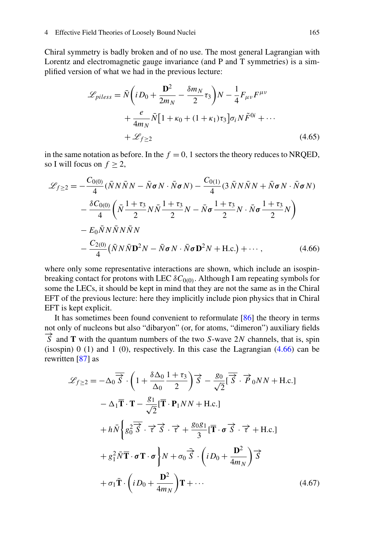Chiral symmetry is badly broken and of no use. The most general Lagrangian with Lorentz and electromagnetic gauge invariance (and P and T symmetries) is a simplified version of what we had in the previous lecture:

<span id="page-42-0"></span>
$$
\mathcal{L}_{piless} = \bar{N} \left( iD_0 + \frac{\mathbf{D}^2}{2m_N} - \frac{\delta m_N}{2} \tau_3 \right) N - \frac{1}{4} F_{\mu\nu} F^{\mu\nu} + \frac{e}{4m_N} \bar{N} \Big[ 1 + \kappa_0 + (1 + \kappa_1) \tau_3 \Big] \sigma_i N \tilde{F}^{0i} + \cdots + \mathcal{L}_{f \ge 2}
$$
 (4.65)

in the same notation as before. In the  $f = 0$ , 1 sectors the theory reduces to NRQED, so I will focus on  $f \geq 2$ ,

$$
\mathcal{L}_{f\geq 2} = -\frac{C_{0(0)}}{4} (\bar{N}N\bar{N}N - \bar{N}\sigma N \cdot \bar{N}\sigma N) - \frac{C_{0(1)}}{4} (3\bar{N}N\bar{N}N + \bar{N}\sigma N \cdot \bar{N}\sigma N)
$$

$$
-\frac{\delta C_{0(0)}}{4} \left( \bar{N} \frac{1+\tau_3}{2} N \bar{N} \frac{1+\tau_3}{2} N - \bar{N}\sigma \frac{1+\tau_3}{2} N \cdot \bar{N}\sigma \frac{1+\tau_3}{2} N \right)
$$

$$
-E_0 \bar{N} N \bar{N} N \bar{N} N
$$

$$
-\frac{C_{2(0)}}{4} (\bar{N} N \bar{N} \mathbf{D}^2 N - \bar{N}\sigma N \cdot \bar{N}\sigma \mathbf{D}^2 N + \text{H.c.}) + \cdots, \qquad (4.66)
$$

where only some representative interactions are shown, which include an isospinbreaking contact for protons with LEC *δC*0*(*0*)*. Although I am repeating symbols for some the LECs, it should be kept in mind that they are not the same as in the Chiral EFT of the previous lecture: here they implicitly include pion physics that in Chiral EFT is kept explicit.

It has sometimes been found convenient to reformulate [\[86](#page-58-8)] the theory in terms not only of nucleons but also "dibaryon" (or, for atoms, "dimeron") auxiliary fields  $\overrightarrow{S}$  and **T** with the quantum numbers of the two *S*-wave 2*N* channels, that is, spin (isospin) 0 (1) and 1 (0), respectively. In this case the Lagrangian  $(4.66)$  $(4.66)$  $(4.66)$  can be rewritten  $[87]$  $[87]$  as

<span id="page-42-1"></span>
$$
\mathcal{L}_{f\geq2} = -\Delta_0 \overrightarrow{\mathcal{S}} \cdot \left( 1 + \frac{\delta \Delta_0}{\Delta_0} \frac{1 + \tau_3}{2} \right) \overrightarrow{\mathcal{S}} - \frac{g_0}{\sqrt{2}} \overrightarrow{\mathcal{S}} \cdot \overrightarrow{\mathcal{P}}_0 NN + \text{H.c.}
$$

$$
- \Delta_1 \overrightarrow{\mathbf{T}} \cdot \mathbf{T} - \frac{g_1}{\sqrt{2}} \overrightarrow{\mathbf{T}} \cdot \mathbf{P}_1 NN + \text{H.c.}
$$

$$
+ h \overrightarrow{N} \left\{ g_0^2 \overrightarrow{\mathcal{S}} \cdot \overrightarrow{\mathcal{T}} \overrightarrow{\mathcal{S}} \cdot \overrightarrow{\mathcal{T}} + \frac{g_0 g_1}{3} \overrightarrow{\mathbf{T}} \cdot \boldsymbol{\sigma} \overrightarrow{\mathcal{S}} \cdot \overrightarrow{\mathcal{T}} + \text{H.c.}
$$

$$
+ g_1^2 \overrightarrow{N} \overrightarrow{\mathbf{T}} \cdot \boldsymbol{\sigma} \mathbf{T} \cdot \boldsymbol{\sigma} \right\} N + \sigma_0 \overrightarrow{\mathcal{S}} \cdot \left( i D_0 + \frac{\mathbf{D}^2}{4m_N} \right) \overrightarrow{\mathcal{S}}
$$

$$
+ \sigma_1 \overrightarrow{\mathbf{T}} \cdot \left( i D_0 + \frac{\mathbf{D}^2}{4m_N} \right) \mathbf{T} + \cdots \tag{4.67}
$$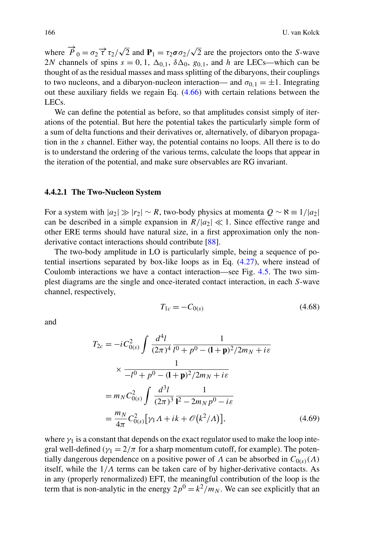where  $\vec{P}_0 = \sigma_2 \vec{\tau} \tau_2 / \sqrt{2}$  and  $P_1 = \tau_2 \sigma \sigma_2 / \sqrt{2}$  are the projectors onto the *S*-wave 2*N* channels of spins  $s = 0, 1, \Delta_{0,1}, \delta_{0,1}, \delta_{0,1}$ , and *h* are LECs—which can be thought of as the residual masses and mass splitting of the dibaryons, their couplings to two nucleons, and a dibaryon-nucleon interaction— and  $\sigma_{0,1} = \pm 1$ . Integrating out these auxiliary fields we regain Eq. [\(4.66\)](#page-42-0) with certain relations between the LECs.

<span id="page-43-2"></span>We can define the potential as before, so that amplitudes consist simply of iterations of the potential. But here the potential takes the particularly simple form of a sum of delta functions and their derivatives or, alternatively, of dibaryon propagation in the *s* channel. Either way, the potential contains no loops. All there is to do is to understand the ordering of the various terms, calculate the loops that appear in the iteration of the potential, and make sure observables are RG invariant.

#### **4.4.2.1 The Two-Nucleon System**

For a system with  $|a_2| \gg |r_2| \sim R$ , two-body physics at momenta  $Q \sim \aleph \equiv 1/|a_2|$ can be described in a simple expansion in  $R/|a_2| \ll 1$ . Since effective range and other ERE terms should have natural size, in a first approximation only the nonderivative contact interactions should contribute [[88](#page-58-10)].

The two-body amplitude in LO is particularly simple, being a sequence of potential insertions separated by box-like loops as in Eq. [\(4.27\)](#page-15-1), where instead of Coulomb interactions we have a contact interaction—see Fig. [4.5.](#page-44-0) The two simplest diagrams are the single and once-iterated contact interaction, in each *S*-wave channel, respectively,

<span id="page-43-1"></span><span id="page-43-0"></span>
$$
T_{1c} = -C_{0(s)} \tag{4.68}
$$

and

$$
T_{2c} = -iC_{0(s)}^2 \int \frac{d^4l}{(2\pi)^4} \frac{1}{l^0 + p^0 - (1 + \mathbf{p})^2 / 2m_N + i\varepsilon}
$$
  
\n
$$
\times \frac{1}{-l^0 + p^0 - (1 + \mathbf{p})^2 / 2m_N + i\varepsilon}
$$
  
\n
$$
= m_N C_{0(s)}^2 \int \frac{d^3l}{(2\pi)^3} \frac{1}{l^2 - 2m_N p^0 - i\varepsilon}
$$
  
\n
$$
= \frac{m_N}{4\pi} C_{0(s)}^2 [\gamma_1 \Lambda + i\kappa + \mathcal{O}(k^2/\Lambda)], \qquad (4.69)
$$

where  $\gamma_1$  is a constant that depends on the exact regulator used to make the loop integral well-defined ( $\gamma_1 = 2/\pi$  for a sharp momentum cutoff, for example). The potentially dangerous dependence on a positive power of *Λ* can be absorbed in  $C_{0(s)}(Λ)$ itself, while the 1*/Λ* terms can be taken care of by higher-derivative contacts. As in any (properly renormalized) EFT, the meaningful contribution of the loop is the term that is non-analytic in the energy  $2p^0 = k^2/m_N$ . We can see explicitly that an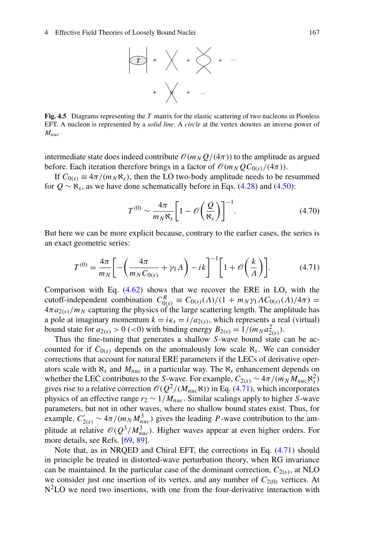

<span id="page-44-0"></span>**Fig. 4.5** Diagrams representing the *T* matrix for the elastic scattering of two nucleons in Pionless EFT. A nucleon is represented by a *solid line*. A *circle* at the vertex denotes an inverse power of *Mnuc*

intermediate state does indeed contribute  $\mathcal{O}(m_N Q/(4\pi))$  to the amplitude as argued before. Each iteration therefore brings in a factor of  $\mathcal{O}(m_N Q C_{0(s)}/(4\pi))$ .

If  $C_{0(s)} \equiv 4\pi/(m_N \aleph_s)$ , then the LO two-body amplitude needs to be resummed for  $Q \sim \aleph_s$ , as we have done schematically before in Eqs. [\(4.28\)](#page-17-0) and ([4.50\)](#page-31-0):

<span id="page-44-1"></span>
$$
T^{(0)} \sim \frac{4\pi}{m_N \aleph_s} \left[ 1 - \mathcal{O}\left(\frac{Q}{\aleph_s}\right) \right]^{-1}.
$$
 (4.70)

But here we can be more explicit because, contrary to the earlier cases, the series is an exact geometric series:

$$
T^{(0)} = \frac{4\pi}{m_N} \bigg[ -\bigg(\frac{4\pi}{m_N C_{0(s)}} + \gamma_1 A\bigg) - ik \bigg]^{-1} \bigg[ 1 + \mathcal{O}\bigg(\frac{k}{A}\bigg) \bigg].
$$
 (4.71)

Comparison with Eq.  $(4.62)$  $(4.62)$  shows that we recover the ERE in LO, with the cutoff-independent combination  $C_{0(s)}^R \equiv C_{0(s)}(\Lambda)/(1 + m_N \gamma_1 \Lambda C_{0(s)}(\Lambda)/4\pi)$  =  $4\pi a_{2(s)}/m_N$  capturing the physics of the large scattering length. The amplitude has a pole at imaginary momentum  $k = i\kappa_s = i/a_{2(s)}$ , which represents a real (virtual) bound state for  $a_{2(s)} > 0$  (<0) with binding energy  $B_{2(s)} = 1/(m_N a_{2(s)}^2)$ .

Thus the fine-tuning that generates a shallow *S*-wave bound state can be accounted for if  $C_{0(s)}$  depends on the anomalously low scale  $\aleph_s$ . We can consider corrections that account for natural ERE parameters if the LECs of derivative operators scale with  $\aleph_s$  and  $M_{nuc}$  in a particular way. The  $\aleph_s$  enhancement depends on whether the LEC contributes to the *S*-wave. For example,  $C_{2(s)} \sim 4\pi/(m_N M_{nuc} \aleph_s^2)$ gives rise to a relative correction  $\mathcal{O}(Q^2/(M_{nuc}\mathcal{R}))$  in Eq. [\(4.71\)](#page-44-1), which incorporates physics of an effective range  $r_2 \sim 1/M_{nuc}$ . Similar scalings apply to higher *S*-wave parameters, but not in other waves, where no shallow bound states exist. Thus, for example,  $C'_{2(s)} \sim 4\pi/(m_N M_{nuc}^3)$  gives the leading *P*-wave contribution to the amplitude at relative  $\mathcal{O}(Q^3/M_{\text{nuc}}^3)$ . Higher waves appear at even higher orders. For more details, see Refs. [[69](#page-57-41), [89](#page-58-11)].

Note that, as in NRQED and Chiral EFT, the corrections in Eq. ([4.71](#page-44-1)) should in principle be treated in distorted-wave perturbation theory, when RG invariance can be maintained. In the particular case of the dominant correction,  $C_{2(s)}$ , at NLO we consider just one insertion of its vertex, and any number of  $C_{2(0)}$  vertices. At  $N<sup>2</sup>LO$  we need two insertions, with one from the four-derivative interaction with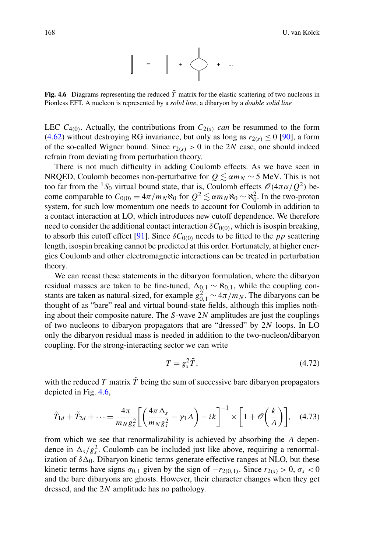

<span id="page-45-0"></span>**Fig. 4.6** Diagrams representing the reduced  $\tilde{T}$  matrix for the elastic scattering of two nucleons in Pionless EFT. A nucleon is represented by a *solid line*, a dibaryon by a *double solid line*

LEC  $C_{4(0)}$ . Actually, the contributions from  $C_{2(s)}$  *can* be resummed to the form [\(4.62\)](#page-40-0) without destroying RG invariance, but only as long as  $r_{2(s)} \le 0$  [\[90](#page-58-12)], a form of the so-called Wigner bound. Since  $r_{2(s)} > 0$  in the 2*N* case, one should indeed refrain from deviating from perturbation theory.

There is not much difficulty in adding Coulomb effects. As we have seen in NRQED, Coulomb becomes non-perturbative for  $Q \lesssim \alpha m_N \sim 5$  MeV. This is not too far from the <sup>1</sup>S<sub>0</sub> virtual bound state, that is, Coulomb effects  $\mathcal{O}(4\pi\alpha/Q^2)$  become comparable to  $C_{0(0)} = 4\pi/m_N \aleph_0$  for  $Q^2 \lesssim \alpha m_N \aleph_0 \sim \aleph_0^2$ . In the two-proton system, for such low momentum one needs to account for Coulomb in addition to a contact interaction at LO, which introduces new cutoff dependence. We therefore need to consider the additional contact interaction *δC*0*(*0*)*, which is isospin breaking, to absorb this cutoff effect [[91\]](#page-58-13). Since  $\delta C_{0(0)}$  needs to be fitted to the *pp* scattering length, isospin breaking cannot be predicted at this order. Fortunately, at higher energies Coulomb and other electromagnetic interactions can be treated in perturbation theory.

We can recast these statements in the dibaryon formulation, where the dibaryon residual masses are taken to be fine-tuned,  $\Delta_{0,1} \sim \aleph_{0,1}$ , while the coupling constants are taken as natural-sized, for example  $g_{0,1}^2 \sim 4\pi/m_N$ . The dibaryons can be thought of as "bare" real and virtual bound-state fields, although this implies nothing about their composite nature. The *S*-wave 2*N* amplitudes are just the couplings of two nucleons to dibaryon propagators that are "dressed" by 2*N* loops. In LO only the dibaryon residual mass is needed in addition to the two-nucleon/dibaryon coupling. For the strong-interacting sector we can write

<span id="page-45-1"></span>
$$
T = g_s^2 \tilde{T},\tag{4.72}
$$

with the reduced *T* matrix  $\tilde{T}$  being the sum of successive bare dibaryon propagators depicted in Fig. [4.6](#page-45-0),

$$
\tilde{T}_{1d} + \tilde{T}_{2d} + \dots = \frac{4\pi}{m_N g_s^2} \left[ \left( \frac{4\pi \Delta_s}{m_N g_s^2} - \gamma_1 \Lambda \right) - ik \right]^{-1} \times \left[ 1 + \mathcal{O}\left( \frac{k}{\Lambda} \right) \right], \quad (4.73)
$$

from which we see that renormalizability is achieved by absorbing the *Λ* dependence in  $\Delta_s/g_s^2$ . Coulomb can be included just like above, requiring a renormalization of  $\delta\Delta_0$ . Dibaryon kinetic terms generate effective ranges at NLO, but these kinetic terms have signs  $\sigma_{0,1}$  given by the sign of  $-r_{2(0,1)}$ . Since  $r_{2(s)} > 0$ ,  $\sigma_s < 0$ and the bare dibaryons are ghosts. However, their character changes when they get dressed, and the 2*N* amplitude has no pathology.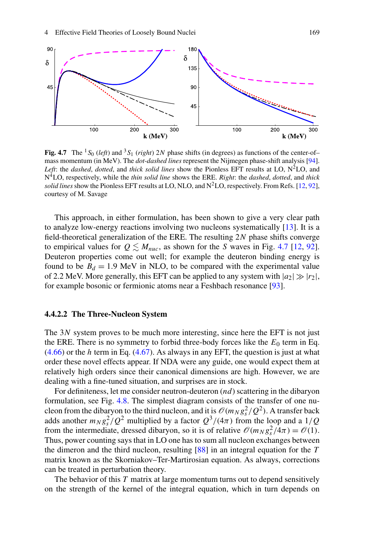

<span id="page-46-0"></span>**Fig. 4.7** The <sup>1</sup>*S*<sub>0</sub> (*left*) and <sup>3</sup>*S*<sub>1</sub> (*right*) 2*N* phase shifts (in degrees) as functions of the center-of– mass momentum (in MeV). The *dot-dashed lines* represent the Nijmegen phase-shift analysis [\[94\]](#page-58-14). *Left*: the *dashed*, *dotted*, and *thick solid lines* show the Pionless EFT results at LO,  $N^2LO$ , and N4LO, respectively, while the *thin solid line* shows the ERE. *Right*: the *dashed*, *dotted*, and *thick solid lines* show the Pionless EFT results at LO, NLO, and N<sup>2</sup>LO, respectively. From Refs. [[12](#page-56-20), [92\]](#page-58-15), courtesy of M. Savage

<span id="page-46-1"></span>This approach, in either formulation, has been shown to give a very clear path to analyze low-energy reactions involving two nucleons systematically [[13\]](#page-56-21). It is a field-theoretical generalization of the ERE. The resulting 2*N* phase shifts converge to empirical values for  $Q \lesssim M_{nuc}$ , as shown for the *S* waves in Fig. [4.7](#page-46-0) [\[12,](#page-56-20) [92\]](#page-58-15). Deuteron properties come out well; for example the deuteron binding energy is found to be  $B_d = 1.9$  MeV in NLO, to be compared with the experimental value of 2.2 MeV. More generally, this EFT can be applied to any system with  $|a_2| \gg |r_2|$ , for example bosonic or fermionic atoms near a Feshbach resonance [\[93](#page-58-16)].

#### **4.4.2.2 The Three-Nucleon System**

The 3*N* system proves to be much more interesting, since here the EFT is not just the ERE. There is no symmetry to forbid three-body forces like the  $E_0$  term in Eq. [\(4.66\)](#page-42-0) or the *h* term in Eq. [\(4.67\)](#page-42-1). As always in any EFT, the question is just at what order these novel effects appear. If NDA were any guide, one would expect them at relatively high orders since their canonical dimensions are high. However, we are dealing with a fine-tuned situation, and surprises are in stock.

For definiteness, let me consider neutron-deuteron (*nd*) scattering in the dibaryon formulation, see Fig. [4.8](#page-47-0). The simplest diagram consists of the transfer of one nucleon from the dibaryon to the third nucleon, and it is  $\mathcal{O}(m_N g_s^2/Q^2)$ . A transfer back adds another  $m_N g_s^2/Q^2$  multiplied by a factor  $Q^3/(4\pi)$  from the loop and a 1/*Q* from the intermediate, dressed dibaryon, so it is of relative  $\mathcal{O}(m_N g_s^2/4\pi) = \mathcal{O}(1)$ . Thus, power counting says that in LO one has to sum all nucleon exchanges between the dimeron and the third nucleon, resulting [\[88\]](#page-58-10) in an integral equation for the *T* matrix known as the Skorniakov–Ter-Martirosian equation. As always, corrections can be treated in perturbation theory.

The behavior of this *T* matrix at large momentum turns out to depend sensitively on the strength of the kernel of the integral equation, which in turn depends on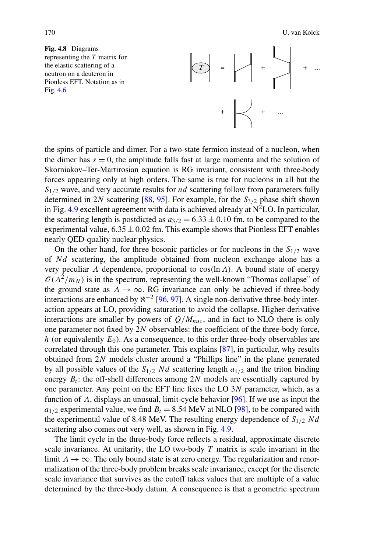$\begin{array}{c|c|c|c} \hline \multicolumn{3}{c|}{\textbf{}} & \multicolumn{3}{c|}{\textbf{}} \\ \hline \multicolumn{3}{c|}{\textbf{}} & \multicolumn{3}{c|}{\textbf{}} \\ \hline \multicolumn{3}{c|}{\textbf{}} & \multicolumn{3}{c|}{\textbf{}} \\ \hline \multicolumn{3}{c|}{\textbf{}} & \multicolumn{3}{c|}{\textbf{}} \\ \hline \multicolumn{3}{c|}{\textbf{}} & \multicolumn{3}{c|}{\textbf{}} \\ \hline \multicolumn{3}{c|}{\textbf{}} & \multicolumn{3}{c|}{\textbf$ 

 $+$ 

<span id="page-47-0"></span>

the spins of particle and dimer. For a two-state fermion instead of a nucleon, when the dimer has  $s = 0$ , the amplitude falls fast at large momenta and the solution of Skorniakov–Ter-Martirosian equation is RG invariant, consistent with three-body forces appearing only at high orders. The same is true for nucleons in all but the *S*1*/*<sup>2</sup> wave, and very accurate results for *nd* scattering follow from parameters fully determined in 2*N* scattering [[88,](#page-58-10) [95](#page-58-17)]. For example, for the *S*3*/*<sup>2</sup> phase shift shown in Fig. [4.9](#page-48-0) excellent agreement with data is achieved already at  $N<sup>2</sup>LO$ . In particular, the scattering length is postdicted as  $a_{3/2} = 6.33 \pm 0.10$  fm, to be compared to the experimental value,  $6.35 \pm 0.02$  fm. This example shows that Pionless EFT enables nearly QED-quality nuclear physics.

On the other hand, for three bosonic particles or for nucleons in the  $S_{1/2}$  wave of *Nd* scattering, the amplitude obtained from nucleon exchange alone has a very peculiar *Λ* dependence, proportional to cos*(*ln*Λ)*. A bound state of energy  $\mathcal{O}(\Lambda^2/m_N)$  is in the spectrum, representing the well-known "Thomas collapse" of the ground state as  $\Lambda \to \infty$ . RG invariance can only be achieved if three-body interactions are enhanced by  $\aleph^{-2}$  [\[96](#page-58-18), [97\]](#page-58-19). A single non-derivative three-body interaction appears at LO, providing saturation to avoid the collapse. Higher-derivative interactions are smaller by powers of  $Q/M_{nuc}$ , and in fact to NLO there is only one parameter not fixed by 2*N* observables: the coefficient of the three-body force, *h* (or equivalently  $E_0$ ). As a consequence, to this order three-body observables are correlated through this one parameter. This explains [[87\]](#page-58-9), in particular, why results obtained from 2*N* models cluster around a "Phillips line" in the plane generated by all possible values of the *S*1*/*<sup>2</sup> *Nd* scattering length *a*1*/*<sup>2</sup> and the triton binding energy  $B_t$ : the off-shell differences among  $2N$  models are essentially captured by one parameter. Any point on the EFT line fixes the LO 3*N* parameter, which, as a function of *Λ*, displays an unusual, limit-cycle behavior [\[96](#page-58-18)]. If we use as input the  $a_{1/2}$  experimental value, we find  $B_t = 8.54$  MeV at NLO [\[98\]](#page-58-20), to be compared with the experimental value of 8.48 MeV. The resulting energy dependence of *S*1*/*<sup>2</sup> *Nd* scattering also comes out very well, as shown in Fig. [4.9.](#page-48-0)

The limit cycle in the three-body force reflects a residual, approximate discrete scale invariance. At unitarity, the LO two-body *T* matrix is scale invariant in the limit *Λ* → ∞. The only bound state is at zero energy. The regularization and renormalization of the three-body problem breaks scale invariance, except for the discrete scale invariance that survives as the cutoff takes values that are multiple of a value determined by the three-body datum. A consequence is that a geometric spectrum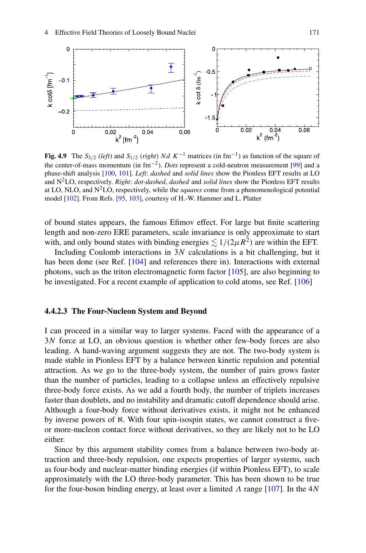

<span id="page-48-0"></span>**Fig. 4.9** The  $S_{3/2}$  (*left*) and  $S_{1/2}$  (*right*) *Nd*  $K^{-1}$  matrices (in fm<sup>-1</sup>) as function of the square of the center-of-mass momentum (in fm<sup>−</sup>2). *Dots* represent a cold-neutron measurement [\[99\]](#page-58-21) and a phase-shift analysis [[100,](#page-58-22) [101\]](#page-58-23). *Left*: *dashed* and *solid lines* show the Pionless EFT results at LO and N2LO, respectively. *Right*: *dot-dashed*, *dashed* and *solid lines* show the Pionless EFT results at LO, NLO, and N2LO, respectively, while the *squares* come from a phenomenological potential model [[102\]](#page-58-24). From Refs. [[95](#page-58-17), [103](#page-58-25)], courtesy of H.-W. Hammer and L. Platter

of bound states appears, the famous Efimov effect. For large but finite scattering length and non-zero ERE parameters, scale invariance is only approximate to start with, and only bound states with binding energies  $\leq 1/(2\mu R^2)$  are within the EFT.

<span id="page-48-1"></span>Including Coulomb interactions in 3*N* calculations is a bit challenging, but it has been done (see Ref. [\[104](#page-58-26)] and references there in). Interactions with external photons, such as the triton electromagnetic form factor [[105\]](#page-58-27), are also beginning to be investigated. For a recent example of application to cold atoms, see Ref. [\[106](#page-58-28)]

#### **4.4.2.3 The Four-Nucleon System and Beyond**

I can proceed in a similar way to larger systems. Faced with the appearance of a 3*N* force at LO, an obvious question is whether other few-body forces are also leading. A hand-waving argument suggests they are not. The two-body system is made stable in Pionless EFT by a balance between kinetic repulsion and potential attraction. As we go to the three-body system, the number of pairs grows faster than the number of particles, leading to a collapse unless an effectively repulsive three-body force exists. As we add a fourth body, the number of triplets increases faster than doublets, and no instability and dramatic cutoff dependence should arise. Although a four-body force without derivatives exists, it might not be enhanced by inverse powers of  $\aleph$ . With four spin-isospin states, we cannot construct a fiveor more-nucleon contact force without derivatives, so they are likely not to be LO either.

Since by this argument stability comes from a balance between two-body attraction and three-body repulsion, one expects properties of larger systems, such as four-body and nuclear-matter binding energies (if within Pionless EFT), to scale approximately with the LO three-body parameter. This has been shown to be true for the four-boson binding energy, at least over a limited *Λ* range [\[107](#page-58-29)]. In the 4*N*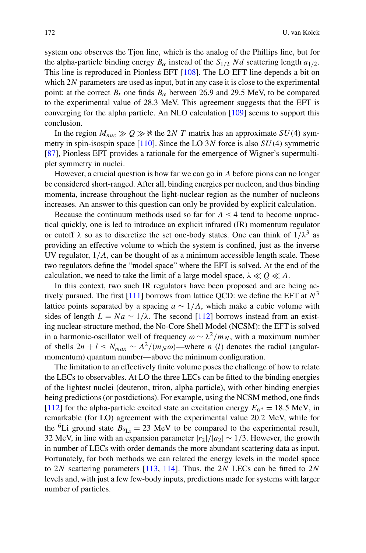system one observes the Tjon line, which is the analog of the Phillips line, but for the alpha-particle binding energy  $B_\alpha$  instead of the  $S_{1/2}$  *Nd* scattering length  $a_{1/2}$ . This line is reproduced in Pionless EFT [\[108](#page-58-30)]. The LO EFT line depends a bit on which 2*N* parameters are used as input, but in any case it is close to the experimental point: at the correct  $B_t$  one finds  $B_\alpha$  between 26.9 and 29.5 MeV, to be compared to the experimental value of 28.3 MeV. This agreement suggests that the EFT is converging for the alpha particle. An NLO calculation [\[109\]](#page-58-31) seems to support this conclusion.

In the region  $M_{nuc} \gg Q \gg \aleph$  the 2*N T* matrix has an approximate *SU(4)* symmetry in spin-isospin space [[110\]](#page-58-32). Since the LO 3*N* force is also *SU(*4*)* symmetric [\[87](#page-58-9)], Pionless EFT provides a rationale for the emergence of Wigner's supermultiplet symmetry in nuclei.

However, a crucial question is how far we can go in *A* before pions can no longer be considered short-ranged. After all, binding energies per nucleon, and thus binding momenta, increase throughout the light-nuclear region as the number of nucleons increases. An answer to this question can only be provided by explicit calculation.

Because the continuum methods used so far for  $A \leq 4$  tend to become unpractical quickly, one is led to introduce an explicit infrared (IR) momentum regulator or cutoff  $\lambda$  so as to discretize the set one-body states. One can think of  $1/\lambda^3$  as providing an effective volume to which the system is confined, just as the inverse UV regulator,  $1/\Lambda$ , can be thought of as a minimum accessible length scale. These two regulators define the "model space" where the EFT is solved. At the end of the calculation, we need to take the limit of a large model space,  $\lambda \ll Q \ll \Lambda$ .

In this context, two such IR regulators have been proposed and are being actively pursued. The first  $[111]$  $[111]$  borrows from lattice QCD: we define the EFT at  $N^3$ lattice points separated by a spacing  $a \sim 1/\Lambda$ , which make a cubic volume with sides of length  $L = Na \sim 1/\lambda$ . The second [[112\]](#page-58-34) borrows instead from an existing nuclear-structure method, the No-Core Shell Model (NCSM): the EFT is solved in a harmonic-oscillator well of frequency  $\omega \sim \lambda^2/m_N$ , with a maximum number of shells  $2n + l \le N_{max} \sim \frac{\Lambda^2}{(m_N \omega)}$ —where *n* (*l*) denotes the radial (angularmomentum) quantum number—above the minimum configuration.

The limitation to an effectively finite volume poses the challenge of how to relate the LECs to observables. At LO the three LECs can be fitted to the binding energies of the lightest nuclei (deuteron, triton, alpha particle), with other binding energies being predictions (or postdictions). For example, using the NCSM method, one finds [\[112](#page-58-34)] for the alpha-particle excited state an excitation energy  $E_{\alpha^*} = 18.5$  MeV, in remarkable (for LO) agreement with the experimental value 20.2 MeV, while for the <sup>6</sup>Li ground state  $B_{6L} = 23$  MeV to be compared to the experimental result, 32 MeV, in line with an expansion parameter  $|r_2|/|a_2| \sim 1/3$ . However, the growth in number of LECs with order demands the more abundant scattering data as input. Fortunately, for both methods we can related the energy levels in the model space to 2*N* scattering parameters [\[113](#page-58-35), [114](#page-58-36)]. Thus, the 2*N* LECs can be fitted to 2*N* levels and, with just a few few-body inputs, predictions made for systems with larger number of particles.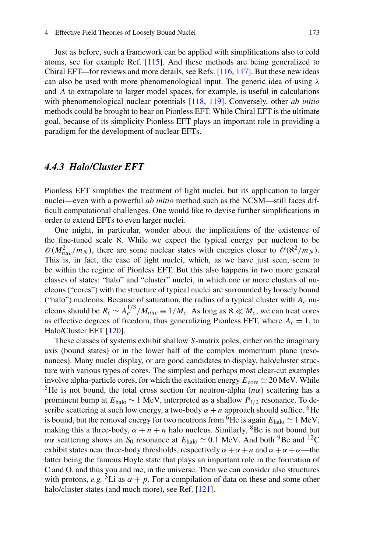Just as before, such a framework can be applied with simplifications also to cold atoms, see for example Ref. [[115\]](#page-58-37). And these methods are being generalized to Chiral EFT—for reviews and more details, see Refs. [[116,](#page-58-38) [117](#page-58-39)]. But these new ideas can also be used with more phenomenological input. The generic idea of using *λ* and *Λ* to extrapolate to larger model spaces, for example, is useful in calculations with phenomenological nuclear potentials [[118,](#page-58-40) [119\]](#page-58-41). Conversely, other *ab initio* methods could be brought to bear on Pionless EFT. While Chiral EFT is the ultimate goal, because of its simplicity Pionless EFT plays an important role in providing a paradigm for the development of nuclear EFTs.

## *4.4.3 Halo/Cluster EFT*

Pionless EFT simplifies the treatment of light nuclei, but its application to larger nuclei—even with a powerful *ab initio* method such as the NCSM—still faces difficult computational challenges. One would like to devise further simplifications in order to extend EFTs to even larger nuclei.

One might, in particular, wonder about the implications of the existence of the fine-tuned scale ℵ. While we expect the typical energy per nucleon to be  $\mathcal{O}(M_{nuc}^2/m_N)$ , there are some nuclear states with energies closer to  $\mathcal{O}(\aleph^2/m_N)$ . This is, in fact, the case of light nuclei, which, as we have just seen, seem to be within the regime of Pionless EFT. But this also happens in two more general classes of states: "halo" and "cluster" nuclei, in which one or more clusters of nucleons ("cores") with the structure of typical nuclei are surrounded by loosely bound ("halo") nucleons. Because of saturation, the radius of a typical cluster with  $A_c$  nucleons should be  $R_c \sim A_c^{1/3} / M_{nuc} \equiv 1 / M_c$ . As long as  $\aleph \ll M_c$ , we can treat cores as effective degrees of freedom, thus generalizing Pionless EFT, where  $A_c = 1$ , to Halo/Cluster EFT [[120\]](#page-58-42).

These classes of systems exhibit shallow *S*-matrix poles, either on the imaginary axis (bound states) or in the lower half of the complex momentum plane (resonances). Many nuclei display, or are good candidates to display, halo/cluster structure with various types of cores. The simplest and perhaps most clear-cut examples involve alpha-particle cores, for which the excitation energy  $E_{\text{core}} \simeq 20 \text{ MeV}$ . While <sup>5</sup>He is not bound, the total cross section for neutron-alpha  $(n\alpha)$  scattering has a prominent bump at *E*halo ∼ 1 MeV, interpreted as a shallow *P*3*/*<sup>2</sup> resonance. To describe scattering at such low energy, a two-body  $\alpha + n$  approach should suffice. <sup>6</sup>He is bound, but the removal energy for two neutrons from <sup>6</sup>He is again  $E_{\text{halo}} \simeq 1 \text{ MeV}$ , making this a three-body,  $\alpha + n + n$  halo nucleus. Similarly, <sup>8</sup>Be is not bound but *αα* scattering shows an *S*<sub>0</sub> resonance at  $E_{\text{halo}} \simeq 0.1 \text{ MeV}$ . And both <sup>9</sup>Be and <sup>12</sup>C exhibit states near three-body thresholds, respectively  $\alpha + \alpha + n$  and  $\alpha + \alpha + \alpha$ —the latter being the famous Hoyle state that plays an important role in the formation of C and O, and thus you and me, in the universe. Then we can consider also structures with protons, *e.g.* <sup>5</sup>Li as  $\alpha + p$ . For a compilation of data on these and some other halo/cluster states (and much more), see Ref. [[121\]](#page-58-43).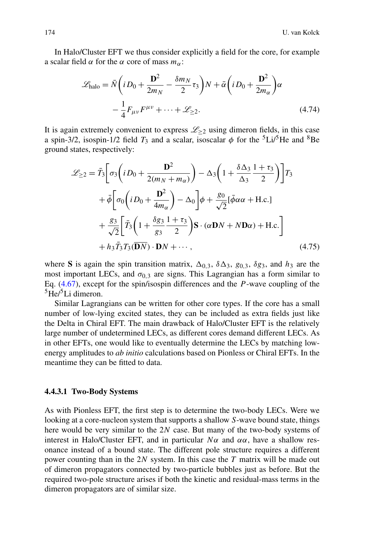In Halo/Cluster EFT we thus consider explicitly a field for the core, for example a scalar field *α* for the *α* core of mass  $m<sub>α</sub>$ :

$$
\mathcal{L}_{\text{halo}} = \bar{N} \left( i D_0 + \frac{\mathbf{D}^2}{2m_N} - \frac{\delta m_N}{2} \tau_3 \right) N + \bar{\alpha} \left( i D_0 + \frac{\mathbf{D}^2}{2m_\alpha} \right) \alpha
$$

$$
- \frac{1}{4} F_{\mu\nu} F^{\mu\nu} + \dots + \mathcal{L}_{\geq 2}.
$$
(4.74)

It is again extremely convenient to express  $\mathcal{L}_{\geq 2}$  using dimeron fields, in this case a spin-3/2, isospin-1/2 field  $T_3$  and a scalar, isoscalar  $\phi$  for the <sup>5</sup>Li/<sup>5</sup>He and <sup>8</sup>Be ground states, respectively:

<span id="page-51-1"></span>
$$
\mathcal{L}_{\geq 2} = \bar{T}_3 \bigg[ \sigma_3 \bigg( i D_0 + \frac{\mathbf{D}^2}{2(m_N + m_\alpha)} \bigg) - \Delta_3 \bigg( 1 + \frac{\delta \Delta_3}{\Delta_3} \frac{1 + \tau_3}{2} \bigg) \bigg] T_3
$$
  
+  $\bar{\phi} \bigg[ \sigma_0 \bigg( i D_0 + \frac{\mathbf{D}^2}{4m_\alpha} \bigg) - \Delta_0 \bigg] \phi + \frac{g_0}{\sqrt{2}} [\bar{\phi} \alpha \alpha + \text{H.c.}]$   
+  $\frac{g_3}{\sqrt{2}} \bigg[ \bar{T}_3 \bigg( 1 + \frac{\delta g_3}{g_3} \frac{1 + \tau_3}{2} \bigg) \mathbf{S} \cdot (\alpha \mathbf{D} N + N \mathbf{D} \alpha) + \text{H.c.} \bigg]$   
+  $h_3 \bar{T}_3 T_3 (\overline{\mathbf{D} N}) \cdot \mathbf{D} N + \cdots,$  (4.75)

where **S** is again the spin transition matrix,  $\Delta_{0,3}$ ,  $\delta \Delta_3$ ,  $g_{0,3}$ ,  $\delta g_3$ , and  $h_3$  are the most important LECs, and  $\sigma_{0,3}$  are signs. This Lagrangian has a form similar to Eq. ([4.67](#page-42-1)), except for the spin/isospin differences and the *P* -wave coupling of the  $^5$ He/ $^5$ Li dimeron.

<span id="page-51-0"></span>Similar Lagrangians can be written for other core types. If the core has a small number of low-lying excited states, they can be included as extra fields just like the Delta in Chiral EFT. The main drawback of Halo/Cluster EFT is the relatively large number of undetermined LECs, as different cores demand different LECs. As in other EFTs, one would like to eventually determine the LECs by matching lowenergy amplitudes to *ab initio* calculations based on Pionless or Chiral EFTs. In the meantime they can be fitted to data.

#### **4.4.3.1 Two-Body Systems**

As with Pionless EFT, the first step is to determine the two-body LECs. Were we looking at a core-nucleon system that supports a shallow *S*-wave bound state, things here would be very similar to the 2*N* case. But many of the two-body systems of interest in Halo/Cluster EFT, and in particular  $N\alpha$  and  $\alpha\alpha$ , have a shallow resonance instead of a bound state. The different pole structure requires a different power counting than in the 2*N* system. In this case the *T* matrix will be made out of dimeron propagators connected by two-particle bubbles just as before. But the required two-pole structure arises if both the kinetic and residual-mass terms in the dimeron propagators are of similar size.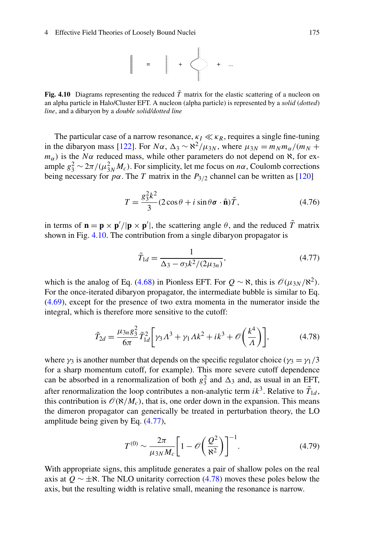

<span id="page-52-0"></span>**Fig. 4.10** Diagrams representing the reduced  $\tilde{T}$  matrix for the elastic scattering of a nucleon on an alpha particle in Halo/Cluster EFT. A nucleon (alpha particle) is represented by a *solid* (*dotted*) *line*, and a dibaryon by a *double solid/dotted line*

The particular case of a narrow resonance,  $\kappa_I \ll \kappa_R$ , requires a single fine-tuning in the dibaryon mass [[122\]](#page-58-44). For *Nα*,  $\Delta_3 \sim \frac{8^2}{\mu_{3N}}$ , where  $\mu_{3N} = \frac{m_N m_\alpha}{(m_N + 1)}$  $m_{\alpha}$ ) is the *N* $\alpha$  reduced mass, while other parameters do not depend on  $\aleph$ , for example  $g_3^2 \sim 2\pi/(\mu_{3N}^2 M_c)$ . For simplicity, let me focus on  $n\alpha$ , Coulomb corrections being necessary for  $p\alpha$ . The *T* matrix in the  $P_{3/2}$  channel can be written as [[120\]](#page-58-42)

<span id="page-52-1"></span>
$$
T = \frac{g_3^2 k^2}{3} (2\cos\theta + i\sin\theta\sigma \cdot \hat{\mathbf{n}}) \tilde{T},
$$
 (4.76)

in terms of  $\mathbf{n} = \mathbf{p} \times \mathbf{p}' / |\mathbf{p} \times \mathbf{p}'|$ , the scattering angle  $\theta$ , and the reduced  $\tilde{T}$  matrix shown in Fig. [4.10.](#page-52-0) The contribution from a single dibaryon propagator is

<span id="page-52-2"></span>
$$
\tilde{T}_{1d} = \frac{1}{\Delta_3 - \sigma_3 k^2 / (2\mu_{3n})},\tag{4.77}
$$

which is the analog of Eq. ([4.68](#page-43-0)) in Pionless EFT. For  $Q \sim \aleph$ , this is  $\mathcal{O}(\mu_{3N}/\aleph^2)$ . For the once-iterated dibaryon propagator, the intermediate bubble is similar to Eq. [\(4.69\)](#page-43-1), except for the presence of two extra momenta in the numerator inside the integral, which is therefore more sensitive to the cutoff:

$$
\tilde{T}_{2d} = \frac{\mu_{3n} g_3^2}{6\pi} \tilde{T}_{1d}^2 \bigg[ \gamma_3 \Lambda^3 + \gamma_1 \Lambda k^2 + ik^3 + \mathcal{O}\bigg(\frac{k^4}{\Lambda}\bigg) \bigg],\tag{4.78}
$$

where  $\gamma_3$  is another number that depends on the specific regulator choice ( $\gamma_3 = \gamma_1/3$ for a sharp momentum cutoff, for example). This more severe cutoff dependence can be absorbed in a renormalization of both  $g_3^2$  and  $\Delta_3$  and, as usual in an EFT, after renormalization the loop contributes a non-analytic term  $ik^3$ . Relative to  $\tilde{T}_{1d}$ , this contribution is  $\mathcal{O}(\mathcal{N}/M_c)$ , that is, one order down in the expansion. This means the dimeron propagator can generically be treated in perturbation theory, the LO amplitude being given by Eq. ([4.77](#page-52-1)),

$$
T^{(0)} \sim \frac{2\pi}{\mu_{3N} M_c} \left[ 1 - \mathcal{O}\left(\frac{Q^2}{\aleph^2}\right) \right]^{-1}.
$$
 (4.79)

With appropriate signs, this amplitude generates a pair of shallow poles on the real axis at *Q* ∼ ±ℵ. The NLO unitarity correction [\(4.78\)](#page-52-2) moves these poles below the axis, but the resulting width is relative small, meaning the resonance is narrow.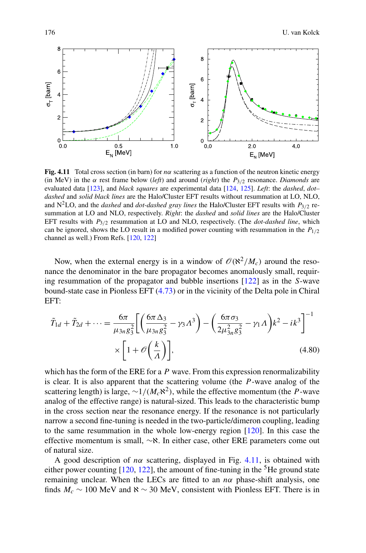

<span id="page-53-0"></span>**Fig. 4.11** Total cross section (in barn) for *nα* scattering as a function of the neutron kinetic energy (in MeV) in the *α* rest frame below (*left*) and around (*right*) the *P*3*/*<sup>2</sup> resonance. *Diamonds* are evaluated data [\[123\]](#page-58-45), and *black squares* are experimental data [\[124](#page-59-0), [125\]](#page-59-1). *Left*: the *dashed*, *dot– dashed* and *solid black lines* are the Halo/Cluster EFT results without resummation at LO, NLO, and  $N^2LO$ , and the *dashed* and *dot-dashed gray lines* the Halo/Cluster EFT results with  $P_{3/2}$  resummation at LO and NLO, respectively. *Right*: the *dashed* and *solid lines* are the Halo/Cluster EFT results with *P*3*/*<sup>2</sup> resummation at LO and NLO, respectively. (The *dot-dashed line*, which can be ignored, shows the LO result in a modified power counting with resummation in the  $P_{1/2}$ channel as well.) From Refs. [\[120,](#page-58-42) [122\]](#page-58-44)

Now, when the external energy is in a window of  $\mathcal{O}(\aleph^2/M_c)$  around the resonance the denominator in the bare propagator becomes anomalously small, requiring resummation of the propagator and bubble insertions [\[122](#page-58-44)] as in the *S*-wave bound-state case in Pionless EFT ([4.73](#page-45-1)) or in the vicinity of the Delta pole in Chiral EFT:

$$
\tilde{T}_{1d} + \tilde{T}_{2d} + \dots = \frac{6\pi}{\mu_{3n}g_3^2} \left[ \left( \frac{6\pi \Delta_3}{\mu_{3n}g_3^2} - \gamma_3 \Lambda^3 \right) - \left( \frac{6\pi \sigma_3}{2\mu_{3n}^2g_3^2} - \gamma_1 \Lambda \right) k^2 - ik^3 \right]^{-1}
$$
\n
$$
\times \left[ 1 + \mathcal{O}\left(\frac{k}{\Lambda}\right) \right],\tag{4.80}
$$

which has the form of the ERE for a *P* wave. From this expression renormalizability is clear. It is also apparent that the scattering volume (the *P* -wave analog of the scattering length) is large,  $\sim 1/(M_c \aleph^2)$ , while the effective momentum (the *P*-wave analog of the effective range) is natural-sized. This leads to the characteristic bump in the cross section near the resonance energy. If the resonance is not particularly narrow a second fine-tuning is needed in the two-particle/dimeron coupling, leading to the same resummation in the whole low-energy region [[120\]](#page-58-42). In this case the effective momentum is small, ∼ℵ. In either case, other ERE parameters come out of natural size.

A good description of *nα* scattering, displayed in Fig. [4.11,](#page-53-0) is obtained with either power counting  $[120, 122]$  $[120, 122]$  $[120, 122]$  $[120, 122]$  $[120, 122]$ , the amount of fine-tuning in the <sup>5</sup>He ground state remaining unclear. When the LECs are fitted to an  $n\alpha$  phase-shift analysis, one finds  $M_c \sim 100$  MeV and  $\aleph \sim 30$  MeV, consistent with Pionless EFT. There is in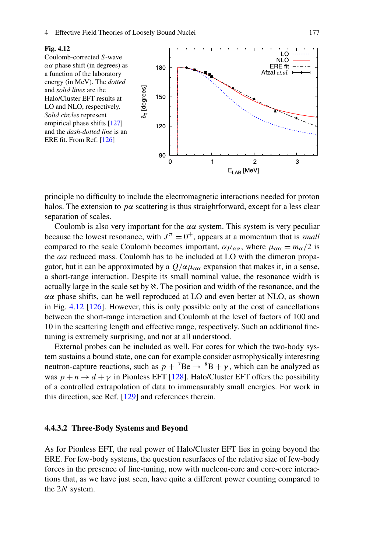<span id="page-54-0"></span>

principle no difficulty to include the electromagnetic interactions needed for proton halos. The extension to  $p\alpha$  scattering is thus straightforward, except for a less clear separation of scales.

Coulomb is also very important for the  $\alpha\alpha$  system. This system is very peculiar because the lowest resonance, with  $J^{\pi} = 0^{+}$ , appears at a momentum that is *small* compared to the scale Coulomb becomes important,  $\alpha \mu_{\alpha\alpha}$ , where  $\mu_{\alpha\alpha} = m_{\alpha}/2$  is the  $\alpha\alpha$  reduced mass. Coulomb has to be included at LO with the dimeron propagator, but it can be approximated by a  $Q/\alpha\mu_{\alpha\alpha}$  expansion that makes it, in a sense, a short-range interaction. Despite its small nominal value, the resonance width is actually large in the scale set by ℵ. The position and width of the resonance, and the *αα* phase shifts, can be well reproduced at LO and even better at NLO, as shown in Fig. [4.12](#page-54-0) [\[126](#page-59-3)]. However, this is only possible only at the cost of cancellations between the short-range interaction and Coulomb at the level of factors of 100 and 10 in the scattering length and effective range, respectively. Such an additional finetuning is extremely surprising, and not at all understood.

External probes can be included as well. For cores for which the two-body system sustains a bound state, one can for example consider astrophysically interesting neutron-capture reactions, such as  $p + {}^{7}Be \rightarrow {}^{8}B + \gamma$ , which can be analyzed as was  $p + n \rightarrow d + \gamma$  in Pionless EFT [[128\]](#page-59-4). Halo/Cluster EFT offers the possibility of a controlled extrapolation of data to immeasurably small energies. For work in this direction, see Ref. [[129\]](#page-59-5) and references therein.

#### **4.4.3.2 Three-Body Systems and Beyond**

As for Pionless EFT, the real power of Halo/Cluster EFT lies in going beyond the ERE. For few-body systems, the question resurfaces of the relative size of few-body forces in the presence of fine-tuning, now with nucleon-core and core-core interactions that, as we have just seen, have quite a different power counting compared to the 2*N* system.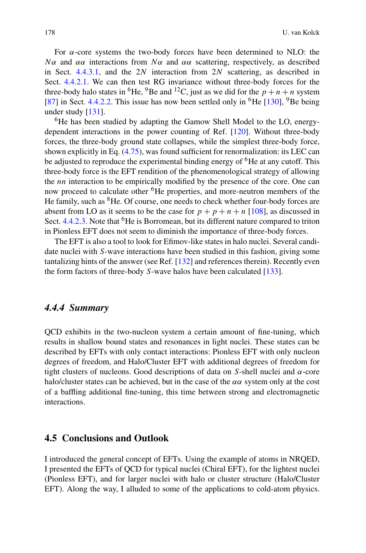For *α*-core systems the two-body forces have been determined to NLO: the *Nα* and  $\alpha\alpha$  interactions from *Nα* and  $\alpha\alpha$  scattering, respectively, as described in Sect. [4.4.3.1](#page-51-0), and the 2*N* interaction from 2*N* scattering, as described in Sect. [4.4.2.1.](#page-43-2) We can then test RG invariance without three-body forces for the three-body halo states in <sup>6</sup>He, <sup>9</sup>Be and <sup>12</sup>C, just as we did for the  $p + n + n$  system [\[87](#page-58-9)] in Sect. [4.4.2.2.](#page-46-1) This issue has now been settled only in <sup>6</sup>He [\[130](#page-59-6)], <sup>9</sup>Be being under study [\[131](#page-59-7)].

<sup>6</sup>He has been studied by adapting the Gamow Shell Model to the LO, energydependent interactions in the power counting of Ref. [\[120](#page-58-42)]. Without three-body forces, the three-body ground state collapses, while the simplest three-body force, shown explicitly in Eq. [\(4.75\)](#page-51-1), was found sufficient for renormalization: its LEC can be adjusted to reproduce the experimental binding energy of <sup>6</sup>He at any cutoff. This three-body force is the EFT rendition of the phenomenological strategy of allowing the *nn* interaction to be empirically modified by the presence of the core. One can now proceed to calculate other <sup>6</sup>He properties, and more-neutron members of the He family, such as  ${}^{8}$ He. Of course, one needs to check whether four-body forces are absent from LO as it seems to be the case for  $p + p + n + n$  [[108\]](#page-58-30), as discussed in Sect. [4.4.2.3](#page-48-1). Note that <sup>6</sup>He is Borromean, but its different nature compared to triton in Pionless EFT does not seem to diminish the importance of three-body forces.

The EFT is also a tool to look for Efimov-like states in halo nuclei. Several candidate nuclei with *S*-wave interactions have been studied in this fashion, giving some tantalizing hints of the answer (see Ref. [\[132](#page-59-8)] and references therein). Recently even the form factors of three-body *S*-wave halos have been calculated [[133\]](#page-59-9).

### *4.4.4 Summary*

QCD exhibits in the two-nucleon system a certain amount of fine-tuning, which results in shallow bound states and resonances in light nuclei. These states can be described by EFTs with only contact interactions: Pionless EFT with only nucleon degrees of freedom, and Halo/Cluster EFT with additional degrees of freedom for tight clusters of nucleons. Good descriptions of data on *S*-shell nuclei and *α*-core halo/cluster states can be achieved, but in the case of the  $\alpha\alpha$  system only at the cost of a baffling additional fine-tuning, this time between strong and electromagnetic interactions.

## **4.5 Conclusions and Outlook**

I introduced the general concept of EFTs. Using the example of atoms in NRQED, I presented the EFTs of QCD for typical nuclei (Chiral EFT), for the lightest nuclei (Pionless EFT), and for larger nuclei with halo or cluster structure (Halo/Cluster EFT). Along the way, I alluded to some of the applications to cold-atom physics.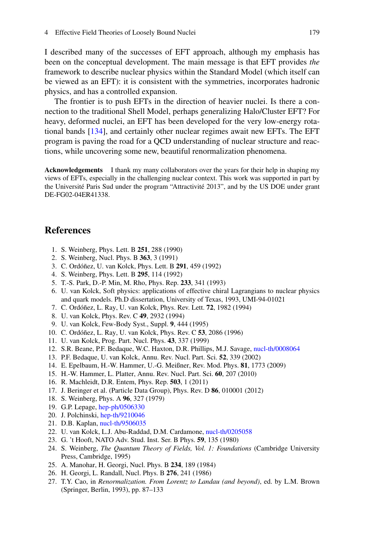I described many of the successes of EFT approach, although my emphasis has been on the conceptual development. The main message is that EFT provides *the* framework to describe nuclear physics within the Standard Model (which itself can be viewed as an EFT): it is consistent with the symmetries, incorporates hadronic physics, and has a controlled expansion.

The frontier is to push EFTs in the direction of heavier nuclei. Is there a connection to the traditional Shell Model, perhaps generalizing Halo/Cluster EFT? For heavy, deformed nuclei, an EFT has been developed for the very low-energy rotational bands [\[134](#page-59-10)], and certainly other nuclear regimes await new EFTs. The EFT program is paving the road for a QCD understanding of nuclear structure and reactions, while uncovering some new, beautiful renormalization phenomena.

<span id="page-56-14"></span><span id="page-56-13"></span><span id="page-56-0"></span>**Acknowledgements** I thank my many collaborators over the years for their help in shaping my views of EFTs, especially in the challenging nuclear context. This work was supported in part by the Université Paris Sud under the program "Attractivité 2013", and by the US DOE under grant DE-FG02-04ER41338.

## <span id="page-56-19"></span><span id="page-56-18"></span><span id="page-56-17"></span><span id="page-56-16"></span><span id="page-56-15"></span><span id="page-56-1"></span>**References**

- 1. S. Weinberg, Phys. Lett. B **251**, 288 (1990)
- 2. S. Weinberg, Nucl. Phys. B **363**, 3 (1991)
- <span id="page-56-2"></span>3. C. Ordóñez, U. van Kolck, Phys. Lett. B **291**, 459 (1992)
- <span id="page-56-20"></span>4. S. Weinberg, Phys. Lett. B **295**, 114 (1992)
- <span id="page-56-21"></span>5. T.-S. Park, D.-P. Min, M. Rho, Phys. Rep. **233**, 341 (1993)
- 6. U. van Kolck, Soft physics: applications of effective chiral Lagrangians to nuclear physics and quark models. Ph.D dissertation, University of Texas, 1993, UMI-94-01021
- <span id="page-56-3"></span>7. C. Ordóñez, L. Ray, U. van Kolck, Phys. Rev. Lett. **72**, 1982 (1994)
- <span id="page-56-4"></span>8. U. van Kolck, Phys. Rev. C **49**, 2932 (1994)
- 9. U. van Kolck, Few-Body Syst., Suppl. **9**, 444 (1995)
- <span id="page-56-6"></span><span id="page-56-5"></span>10. C. Ordóñez, L. Ray, U. van Kolck, Phys. Rev. C **53**, 2086 (1996)
- 11. U. van Kolck, Prog. Part. Nucl. Phys. **43**, 337 (1999)
- 12. S.R. Beane, P.F. Bedaque, W.C. Haxton, D.R. Phillips, M.J. Savage, [nucl-th/0008064](http://arxiv.org/abs/nucl-th/0008064)
- <span id="page-56-7"></span>13. P.F. Bedaque, U. van Kolck, Annu. Rev. Nucl. Part. Sci. **52**, 339 (2002)
- <span id="page-56-8"></span>14. E. Epelbaum, H.-W. Hammer, U.-G. Meißner, Rev. Mod. Phys. **81**, 1773 (2009)
- <span id="page-56-9"></span>15. H.-W. Hammer, L. Platter, Annu. Rev. Nucl. Part. Sci. **60**, 207 (2010)
- 16. R. Machleidt, D.R. Entem, Phys. Rep. **503**, 1 (2011)
- <span id="page-56-10"></span>17. J. Beringer et al. (Particle Data Group), Phys. Rev. D **86**, 010001 (2012)
- <span id="page-56-11"></span>18. S. Weinberg, Phys. A **96**, 327 (1979)
- <span id="page-56-12"></span>19. G.P. Lepage, [hep-ph/0506330](http://arxiv.org/abs/hep-ph/0506330)
- 20. J. Polchinski, [hep-th/9210046](http://arxiv.org/abs/hep-th/9210046)
- 21. D.B. Kaplan, [nucl-th/9506035](http://arxiv.org/abs/nucl-th/9506035)
- 22. U. van Kolck, L.J. Abu-Raddad, D.M. Cardamone, [nucl-th/0205058](http://arxiv.org/abs/nucl-th/0205058)
- 23. G. 't Hooft, NATO Adv. Stud. Inst. Ser. B Phys. **59**, 135 (1980)
- 24. S. Weinberg, *The Quantum Theory of Fields, Vol. 1: Foundations* (Cambridge University Press, Cambridge, 1995)
- 25. A. Manohar, H. Georgi, Nucl. Phys. B **234**, 189 (1984)
- 26. H. Georgi, L. Randall, Nucl. Phys. B **276**, 241 (1986)
- 27. T.Y. Cao, in *Renormalization. From Lorentz to Landau (and beyond)*, ed. by L.M. Brown (Springer, Berlin, 1993), pp. 87–133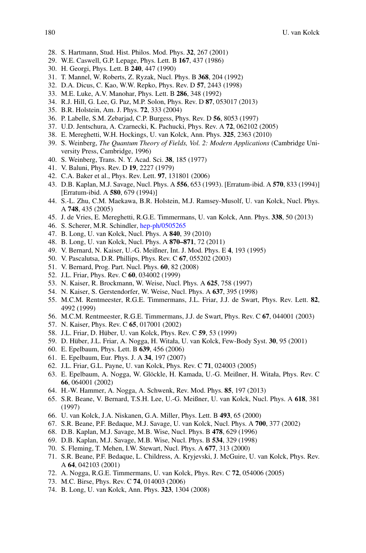- <span id="page-57-10"></span><span id="page-57-9"></span><span id="page-57-8"></span><span id="page-57-7"></span><span id="page-57-6"></span><span id="page-57-5"></span><span id="page-57-4"></span><span id="page-57-3"></span><span id="page-57-2"></span><span id="page-57-1"></span><span id="page-57-0"></span>28. S. Hartmann, Stud. Hist. Philos. Mod. Phys. **32**, 267 (2001)
- 29. W.E. Caswell, G.P. Lepage, Phys. Lett. B **167**, 437 (1986)
- <span id="page-57-11"></span>30. H. Georgi, Phys. Lett. B **240**, 447 (1990)
- 31. T. Mannel, W. Roberts, Z. Ryzak, Nucl. Phys. B **368**, 204 (1992)
- <span id="page-57-12"></span>32. D.A. Dicus, C. Kao, W.W. Repko, Phys. Rev. D **57**, 2443 (1998)
- <span id="page-57-13"></span>33. M.E. Luke, A.V. Manohar, Phys. Lett. B **286**, 348 (1992)
- <span id="page-57-14"></span>34. R.J. Hill, G. Lee, G. Paz, M.P. Solon, Phys. Rev. D **87**, 053017 (2013)
- <span id="page-57-15"></span>35. B.R. Holstein, Am. J. Phys. **72**, 333 (2004)
- 36. P. Labelle, S.M. Zebarjad, C.P. Burgess, Phys. Rev. D **56**, 8053 (1997)
- <span id="page-57-16"></span>37. U.D. Jentschura, A. Czarnecki, K. Pachucki, Phys. Rev. A **72**, 062102 (2005)
- 38. E. Mereghetti, W.H. Hockings, U. van Kolck, Ann. Phys. **325**, 2363 (2010)
- <span id="page-57-17"></span>39. S. Weinberg, *The Quantum Theory of Fields, Vol. 2: Modern Applications* (Cambridge University Press, Cambridge, 1996)
- <span id="page-57-19"></span><span id="page-57-18"></span>40. S. Weinberg, Trans. N. Y. Acad. Sci. **38**, 185 (1977)
- <span id="page-57-20"></span>41. V. Baluni, Phys. Rev. D **19**, 2227 (1979)
- <span id="page-57-21"></span>42. C.A. Baker et al., Phys. Rev. Lett. **97**, 131801 (2006)
- <span id="page-57-23"></span><span id="page-57-22"></span>43. D.B. Kaplan, M.J. Savage, Nucl. Phys. A **556**, 653 (1993). [Erratum-ibid. A **570**, 833 (1994)] [Erratum-ibid. A **580**, 679 (1994)]
- <span id="page-57-25"></span><span id="page-57-24"></span>44. S.-L. Zhu, C.M. Maekawa, B.R. Holstein, M.J. Ramsey-Musolf, U. van Kolck, Nucl. Phys. A **748**, 435 (2005)
- <span id="page-57-27"></span><span id="page-57-26"></span>45. J. de Vries, E. Mereghetti, R.G.E. Timmermans, U. van Kolck, Ann. Phys. **338**, 50 (2013)
- 46. S. Scherer, M.R. Schindler, [hep-ph/0505265](http://arxiv.org/abs/hep-ph/0505265)
- 47. B. Long, U. van Kolck, Nucl. Phys. A **840**, 39 (2010)
- <span id="page-57-28"></span>48. B. Long, U. van Kolck, Nucl. Phys. A **870–871**, 72 (2011)
- <span id="page-57-30"></span><span id="page-57-29"></span>49. V. Bernard, N. Kaiser, U.-G. Meißner, Int. J. Mod. Phys. E **4**, 193 (1995)
- 50. V. Pascalutsa, D.R. Phillips, Phys. Rev. C **67**, 055202 (2003)
- <span id="page-57-31"></span>51. V. Bernard, Prog. Part. Nucl. Phys. **60**, 82 (2008)
- <span id="page-57-32"></span>52. J.L. Friar, Phys. Rev. C **60**, 034002 (1999)
- <span id="page-57-33"></span>53. N. Kaiser, R. Brockmann, W. Weise, Nucl. Phys. A **625**, 758 (1997)
- <span id="page-57-34"></span>54. N. Kaiser, S. Gerstendorfer, W. Weise, Nucl. Phys. A **637**, 395 (1998)
- <span id="page-57-35"></span>55. M.C.M. Rentmeester, R.G.E. Timmermans, J.L. Friar, J.J. de Swart, Phys. Rev. Lett. **82**, 4992 (1999)
- <span id="page-57-36"></span>56. M.C.M. Rentmeester, R.G.E. Timmermans, J.J. de Swart, Phys. Rev. C **67**, 044001 (2003)
- <span id="page-57-37"></span>57. N. Kaiser, Phys. Rev. C **65**, 017001 (2002)
- 58. J.L. Friar, D. Hüber, U. van Kolck, Phys. Rev. C **59**, 53 (1999)
- <span id="page-57-38"></span>59. D. Hüber, J.L. Friar, A. Nogga, H. Witała, U. van Kolck, Few-Body Syst. **30**, 95 (2001)
- <span id="page-57-40"></span><span id="page-57-39"></span>60. E. Epelbaum, Phys. Lett. B **639**, 456 (2006)
- 61. E. Epelbaum, Eur. Phys. J. A **34**, 197 (2007)
- <span id="page-57-41"></span>62. J.L. Friar, G.L. Payne, U. van Kolck, Phys. Rev. C **71**, 024003 (2005)
- <span id="page-57-43"></span><span id="page-57-42"></span>63. E. Epelbaum, A. Nogga, W. Glöckle, H. Kamada, U.-G. Meißner, H. Witała, Phys. Rev. C **66**, 064001 (2002)
- 64. H.-W. Hammer, A. Nogga, A. Schwenk, Rev. Mod. Phys. **85**, 197 (2013)
- <span id="page-57-45"></span><span id="page-57-44"></span>65. S.R. Beane, V. Bernard, T.S.H. Lee, U.-G. Meißner, U. van Kolck, Nucl. Phys. A **618**, 381 (1997)
- <span id="page-57-46"></span>66. U. van Kolck, J.A. Niskanen, G.A. Miller, Phys. Lett. B **493**, 65 (2000)
- 67. S.R. Beane, P.F. Bedaque, M.J. Savage, U. van Kolck, Nucl. Phys. A **700**, 377 (2002)
- 68. D.B. Kaplan, M.J. Savage, M.B. Wise, Nucl. Phys. B **478**, 629 (1996)
- 69. D.B. Kaplan, M.J. Savage, M.B. Wise, Nucl. Phys. B **534**, 329 (1998)
- 70. S. Fleming, T. Mehen, I.W. Stewart, Nucl. Phys. A **677**, 313 (2000)
- 71. S.R. Beane, P.F. Bedaque, L. Childress, A. Kryjevski, J. McGuire, U. van Kolck, Phys. Rev. A **64**, 042103 (2001)
- 72. A. Nogga, R.G.E. Timmermans, U. van Kolck, Phys. Rev. C **72**, 054006 (2005)
- 73. M.C. Birse, Phys. Rev. C **74**, 014003 (2006)
- 74. B. Long, U. van Kolck, Ann. Phys. **323**, 1304 (2008)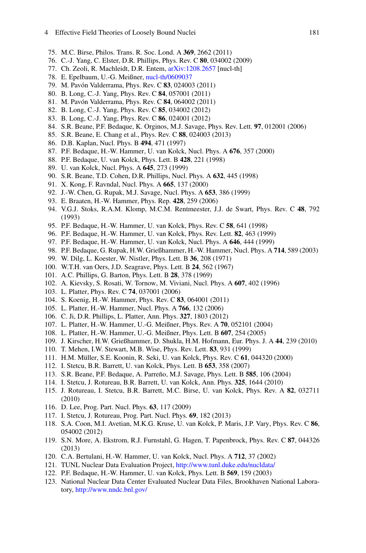#### <span id="page-58-6"></span><span id="page-58-5"></span><span id="page-58-4"></span><span id="page-58-3"></span><span id="page-58-2"></span><span id="page-58-1"></span><span id="page-58-0"></span>4 Effective Field Theories of Loosely Bound Nuclei 181

- 75. M.C. Birse, Philos. Trans. R. Soc. Lond. A **369**, 2662 (2011)
- <span id="page-58-7"></span>76. C.-J. Yang, C. Elster, D.R. Phillips, Phys. Rev. C **80**, 034002 (2009)
- <span id="page-58-8"></span>77. Ch. Zeoli, R. Machleidt, D.R. Entem, [arXiv:1208.2657](http://arxiv.org/abs/arXiv:1208.2657) [nucl-th]
- <span id="page-58-9"></span>78. E. Epelbaum, U.-G. Meißner, [nucl-th/0609037](http://arxiv.org/abs/nucl-th/0609037)
- <span id="page-58-10"></span>79. M. Pavón Valderrama, Phys. Rev. C **83**, 024003 (2011)
- <span id="page-58-11"></span>80. B. Long, C.-J. Yang, Phys. Rev. C **84**, 057001 (2011)
- <span id="page-58-12"></span>81. M. Pavón Valderrama, Phys. Rev. C **84**, 064002 (2011)
- <span id="page-58-13"></span>82. B. Long, C.-J. Yang, Phys. Rev. C **85**, 034002 (2012)
- <span id="page-58-15"></span>83. B. Long, C.-J. Yang, Phys. Rev. C **86**, 024001 (2012)
- <span id="page-58-16"></span>84. S.R. Beane, P.F. Bedaque, K. Orginos, M.J. Savage, Phys. Rev. Lett. **97**, 012001 (2006)
- <span id="page-58-14"></span>85. S.R. Beane, E. Chang et al., Phys. Rev. C **88**, 024003 (2013)
- 86. D.B. Kaplan, Nucl. Phys. B **494**, 471 (1997)
- <span id="page-58-17"></span>87. P.F. Bedaque, H.-W. Hammer, U. van Kolck, Nucl. Phys. A **676**, 357 (2000)
- <span id="page-58-18"></span>88. P.F. Bedaque, U. van Kolck, Phys. Lett. B **428**, 221 (1998)
- <span id="page-58-19"></span>89. U. van Kolck, Nucl. Phys. A **645**, 273 (1999)
- <span id="page-58-20"></span>90. S.R. Beane, T.D. Cohen, D.R. Phillips, Nucl. Phys. A **632**, 445 (1998)
- <span id="page-58-21"></span>91. X. Kong, F. Ravndal, Nucl. Phys. A **665**, 137 (2000)
- <span id="page-58-23"></span><span id="page-58-22"></span>92. J.-W. Chen, G. Rupak, M.J. Savage, Nucl. Phys. A **653**, 386 (1999)
- 93. E. Braaten, H.-W. Hammer, Phys. Rep. **428**, 259 (2006)
- <span id="page-58-25"></span><span id="page-58-24"></span>94. V.G.J. Stoks, R.A.M. Klomp, M.C.M. Rentmeester, J.J. de Swart, Phys. Rev. C **48**, 792 (1993)
- <span id="page-58-26"></span>95. P.F. Bedaque, H.-W. Hammer, U. van Kolck, Phys. Rev. C **58**, 641 (1998)
- <span id="page-58-27"></span>96. P.F. Bedaque, H.-W. Hammer, U. van Kolck, Phys. Rev. Lett. **82**, 463 (1999)
- <span id="page-58-28"></span>97. P.F. Bedaque, H.-W. Hammer, U. van Kolck, Nucl. Phys. A **646**, 444 (1999)
- <span id="page-58-29"></span>98. P.F. Bedaque, G. Rupak, H.W. Grießhammer, H.-W. Hammer, Nucl. Phys. A **714**, 589 (2003)
- 99. W. Dilg, L. Koester, W. Nistler, Phys. Lett. B **36**, 208 (1971)
- <span id="page-58-31"></span><span id="page-58-30"></span>100. W.T.H. van Oers, J.D. Seagrave, Phys. Lett. B **24**, 562 (1967)
- <span id="page-58-32"></span>101. A.C. Phillips, G. Barton, Phys. Lett. B **28**, 378 (1969)
- <span id="page-58-33"></span>102. A. Kievsky, S. Rosati, W. Tornow, M. Viviani, Nucl. Phys. A **607**, 402 (1996)
- <span id="page-58-35"></span><span id="page-58-34"></span>103. L. Platter, Phys. Rev. C **74**, 037001 (2006)
- 104. S. Koenig, H.-W. Hammer, Phys. Rev. C **83**, 064001 (2011)
- <span id="page-58-36"></span>105. L. Platter, H.-W. Hammer, Nucl. Phys. A **766**, 132 (2006)
- <span id="page-58-37"></span>106. C. Ji, D.R. Phillips, L. Platter, Ann. Phys. **327**, 1803 (2012)
- 107. L. Platter, H.-W. Hammer, U.-G. Meißner, Phys. Rev. A **70**, 052101 (2004)
- <span id="page-58-38"></span>108. L. Platter, H.-W. Hammer, U.-G. Meißner, Phys. Lett. B **607**, 254 (2005)
- <span id="page-58-39"></span>109. J. Kirscher, H.W. Grießhammer, D. Shukla, H.M. Hofmann, Eur. Phys. J. A **44**, 239 (2010)
- <span id="page-58-40"></span>110. T. Mehen, I.W. Stewart, M.B. Wise, Phys. Rev. Lett. **83**, 931 (1999)
- 111. H.M. Müller, S.E. Koonin, R. Seki, U. van Kolck, Phys. Rev. C **61**, 044320 (2000)
- <span id="page-58-41"></span>112. I. Stetcu, B.R. Barrett, U. van Kolck, Phys. Lett. B **653**, 358 (2007)
- 113. S.R. Beane, P.F. Bedaque, A. Parreño, M.J. Savage, Phys. Lett. B **585**, 106 (2004)
- <span id="page-58-42"></span>114. I. Stetcu, J. Rotureau, B.R. Barrett, U. van Kolck, Ann. Phys. **325**, 1644 (2010)
- <span id="page-58-44"></span><span id="page-58-43"></span>115. J. Rotureau, I. Stetcu, B.R. Barrett, M.C. Birse, U. van Kolck, Phys. Rev. A **82**, 032711 (2010)
- <span id="page-58-45"></span>116. D. Lee, Prog. Part. Nucl. Phys. **63**, 117 (2009)
- 117. I. Stetcu, J. Rotureau, Prog. Part. Nucl. Phys. **69**, 182 (2013)
- 118. S.A. Coon, M.I. Avetian, M.K.G. Kruse, U. van Kolck, P. Maris, J.P. Vary, Phys. Rev. C **86**, 054002 (2012)
- 119. S.N. More, A. Ekstrom, R.J. Furnstahl, G. Hagen, T. Papenbrock, Phys. Rev. C **87**, 044326 (2013)
- 120. C.A. Bertulani, H.-W. Hammer, U. van Kolck, Nucl. Phys. A **712**, 37 (2002)
- 121. TUNL Nuclear Data Evaluation Project, <http://www.tunl.duke.edu/nucldata/>
- 122. P.F. Bedaque, H.-W. Hammer, U. van Kolck, Phys. Lett. B **569**, 159 (2003)
- 123. National Nuclear Data Center Evaluated Nuclear Data Files, Brookhaven National Laboratory, <http://www.nndc.bnl.gov/>